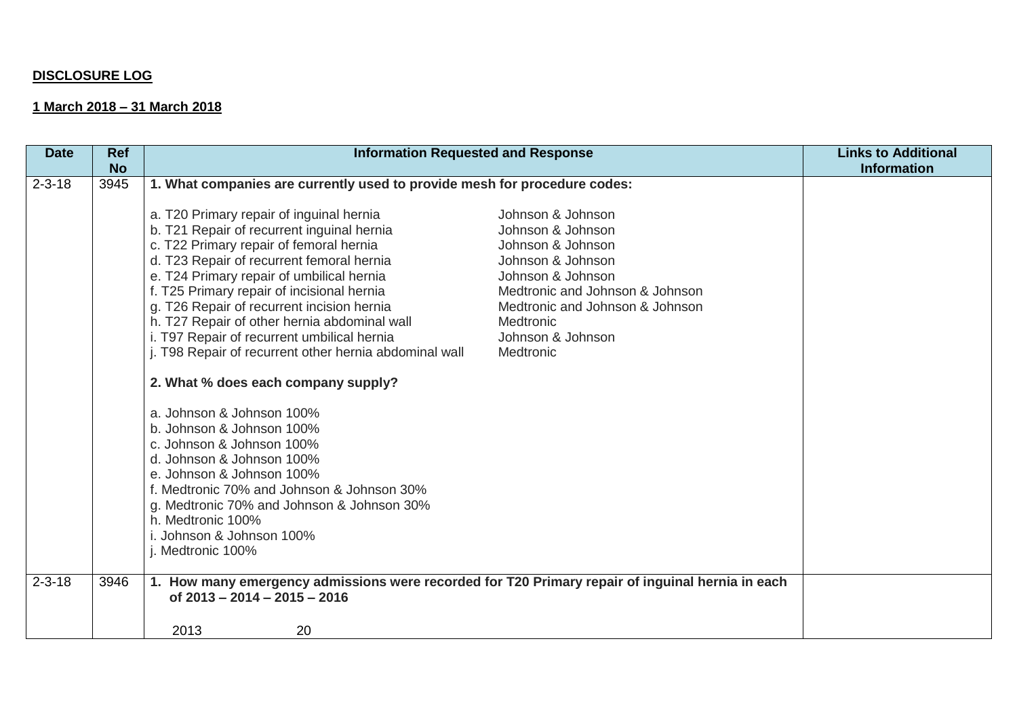## **DISCLOSURE LOG**

## **1 March 2018 – 31 March 2018**

| <b>No</b><br>1. What companies are currently used to provide mesh for procedure codes:<br>$2 - 3 - 18$<br>3945<br>Johnson & Johnson<br>a. T20 Primary repair of inguinal hernia<br>b. T21 Repair of recurrent inguinal hernia<br>Johnson & Johnson<br>c. T22 Primary repair of femoral hernia<br>Johnson & Johnson<br>d. T23 Repair of recurrent femoral hernia<br>Johnson & Johnson<br>e. T24 Primary repair of umbilical hernia<br>Johnson & Johnson<br>f. T25 Primary repair of incisional hernia<br>Medtronic and Johnson & Johnson<br>g. T26 Repair of recurrent incision hernia<br>Medtronic and Johnson & Johnson<br>h. T27 Repair of other hernia abdominal wall<br>Medtronic<br>i. T97 Repair of recurrent umbilical hernia<br>Johnson & Johnson<br>j. T98 Repair of recurrent other hernia abdominal wall<br>Medtronic<br>2. What % does each company supply?<br>a. Johnson & Johnson 100%<br>b. Johnson & Johnson 100%<br>c. Johnson & Johnson 100%<br>d. Johnson & Johnson 100%<br>e. Johnson & Johnson 100%<br>f. Medtronic 70% and Johnson & Johnson 30%<br>g. Medtronic 70% and Johnson & Johnson 30%<br>h. Medtronic 100% | <b>Links to Additional</b> |
|-------------------------------------------------------------------------------------------------------------------------------------------------------------------------------------------------------------------------------------------------------------------------------------------------------------------------------------------------------------------------------------------------------------------------------------------------------------------------------------------------------------------------------------------------------------------------------------------------------------------------------------------------------------------------------------------------------------------------------------------------------------------------------------------------------------------------------------------------------------------------------------------------------------------------------------------------------------------------------------------------------------------------------------------------------------------------------------------------------------------------------------------|----------------------------|
|                                                                                                                                                                                                                                                                                                                                                                                                                                                                                                                                                                                                                                                                                                                                                                                                                                                                                                                                                                                                                                                                                                                                           | <b>Information</b>         |
| i. Johnson & Johnson 100%<br>j. Medtronic 100%                                                                                                                                                                                                                                                                                                                                                                                                                                                                                                                                                                                                                                                                                                                                                                                                                                                                                                                                                                                                                                                                                            |                            |
| $2 - 3 - 18$<br>3946<br>1. How many emergency admissions were recorded for T20 Primary repair of inguinal hernia in each<br>of $2013 - 2014 - 2015 - 2016$<br>2013<br>20                                                                                                                                                                                                                                                                                                                                                                                                                                                                                                                                                                                                                                                                                                                                                                                                                                                                                                                                                                  |                            |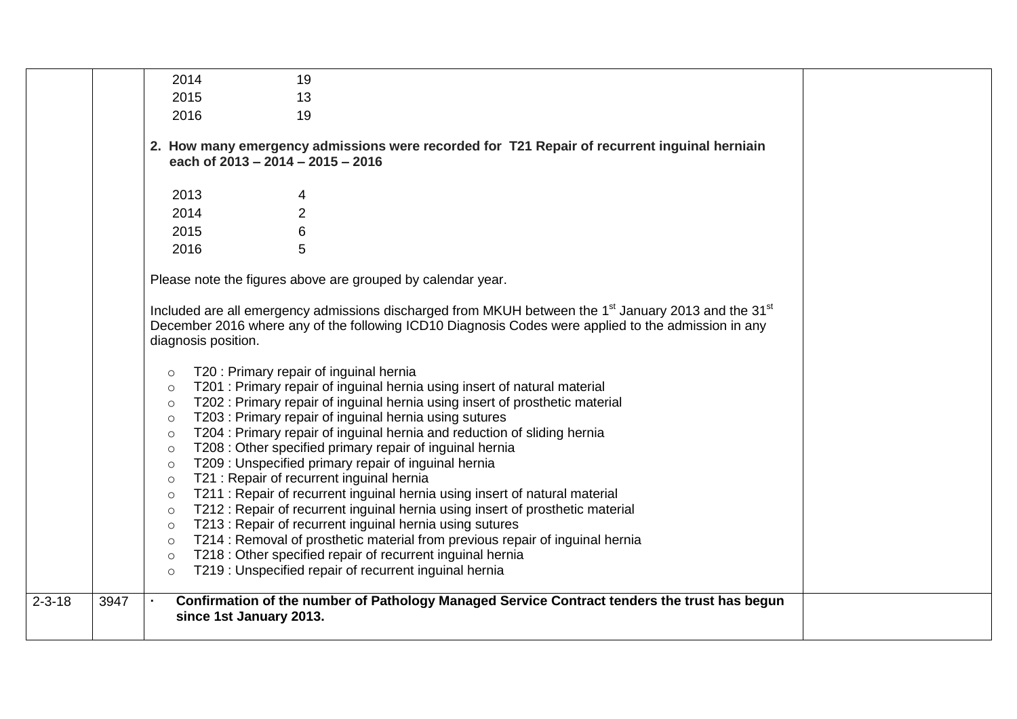|              |      | 2014<br>19                                                                                                                                                                                                                                                                                                                                                                                                                                                                                                                                                                                                                                                                                                                                                                                                                                                                                                                                                                                                                                                                                                 |
|--------------|------|------------------------------------------------------------------------------------------------------------------------------------------------------------------------------------------------------------------------------------------------------------------------------------------------------------------------------------------------------------------------------------------------------------------------------------------------------------------------------------------------------------------------------------------------------------------------------------------------------------------------------------------------------------------------------------------------------------------------------------------------------------------------------------------------------------------------------------------------------------------------------------------------------------------------------------------------------------------------------------------------------------------------------------------------------------------------------------------------------------|
|              |      | 2015<br>13                                                                                                                                                                                                                                                                                                                                                                                                                                                                                                                                                                                                                                                                                                                                                                                                                                                                                                                                                                                                                                                                                                 |
|              |      | 2016<br>19                                                                                                                                                                                                                                                                                                                                                                                                                                                                                                                                                                                                                                                                                                                                                                                                                                                                                                                                                                                                                                                                                                 |
|              |      | 2. How many emergency admissions were recorded for T21 Repair of recurrent inguinal herniain<br>each of 2013 - 2014 - 2015 - 2016                                                                                                                                                                                                                                                                                                                                                                                                                                                                                                                                                                                                                                                                                                                                                                                                                                                                                                                                                                          |
|              |      | 2013<br>4                                                                                                                                                                                                                                                                                                                                                                                                                                                                                                                                                                                                                                                                                                                                                                                                                                                                                                                                                                                                                                                                                                  |
|              |      | $\overline{2}$<br>2014                                                                                                                                                                                                                                                                                                                                                                                                                                                                                                                                                                                                                                                                                                                                                                                                                                                                                                                                                                                                                                                                                     |
|              |      | 6<br>2015                                                                                                                                                                                                                                                                                                                                                                                                                                                                                                                                                                                                                                                                                                                                                                                                                                                                                                                                                                                                                                                                                                  |
|              |      | 5<br>2016                                                                                                                                                                                                                                                                                                                                                                                                                                                                                                                                                                                                                                                                                                                                                                                                                                                                                                                                                                                                                                                                                                  |
|              |      | Please note the figures above are grouped by calendar year.                                                                                                                                                                                                                                                                                                                                                                                                                                                                                                                                                                                                                                                                                                                                                                                                                                                                                                                                                                                                                                                |
|              |      | Included are all emergency admissions discharged from MKUH between the 1 <sup>st</sup> January 2013 and the 31 <sup>st</sup><br>December 2016 where any of the following ICD10 Diagnosis Codes were applied to the admission in any<br>diagnosis position.                                                                                                                                                                                                                                                                                                                                                                                                                                                                                                                                                                                                                                                                                                                                                                                                                                                 |
|              |      | T20 : Primary repair of inguinal hernia<br>$\circ$<br>T201 : Primary repair of inguinal hernia using insert of natural material<br>$\circ$<br>T202 : Primary repair of inguinal hernia using insert of prosthetic material<br>$\circ$<br>T203: Primary repair of inguinal hernia using sutures<br>$\circ$<br>T204 : Primary repair of inguinal hernia and reduction of sliding hernia<br>$\circ$<br>T208 : Other specified primary repair of inguinal hernia<br>$\circ$<br>T209 : Unspecified primary repair of inguinal hernia<br>$\circ$<br>T21 : Repair of recurrent inguinal hernia<br>$\circ$<br>T211 : Repair of recurrent inguinal hernia using insert of natural material<br>$\circ$<br>T212 : Repair of recurrent inguinal hernia using insert of prosthetic material<br>$\circ$<br>T213 : Repair of recurrent inguinal hernia using sutures<br>$\circ$<br>T214 : Removal of prosthetic material from previous repair of inguinal hernia<br>$\circ$<br>T218 : Other specified repair of recurrent inguinal hernia<br>$\circ$<br>T219 : Unspecified repair of recurrent inguinal hernia<br>$\circ$ |
| $2 - 3 - 18$ | 3947 | Confirmation of the number of Pathology Managed Service Contract tenders the trust has begun<br>since 1st January 2013.                                                                                                                                                                                                                                                                                                                                                                                                                                                                                                                                                                                                                                                                                                                                                                                                                                                                                                                                                                                    |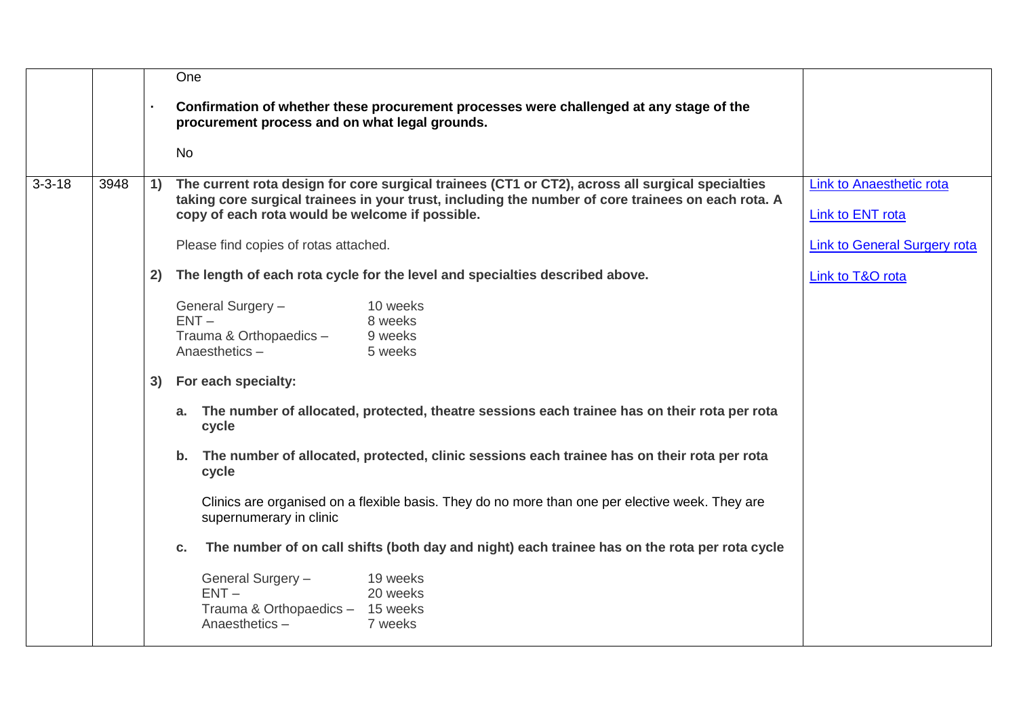|              |      |    | One                                                                                                                                                                                                                                                       |                                              |
|--------------|------|----|-----------------------------------------------------------------------------------------------------------------------------------------------------------------------------------------------------------------------------------------------------------|----------------------------------------------|
|              |      |    | Confirmation of whether these procurement processes were challenged at any stage of the<br>procurement process and on what legal grounds.                                                                                                                 |                                              |
|              |      |    | <b>No</b>                                                                                                                                                                                                                                                 |                                              |
| $3 - 3 - 18$ | 3948 | 1) | The current rota design for core surgical trainees (CT1 or CT2), across all surgical specialties<br>taking core surgical trainees in your trust, including the number of core trainees on each rota. A<br>copy of each rota would be welcome if possible. | Link to Anaesthetic rota<br>Link to ENT rota |
|              |      |    | Please find copies of rotas attached.                                                                                                                                                                                                                     | <b>Link to General Surgery rota</b>          |
|              |      | 2) | The length of each rota cycle for the level and specialties described above.                                                                                                                                                                              | Link to T&O rota                             |
|              |      |    | General Surgery -<br>10 weeks<br>$ENT -$<br>8 weeks<br>Trauma & Orthopaedics -<br>9 weeks<br>Anaesthetics-<br>5 weeks                                                                                                                                     |                                              |
|              |      | 3) | For each specialty:                                                                                                                                                                                                                                       |                                              |
|              |      |    | a. The number of allocated, protected, theatre sessions each trainee has on their rota per rota<br>cycle                                                                                                                                                  |                                              |
|              |      |    | b. The number of allocated, protected, clinic sessions each trainee has on their rota per rota<br>cycle                                                                                                                                                   |                                              |
|              |      |    | Clinics are organised on a flexible basis. They do no more than one per elective week. They are<br>supernumerary in clinic                                                                                                                                |                                              |
|              |      |    | The number of on call shifts (both day and night) each trainee has on the rota per rota cycle<br>C.                                                                                                                                                       |                                              |
|              |      |    | General Surgery -<br>19 weeks<br>$ENT -$<br>20 weeks<br>Trauma & Orthopaedics - 15 weeks<br>Anaesthetics-<br>7 weeks                                                                                                                                      |                                              |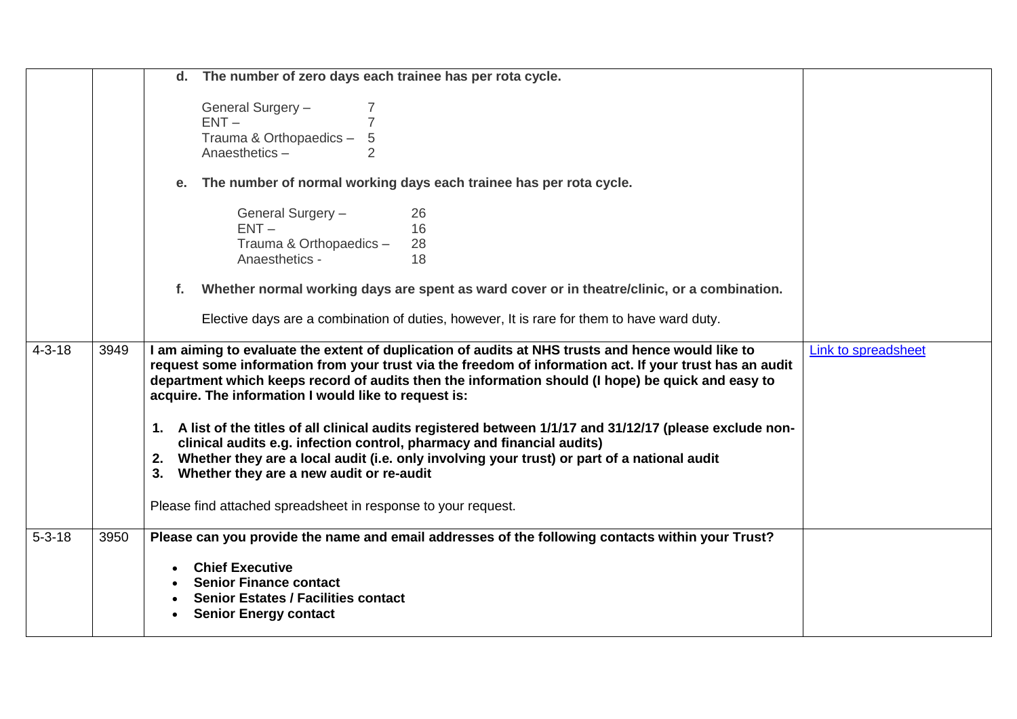|              |      | The number of zero days each trainee has per rota cycle.<br>d.<br>General Surgery -<br>$ENT -$<br>Trauma & Orthopaedics -<br>5<br>Anaesthetics-<br>$\overline{2}$<br>The number of normal working days each trainee has per rota cycle.<br>е.<br>General Surgery -<br>26<br>$ENT -$<br>16<br>Trauma & Orthopaedics -<br>28                                                                                                                                                                                                                                                                                                                                                                                                                                                          |                     |
|--------------|------|-------------------------------------------------------------------------------------------------------------------------------------------------------------------------------------------------------------------------------------------------------------------------------------------------------------------------------------------------------------------------------------------------------------------------------------------------------------------------------------------------------------------------------------------------------------------------------------------------------------------------------------------------------------------------------------------------------------------------------------------------------------------------------------|---------------------|
|              |      | Anaesthetics -<br>18<br>Whether normal working days are spent as ward cover or in theatre/clinic, or a combination.<br>f.<br>Elective days are a combination of duties, however, It is rare for them to have ward duty.                                                                                                                                                                                                                                                                                                                                                                                                                                                                                                                                                             |                     |
| $4 - 3 - 18$ | 3949 | I am aiming to evaluate the extent of duplication of audits at NHS trusts and hence would like to<br>request some information from your trust via the freedom of information act. If your trust has an audit<br>department which keeps record of audits then the information should (I hope) be quick and easy to<br>acquire. The information I would like to request is:<br>1. A list of the titles of all clinical audits registered between 1/1/17 and 31/12/17 (please exclude non-<br>clinical audits e.g. infection control, pharmacy and financial audits)<br>2. Whether they are a local audit (i.e. only involving your trust) or part of a national audit<br>3. Whether they are a new audit or re-audit<br>Please find attached spreadsheet in response to your request. | Link to spreadsheet |
| $5 - 3 - 18$ | 3950 | Please can you provide the name and email addresses of the following contacts within your Trust?<br><b>Chief Executive</b><br>$\bullet$<br><b>Senior Finance contact</b><br><b>Senior Estates / Facilities contact</b><br><b>Senior Energy contact</b>                                                                                                                                                                                                                                                                                                                                                                                                                                                                                                                              |                     |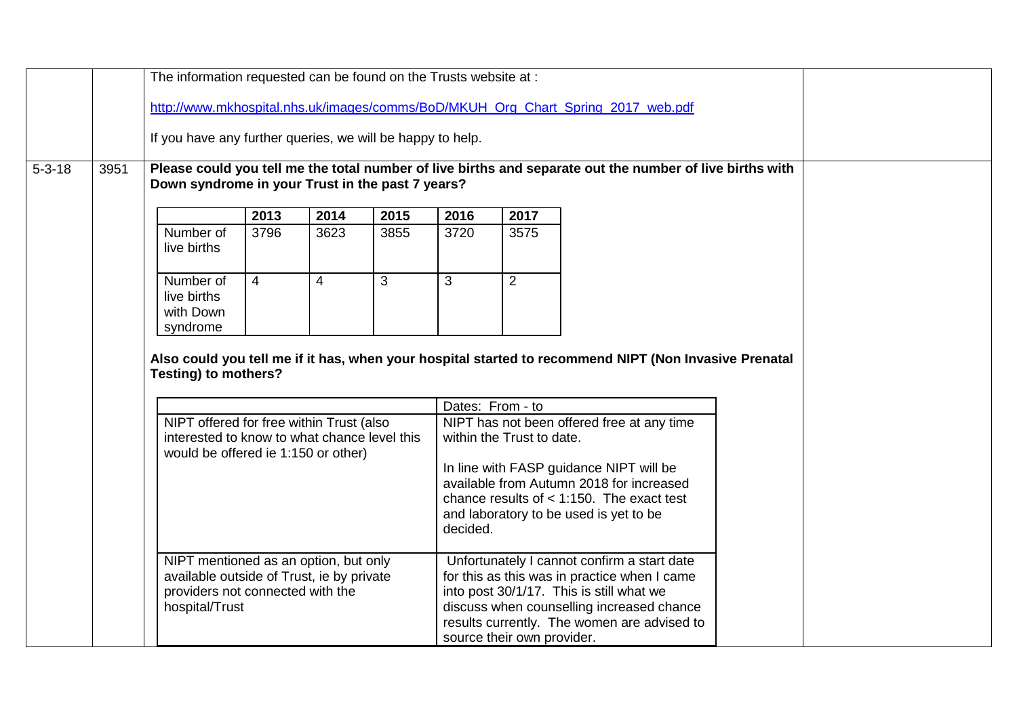|              |      | The information requested can be found on the Trusts website at :                                                               |                |                |      |                           |                                            |                                                                                                                                                                              |  |  |  |  |                            |
|--------------|------|---------------------------------------------------------------------------------------------------------------------------------|----------------|----------------|------|---------------------------|--------------------------------------------|------------------------------------------------------------------------------------------------------------------------------------------------------------------------------|--|--|--|--|----------------------------|
|              |      |                                                                                                                                 |                |                |      |                           |                                            | http://www.mkhospital.nhs.uk/images/comms/BoD/MKUH Org Chart Spring 2017 web.pdf                                                                                             |  |  |  |  |                            |
|              |      | If you have any further queries, we will be happy to help.                                                                      |                |                |      |                           |                                            |                                                                                                                                                                              |  |  |  |  |                            |
| $5 - 3 - 18$ | 3951 | Down syndrome in your Trust in the past 7 years?                                                                                |                |                |      |                           |                                            | Please could you tell me the total number of live births and separate out the number of live births with                                                                     |  |  |  |  |                            |
|              |      |                                                                                                                                 | 2013           | 2014           | 2015 | 2016                      | 2017                                       |                                                                                                                                                                              |  |  |  |  |                            |
|              |      | Number of<br>live births                                                                                                        | 3796           | 3623           | 3855 | 3720                      | 3575                                       |                                                                                                                                                                              |  |  |  |  |                            |
|              |      | Number of<br>live births<br>with Down<br>syndrome                                                                               | $\overline{4}$ | $\overline{4}$ | 3    | 3                         | 2                                          |                                                                                                                                                                              |  |  |  |  |                            |
|              |      | <b>Testing) to mothers?</b>                                                                                                     |                |                |      |                           | Dates: From - to                           | Also could you tell me if it has, when your hospital started to recommend NIPT (Non Invasive Prenatal                                                                        |  |  |  |  |                            |
|              |      | NIPT offered for free within Trust (also<br>interested to know to what chance level this<br>would be offered ie 1:150 or other) |                |                |      | within the Trust to date. | NIPT has not been offered free at any time |                                                                                                                                                                              |  |  |  |  |                            |
|              |      |                                                                                                                                 |                |                |      | decided.                  |                                            | In line with FASP guidance NIPT will be<br>available from Autumn 2018 for increased<br>chance results of $<$ 1:150. The exact test<br>and laboratory to be used is yet to be |  |  |  |  |                            |
|              |      |                                                                                                                                 |                |                |      |                           |                                            | NIPT mentioned as an option, but only<br>available outside of Trust, ie by private<br>providers not connected with the<br>hospital/Trust                                     |  |  |  |  | source their own provider. |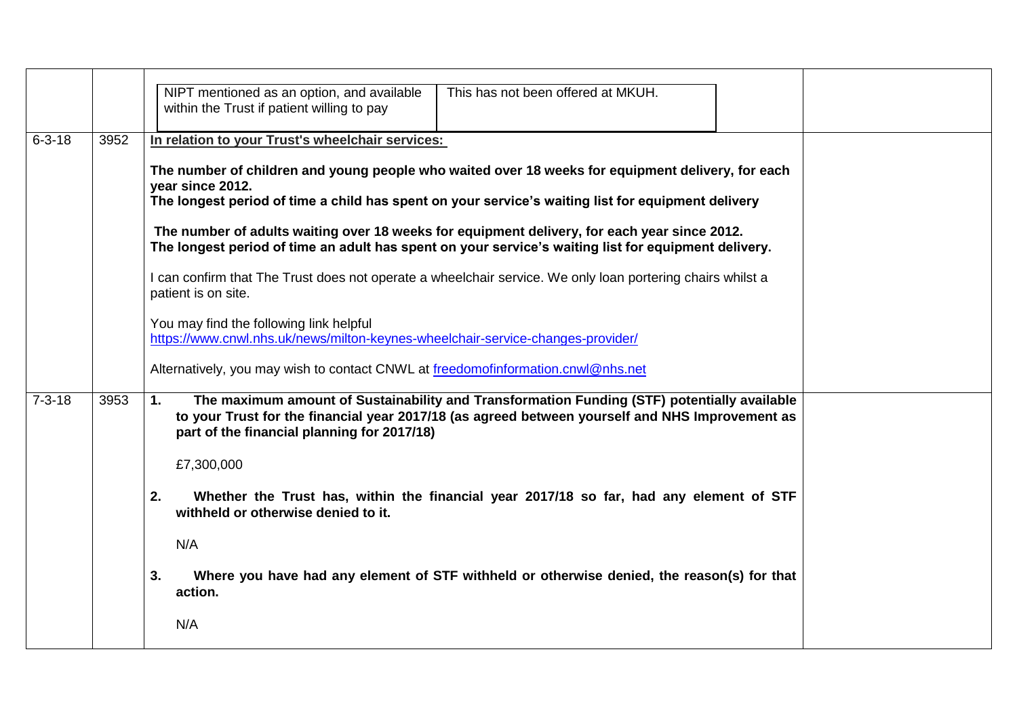|              |      | NIPT mentioned as an option, and available<br>This has not been offered at MKUH.<br>within the Trust if patient willing to pay                                                                                                                      |
|--------------|------|-----------------------------------------------------------------------------------------------------------------------------------------------------------------------------------------------------------------------------------------------------|
| $6 - 3 - 18$ | 3952 | In relation to your Trust's wheelchair services:                                                                                                                                                                                                    |
|              |      | The number of children and young people who waited over 18 weeks for equipment delivery, for each<br>year since 2012.<br>The longest period of time a child has spent on your service's waiting list for equipment delivery                         |
|              |      | The number of adults waiting over 18 weeks for equipment delivery, for each year since 2012.<br>The longest period of time an adult has spent on your service's waiting list for equipment delivery.                                                |
|              |      | I can confirm that The Trust does not operate a wheelchair service. We only loan portering chairs whilst a<br>patient is on site.                                                                                                                   |
|              |      | You may find the following link helpful<br>https://www.cnwl.nhs.uk/news/milton-keynes-wheelchair-service-changes-provider/                                                                                                                          |
|              |      | Alternatively, you may wish to contact CNWL at freedomofinformation.cnwl@nhs.net                                                                                                                                                                    |
| $7 - 3 - 18$ | 3953 | 1.<br>The maximum amount of Sustainability and Transformation Funding (STF) potentially available<br>to your Trust for the financial year 2017/18 (as agreed between yourself and NHS Improvement as<br>part of the financial planning for 2017/18) |
|              |      | £7,300,000                                                                                                                                                                                                                                          |
|              |      | 2.<br>Whether the Trust has, within the financial year 2017/18 so far, had any element of STF<br>withheld or otherwise denied to it.                                                                                                                |
|              |      | N/A                                                                                                                                                                                                                                                 |
|              |      | Where you have had any element of STF withheld or otherwise denied, the reason(s) for that<br>3.<br>action.                                                                                                                                         |
|              |      | N/A                                                                                                                                                                                                                                                 |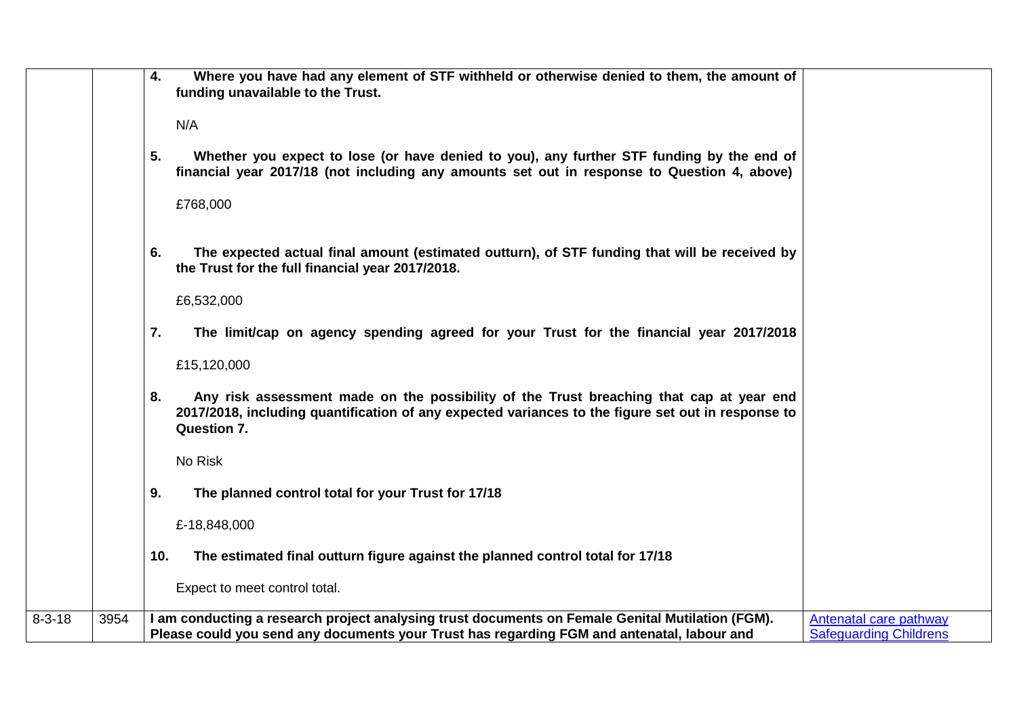|                      | Where you have had any element of STF withheld or otherwise denied to them, the amount of<br>4.<br>funding unavailable to the Trust.<br>N/A<br>Whether you expect to lose (or have denied to you), any further STF funding by the end of<br>5.<br>financial year 2017/18 (not including any amounts set out in response to Question 4, above)<br>£768,000 |
|----------------------|-----------------------------------------------------------------------------------------------------------------------------------------------------------------------------------------------------------------------------------------------------------------------------------------------------------------------------------------------------------|
|                      | 6.<br>The expected actual final amount (estimated outturn), of STF funding that will be received by<br>the Trust for the full financial year 2017/2018.<br>£6,532,000                                                                                                                                                                                     |
|                      | 7.<br>The limit/cap on agency spending agreed for your Trust for the financial year 2017/2018<br>£15,120,000                                                                                                                                                                                                                                              |
|                      | 8.<br>Any risk assessment made on the possibility of the Trust breaching that cap at year end<br>2017/2018, including quantification of any expected variances to the figure set out in response to<br><b>Question 7.</b>                                                                                                                                 |
|                      | No Risk                                                                                                                                                                                                                                                                                                                                                   |
|                      | 9.<br>The planned control total for your Trust for 17/18                                                                                                                                                                                                                                                                                                  |
|                      | £-18,848,000                                                                                                                                                                                                                                                                                                                                              |
|                      | The estimated final outturn figure against the planned control total for 17/18<br>10.                                                                                                                                                                                                                                                                     |
|                      | Expect to meet control total.                                                                                                                                                                                                                                                                                                                             |
| $8 - 3 - 18$<br>3954 | I am conducting a research project analysing trust documents on Female Genital Mutilation (FGM).<br><b>Antenatal care pathway</b><br><b>Safeguarding Childrens</b><br>Please could you send any documents your Trust has regarding FGM and antenatal, labour and                                                                                          |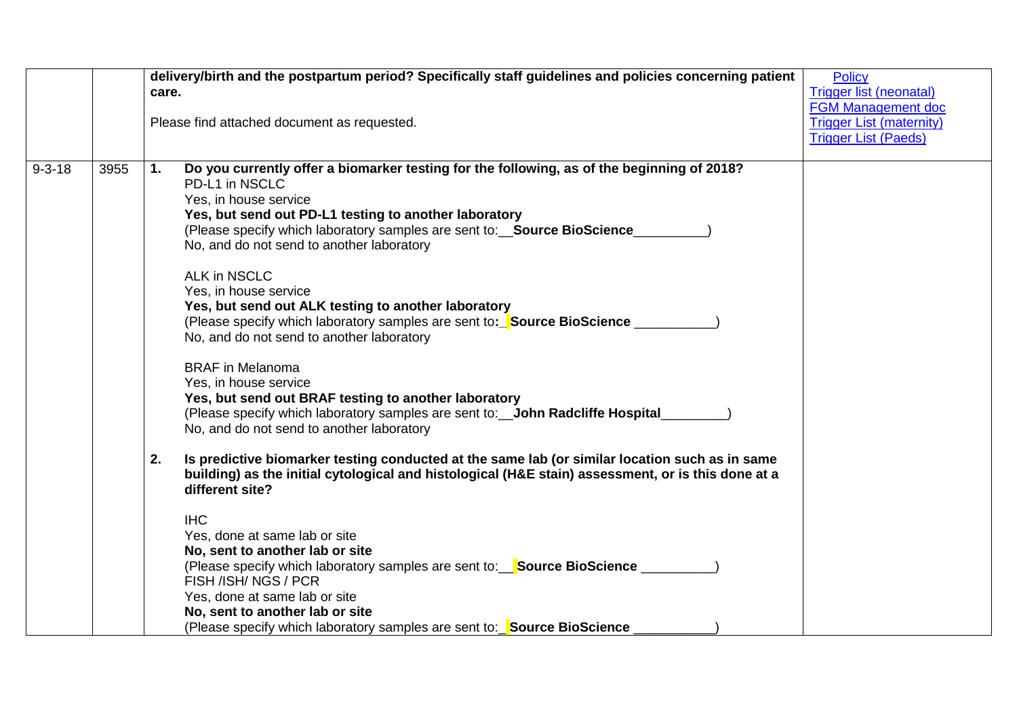|              |      | delivery/birth and the postpartum period? Specifically staff guidelines and policies concerning patient                                                                                                                                                                           | <b>Policy</b>                   |
|--------------|------|-----------------------------------------------------------------------------------------------------------------------------------------------------------------------------------------------------------------------------------------------------------------------------------|---------------------------------|
|              |      | care.                                                                                                                                                                                                                                                                             | <b>Trigger list (neonatal)</b>  |
|              |      |                                                                                                                                                                                                                                                                                   | FGM Management doc              |
|              |      | Please find attached document as requested.                                                                                                                                                                                                                                       | <b>Trigger List (maternity)</b> |
|              |      |                                                                                                                                                                                                                                                                                   | <b>Trigger List (Paeds)</b>     |
|              |      |                                                                                                                                                                                                                                                                                   |                                 |
| $9 - 3 - 18$ | 3955 | Do you currently offer a biomarker testing for the following, as of the beginning of 2018?<br>1.<br>PD-L1 in NSCLC<br>Yes, in house service<br>Yes, but send out PD-L1 testing to another laboratory<br>(Please specify which laboratory samples are sent to:__Source BioScience_ |                                 |
|              |      | No, and do not send to another laboratory                                                                                                                                                                                                                                         |                                 |
|              |      | <b>ALK in NSCLC</b>                                                                                                                                                                                                                                                               |                                 |
|              |      | Yes, in house service                                                                                                                                                                                                                                                             |                                 |
|              |      | Yes, but send out ALK testing to another laboratory                                                                                                                                                                                                                               |                                 |
|              |      | (Please specify which laboratory samples are sent to: Source BioScience<br>No, and do not send to another laboratory                                                                                                                                                              |                                 |
|              |      | <b>BRAF</b> in Melanoma<br>Yes, in house service<br>Yes, but send out BRAF testing to another laboratory<br>(Please specify which laboratory samples are sent to: __ John Radcliffe Hospital_<br>No, and do not send to another laboratory                                        |                                 |
|              |      | Is predictive biomarker testing conducted at the same lab (or similar location such as in same<br>2.<br>building) as the initial cytological and histological (H&E stain) assessment, or is this done at a<br>different site?                                                     |                                 |
|              |      | <b>IHC</b>                                                                                                                                                                                                                                                                        |                                 |
|              |      | Yes, done at same lab or site                                                                                                                                                                                                                                                     |                                 |
|              |      | No, sent to another lab or site                                                                                                                                                                                                                                                   |                                 |
|              |      | (Please specify which laboratory samples are sent to: Source BioScience ________                                                                                                                                                                                                  |                                 |
|              |      | FISH /ISH/NGS/PCR                                                                                                                                                                                                                                                                 |                                 |
|              |      | Yes, done at same lab or site                                                                                                                                                                                                                                                     |                                 |
|              |      | No, sent to another lab or site                                                                                                                                                                                                                                                   |                                 |
|              |      | (Please specify which laboratory samples are sent to: Source BioScience                                                                                                                                                                                                           |                                 |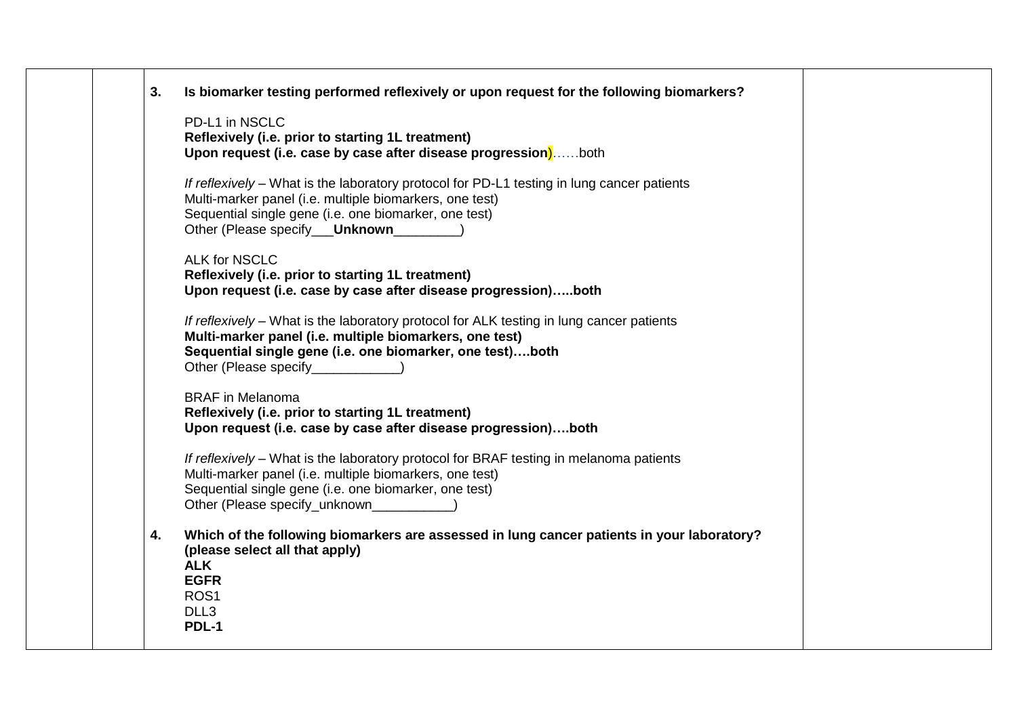| Is biomarker testing performed reflexively or upon request for the following biomarkers?<br>3.   |  |
|--------------------------------------------------------------------------------------------------|--|
| PD-L1 in NSCLC                                                                                   |  |
| Reflexively (i.e. prior to starting 1L treatment)                                                |  |
| Upon request (i.e. case by case after disease progression)both                                   |  |
|                                                                                                  |  |
| If reflexively - What is the laboratory protocol for PD-L1 testing in lung cancer patients       |  |
| Multi-marker panel (i.e. multiple biomarkers, one test)                                          |  |
| Sequential single gene (i.e. one biomarker, one test)                                            |  |
| Other (Please specify___Unknown________                                                          |  |
| <b>ALK for NSCLC</b>                                                                             |  |
| Reflexively (i.e. prior to starting 1L treatment)                                                |  |
| Upon request (i.e. case by case after disease progression)both                                   |  |
|                                                                                                  |  |
| If reflexively – What is the laboratory protocol for ALK testing in lung cancer patients         |  |
| Multi-marker panel (i.e. multiple biomarkers, one test)                                          |  |
| Sequential single gene (i.e. one biomarker, one test)both                                        |  |
| Other (Please specify____________                                                                |  |
| <b>BRAF</b> in Melanoma                                                                          |  |
| Reflexively (i.e. prior to starting 1L treatment)                                                |  |
| Upon request (i.e. case by case after disease progression)both                                   |  |
|                                                                                                  |  |
| If reflexively - What is the laboratory protocol for BRAF testing in melanoma patients           |  |
| Multi-marker panel (i.e. multiple biomarkers, one test)                                          |  |
| Sequential single gene (i.e. one biomarker, one test)                                            |  |
| Other (Please specify_unknown_____________)                                                      |  |
| Which of the following biomarkers are assessed in lung cancer patients in your laboratory?<br>4. |  |
| (please select all that apply)                                                                   |  |
| <b>ALK</b>                                                                                       |  |
| <b>EGFR</b>                                                                                      |  |
| ROS <sub>1</sub>                                                                                 |  |
| DLL <sub>3</sub>                                                                                 |  |
| PDL-1                                                                                            |  |
|                                                                                                  |  |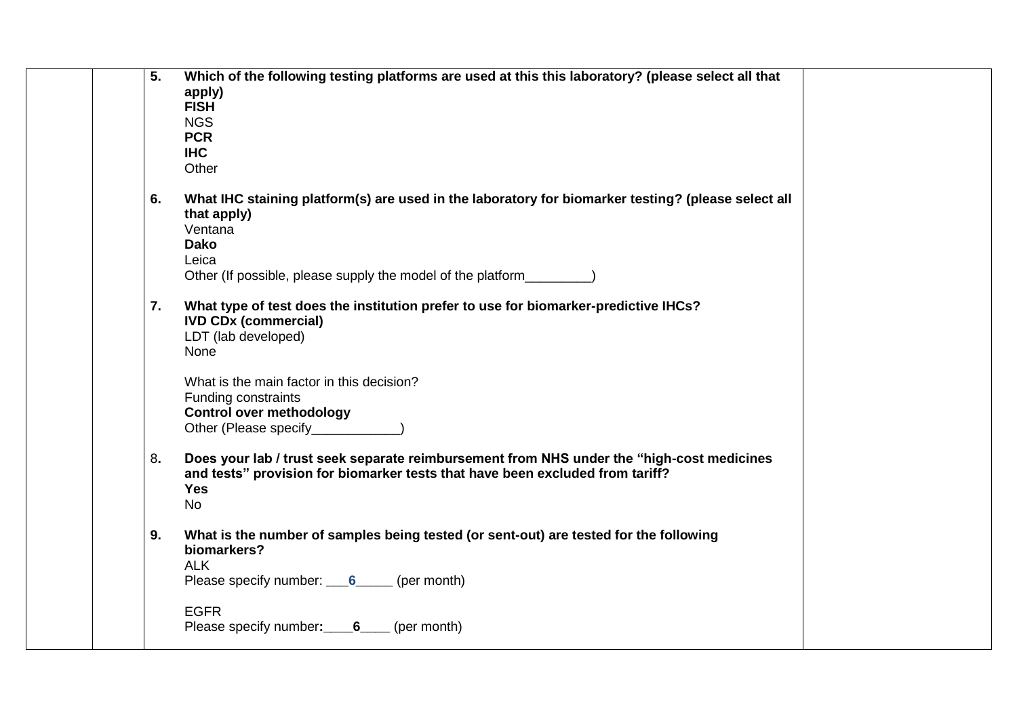| 5. | Which of the following testing platforms are used at this this laboratory? (please select all that |  |
|----|----------------------------------------------------------------------------------------------------|--|
|    | apply)                                                                                             |  |
|    | <b>FISH</b>                                                                                        |  |
|    | <b>NGS</b>                                                                                         |  |
|    | <b>PCR</b>                                                                                         |  |
|    | <b>IHC</b>                                                                                         |  |
|    | Other                                                                                              |  |
|    |                                                                                                    |  |
| 6. | What IHC staining platform(s) are used in the laboratory for biomarker testing? (please select all |  |
|    | that apply)                                                                                        |  |
|    | Ventana                                                                                            |  |
|    | <b>Dako</b>                                                                                        |  |
|    | Leica                                                                                              |  |
|    | Other (If possible, please supply the model of the platform_                                       |  |
|    |                                                                                                    |  |
| 7. | What type of test does the institution prefer to use for biomarker-predictive IHCs?                |  |
|    | <b>IVD CDx (commercial)</b>                                                                        |  |
|    | LDT (lab developed)                                                                                |  |
|    | None                                                                                               |  |
|    |                                                                                                    |  |
|    | What is the main factor in this decision?                                                          |  |
|    | Funding constraints                                                                                |  |
|    | <b>Control over methodology</b>                                                                    |  |
|    | Other (Please specify___________                                                                   |  |
|    |                                                                                                    |  |
| 8. | Does your lab / trust seek separate reimbursement from NHS under the "high-cost medicines"         |  |
|    | and tests" provision for biomarker tests that have been excluded from tariff?                      |  |
|    | <b>Yes</b>                                                                                         |  |
|    | <b>No</b>                                                                                          |  |
|    |                                                                                                    |  |
| 9. | What is the number of samples being tested (or sent-out) are tested for the following              |  |
|    | biomarkers?                                                                                        |  |
|    | <b>ALK</b>                                                                                         |  |
|    | Please specify number: 6_____ (per month)                                                          |  |
|    |                                                                                                    |  |
|    | <b>EGFR</b>                                                                                        |  |
|    | Please specify number: 6 (per month)                                                               |  |
|    |                                                                                                    |  |
|    |                                                                                                    |  |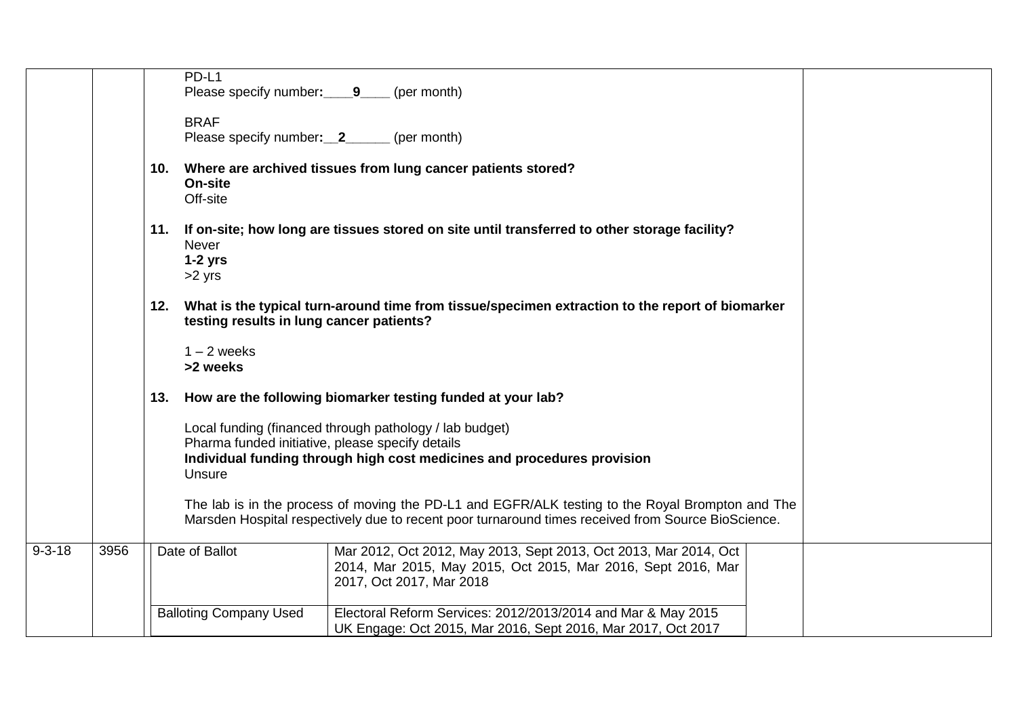|              |      |     | PD-L1                                                      |                                                                                                                                                                                                        |  |
|--------------|------|-----|------------------------------------------------------------|--------------------------------------------------------------------------------------------------------------------------------------------------------------------------------------------------------|--|
|              |      |     | Please specify number: 9 (per month)                       |                                                                                                                                                                                                        |  |
|              |      |     | <b>BRAF</b><br>Please specify number: 2                    | (per month)                                                                                                                                                                                            |  |
|              |      | 10. | On-site<br>Off-site                                        | Where are archived tissues from lung cancer patients stored?                                                                                                                                           |  |
|              |      |     | <b>Never</b><br>$1-2$ yrs<br>$>2$ yrs                      | 11. If on-site; how long are tissues stored on site until transferred to other storage facility?                                                                                                       |  |
|              |      |     | testing results in lung cancer patients?                   | 12. What is the typical turn-around time from tissue/specimen extraction to the report of biomarker                                                                                                    |  |
|              |      |     | $1 - 2$ weeks<br>>2 weeks                                  |                                                                                                                                                                                                        |  |
|              |      | 13. |                                                            | How are the following biomarker testing funded at your lab?                                                                                                                                            |  |
|              |      |     | Pharma funded initiative, please specify details<br>Unsure | Local funding (financed through pathology / lab budget)<br>Individual funding through high cost medicines and procedures provision                                                                     |  |
|              |      |     |                                                            | The lab is in the process of moving the PD-L1 and EGFR/ALK testing to the Royal Brompton and The<br>Marsden Hospital respectively due to recent poor turnaround times received from Source BioScience. |  |
| $9 - 3 - 18$ | 3956 |     | Date of Ballot                                             | Mar 2012, Oct 2012, May 2013, Sept 2013, Oct 2013, Mar 2014, Oct<br>2014, Mar 2015, May 2015, Oct 2015, Mar 2016, Sept 2016, Mar<br>2017, Oct 2017, Mar 2018                                           |  |
|              |      |     | <b>Balloting Company Used</b>                              | Electoral Reform Services: 2012/2013/2014 and Mar & May 2015<br>UK Engage: Oct 2015, Mar 2016, Sept 2016, Mar 2017, Oct 2017                                                                           |  |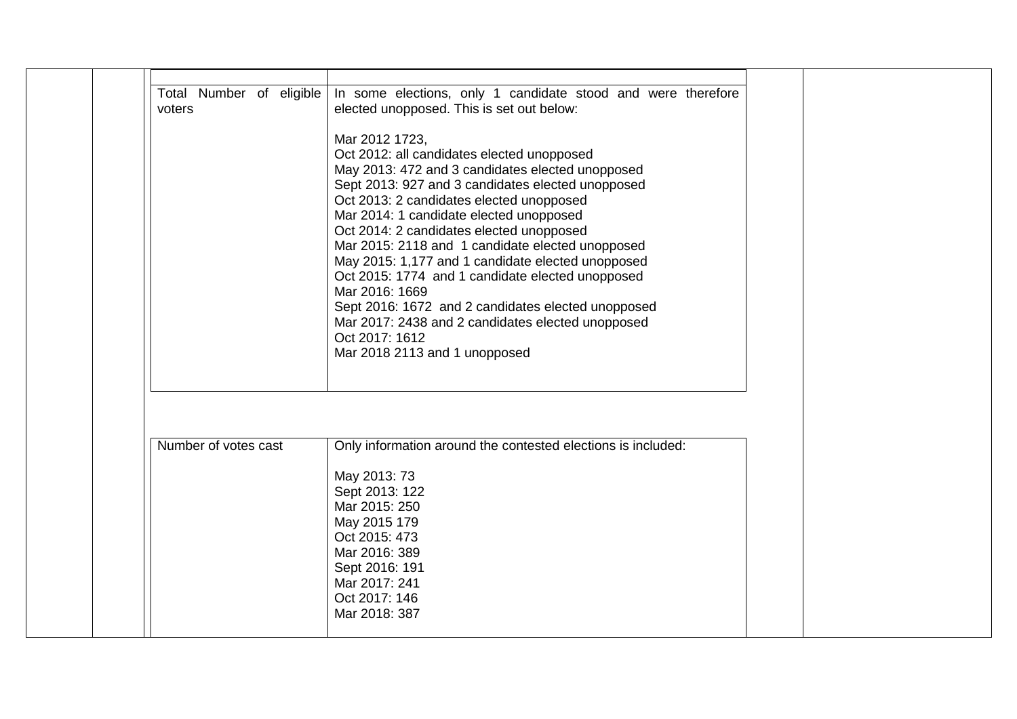| voters               | Total Number of eligible In some elections, only 1 candidate stood and were therefore<br>elected unopposed. This is set out below:                                                                                                                                                                                                                                                                                                                                                                                                                                                                                                                    |  |
|----------------------|-------------------------------------------------------------------------------------------------------------------------------------------------------------------------------------------------------------------------------------------------------------------------------------------------------------------------------------------------------------------------------------------------------------------------------------------------------------------------------------------------------------------------------------------------------------------------------------------------------------------------------------------------------|--|
|                      | Mar 2012 1723,<br>Oct 2012: all candidates elected unopposed<br>May 2013: 472 and 3 candidates elected unopposed<br>Sept 2013: 927 and 3 candidates elected unopposed<br>Oct 2013: 2 candidates elected unopposed<br>Mar 2014: 1 candidate elected unopposed<br>Oct 2014: 2 candidates elected unopposed<br>Mar 2015: 2118 and 1 candidate elected unopposed<br>May 2015: 1,177 and 1 candidate elected unopposed<br>Oct 2015: 1774 and 1 candidate elected unopposed<br>Mar 2016: 1669<br>Sept 2016: 1672 and 2 candidates elected unopposed<br>Mar 2017: 2438 and 2 candidates elected unopposed<br>Oct 2017: 1612<br>Mar 2018 2113 and 1 unopposed |  |
|                      |                                                                                                                                                                                                                                                                                                                                                                                                                                                                                                                                                                                                                                                       |  |
| Number of votes cast | Only information around the contested elections is included:<br>May 2013: 73<br>Sept 2013: 122<br>Mar 2015: 250<br>May 2015 179<br>Oct 2015: 473<br>Mar 2016: 389<br>Sept 2016: 191<br>Mar 2017: 241<br>Oct 2017: 146<br>Mar 2018: 387                                                                                                                                                                                                                                                                                                                                                                                                                |  |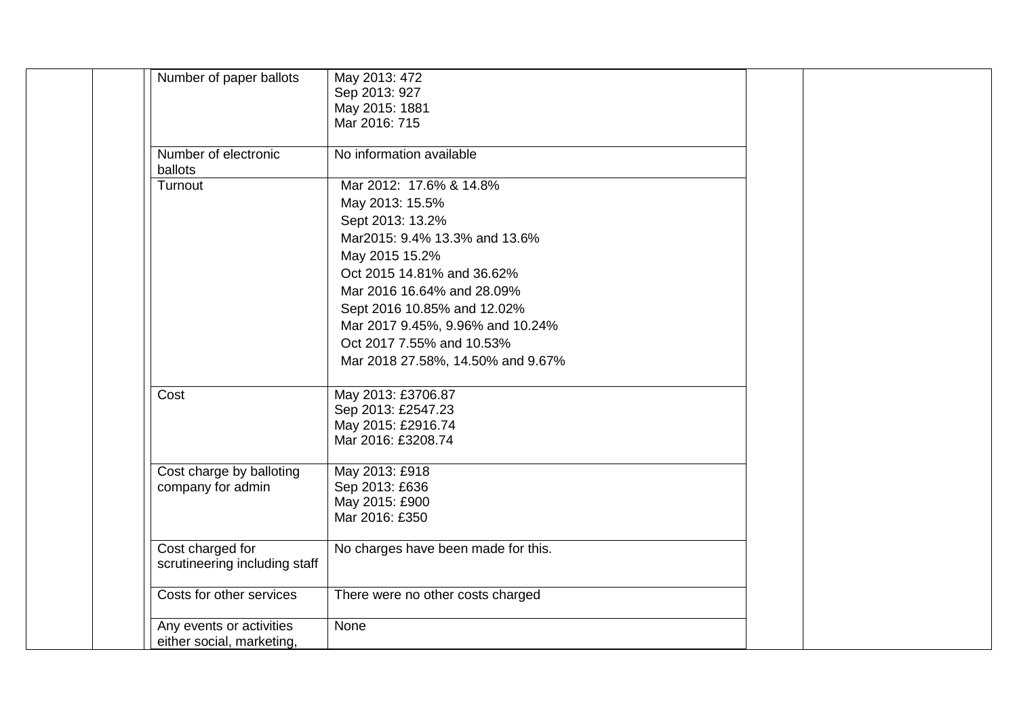| Number of paper ballots       | May 2013: 472<br>Sep 2013: 927      |  |
|-------------------------------|-------------------------------------|--|
|                               | May 2015: 1881                      |  |
|                               | Mar 2016: 715                       |  |
|                               |                                     |  |
| Number of electronic          | No information available            |  |
| ballots                       |                                     |  |
| Turnout                       | Mar 2012: 17.6% & 14.8%             |  |
|                               | May 2013: 15.5%                     |  |
|                               | Sept 2013: 13.2%                    |  |
|                               | Mar2015: 9.4% 13.3% and 13.6%       |  |
|                               | May 2015 15.2%                      |  |
|                               | Oct 2015 14.81% and 36.62%          |  |
|                               | Mar 2016 16.64% and 28.09%          |  |
|                               | Sept 2016 10.85% and 12.02%         |  |
|                               | Mar 2017 9.45%, 9.96% and 10.24%    |  |
|                               | Oct 2017 7.55% and 10.53%           |  |
|                               | Mar 2018 27.58%, 14.50% and 9.67%   |  |
| Cost                          | May 2013: £3706.87                  |  |
|                               | Sep 2013: £2547.23                  |  |
|                               | May 2015: £2916.74                  |  |
|                               | Mar 2016: £3208.74                  |  |
|                               |                                     |  |
| Cost charge by balloting      | May 2013: £918                      |  |
| company for admin             | Sep 2013: £636<br>May 2015: £900    |  |
|                               | Mar 2016: £350                      |  |
|                               |                                     |  |
| Cost charged for              | No charges have been made for this. |  |
| scrutineering including staff |                                     |  |
|                               |                                     |  |
| Costs for other services      | There were no other costs charged   |  |
| Any events or activities      | None                                |  |
| either social, marketing,     |                                     |  |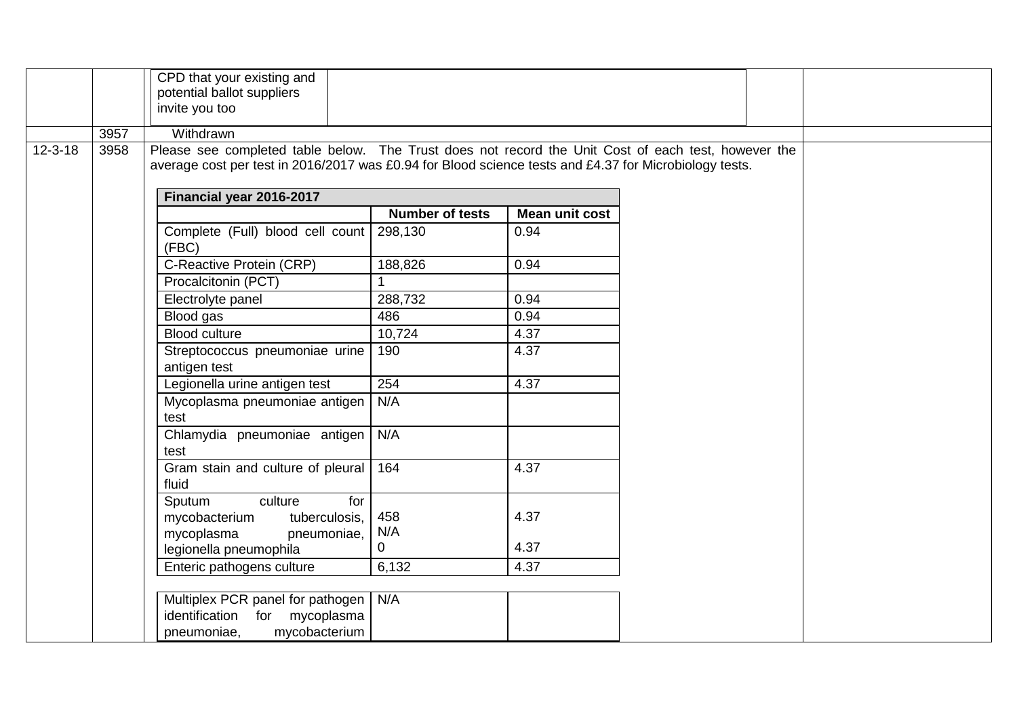|               |      | CPD that your existing and<br>potential ballot suppliers<br>invite you too                                                                                                                                                                |                        |                       |  |  |
|---------------|------|-------------------------------------------------------------------------------------------------------------------------------------------------------------------------------------------------------------------------------------------|------------------------|-----------------------|--|--|
|               | 3957 | Withdrawn                                                                                                                                                                                                                                 |                        |                       |  |  |
| $12 - 3 - 18$ | 3958 | Please see completed table below. The Trust does not record the Unit Cost of each test, however the<br>average cost per test in 2016/2017 was £0.94 for Blood science tests and £4.37 for Microbiology tests.<br>Financial year 2016-2017 |                        |                       |  |  |
|               |      |                                                                                                                                                                                                                                           | <b>Number of tests</b> | <b>Mean unit cost</b> |  |  |
|               |      | Complete (Full) blood cell count 298,130<br>(FBC)                                                                                                                                                                                         |                        | 0.94                  |  |  |
|               |      | C-Reactive Protein (CRP)                                                                                                                                                                                                                  | 188,826                | 0.94                  |  |  |
|               |      | Procalcitonin (PCT)                                                                                                                                                                                                                       | $\mathbf{1}$           |                       |  |  |
|               |      | Electrolyte panel                                                                                                                                                                                                                         | 288,732                | 0.94                  |  |  |
|               |      | Blood gas                                                                                                                                                                                                                                 | 486                    | 0.94                  |  |  |
|               |      | <b>Blood culture</b>                                                                                                                                                                                                                      | 10,724                 | 4.37                  |  |  |
|               |      | Streptococcus pneumoniae urine<br>antigen test                                                                                                                                                                                            | 190                    | 4.37                  |  |  |
|               |      | Legionella urine antigen test                                                                                                                                                                                                             | 254                    | 4.37                  |  |  |
|               |      | Mycoplasma pneumoniae antigen<br>test                                                                                                                                                                                                     | N/A                    |                       |  |  |
|               |      | Chlamydia pneumoniae antigen   N/A<br>test                                                                                                                                                                                                |                        |                       |  |  |
|               |      | Gram stain and culture of pleural   164<br>fluid                                                                                                                                                                                          |                        | 4.37                  |  |  |
|               |      | Sputum<br>culture<br>for<br>mycobacterium<br>tuberculosis,<br>mycoplasma<br>pneumoniae,                                                                                                                                                   | 458<br>N/A             | 4.37                  |  |  |
|               |      | legionella pneumophila                                                                                                                                                                                                                    | $\mathbf{0}$           | 4.37                  |  |  |
|               |      | Enteric pathogens culture                                                                                                                                                                                                                 | 6,132                  | 4.37                  |  |  |
|               |      |                                                                                                                                                                                                                                           |                        |                       |  |  |
|               |      | Multiplex PCR panel for pathogen<br>identification<br>for mycoplasma<br>mycobacterium<br>pneumoniae,                                                                                                                                      | N/A                    |                       |  |  |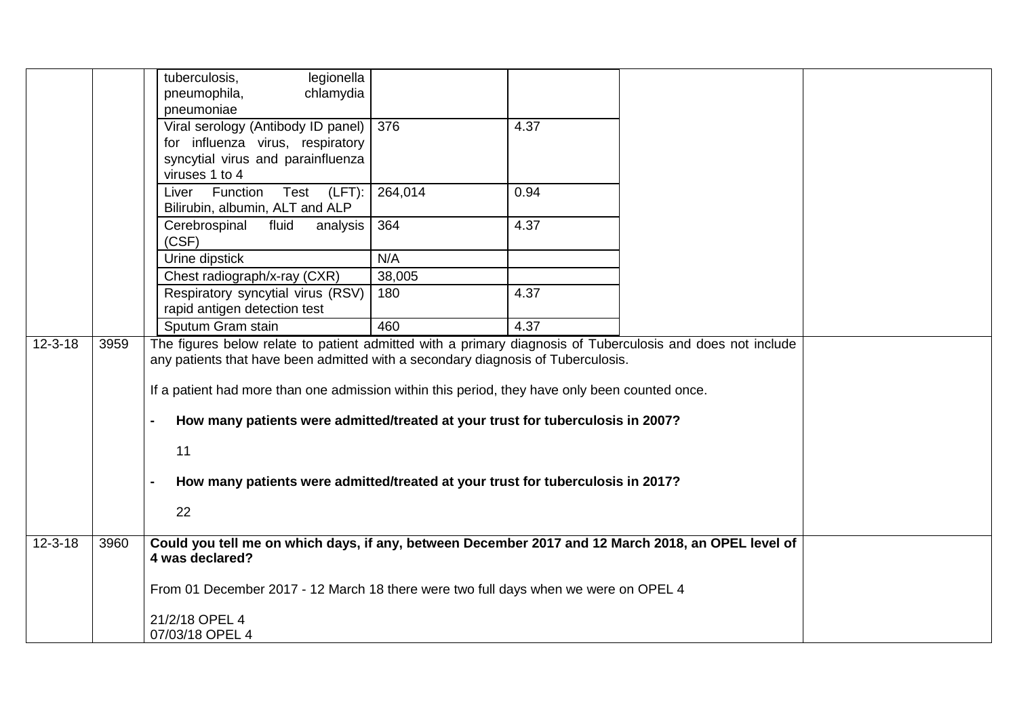|               |      | tuberculosis,<br>legionella<br>chlamydia<br>pneumophila,<br>pneumoniae                                                                                                                                                                                                                                                                                                                                                                                                             |         |      |  |
|---------------|------|------------------------------------------------------------------------------------------------------------------------------------------------------------------------------------------------------------------------------------------------------------------------------------------------------------------------------------------------------------------------------------------------------------------------------------------------------------------------------------|---------|------|--|
|               |      | Viral serology (Antibody ID panel)   376<br>for influenza virus, respiratory<br>syncytial virus and parainfluenza<br>viruses 1 to 4                                                                                                                                                                                                                                                                                                                                                |         | 4.37 |  |
|               |      | Test (LFT):<br>Liver Function<br>Bilirubin, albumin, ALT and ALP                                                                                                                                                                                                                                                                                                                                                                                                                   | 264,014 | 0.94 |  |
|               |      | Cerebrospinal<br>fluid<br>analysis  <br>(CSF)                                                                                                                                                                                                                                                                                                                                                                                                                                      | 364     | 4.37 |  |
|               |      | Urine dipstick                                                                                                                                                                                                                                                                                                                                                                                                                                                                     | N/A     |      |  |
|               |      | Chest radiograph/x-ray (CXR)                                                                                                                                                                                                                                                                                                                                                                                                                                                       | 38,005  |      |  |
|               |      | Respiratory syncytial virus (RSV)<br>rapid antigen detection test                                                                                                                                                                                                                                                                                                                                                                                                                  | 180     | 4.37 |  |
|               |      | Sputum Gram stain                                                                                                                                                                                                                                                                                                                                                                                                                                                                  | 460     | 4.37 |  |
| $12 - 3 - 18$ | 3959 | The figures below relate to patient admitted with a primary diagnosis of Tuberculosis and does not include<br>any patients that have been admitted with a secondary diagnosis of Tuberculosis.<br>If a patient had more than one admission within this period, they have only been counted once.<br>How many patients were admitted/treated at your trust for tuberculosis in 2007?<br>11<br>How many patients were admitted/treated at your trust for tuberculosis in 2017?<br>22 |         |      |  |
| $12 - 3 - 18$ | 3960 | Could you tell me on which days, if any, between December 2017 and 12 March 2018, an OPEL level of<br>4 was declared?                                                                                                                                                                                                                                                                                                                                                              |         |      |  |
|               |      | From 01 December 2017 - 12 March 18 there were two full days when we were on OPEL 4                                                                                                                                                                                                                                                                                                                                                                                                |         |      |  |
|               |      | 21/2/18 OPEL 4<br>07/03/18 OPEL 4                                                                                                                                                                                                                                                                                                                                                                                                                                                  |         |      |  |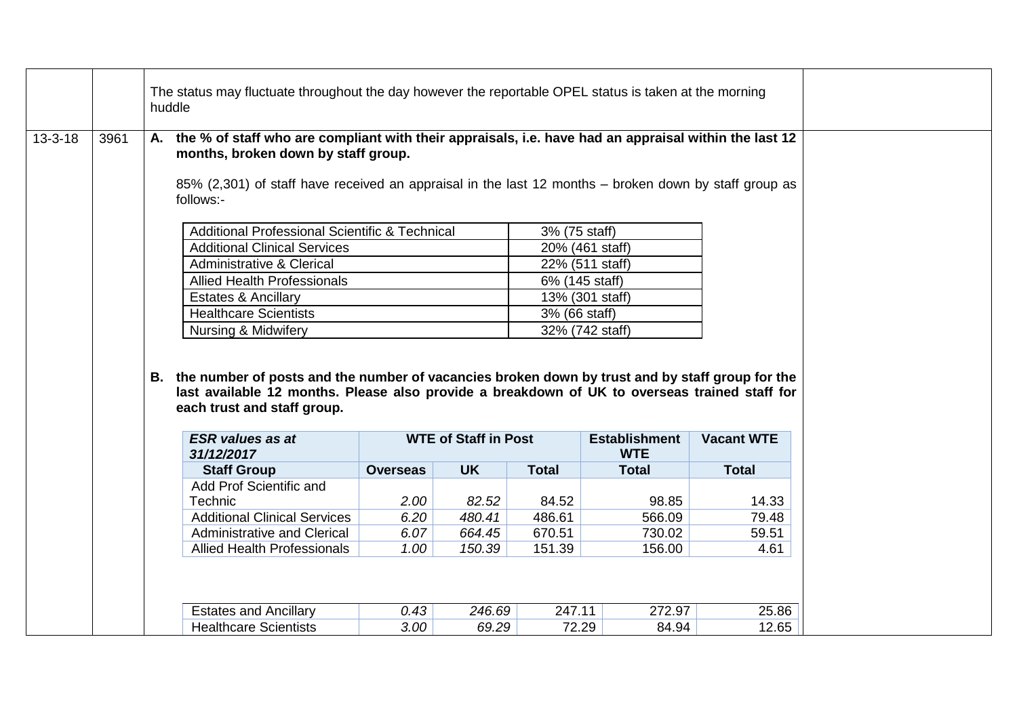|               |      | huddle |                                                                                                                                                                                                                                                                       | The status may fluctuate throughout the day however the reportable OPEL status is taken at the morning |                             |                 |                      |                   |  |  |  |
|---------------|------|--------|-----------------------------------------------------------------------------------------------------------------------------------------------------------------------------------------------------------------------------------------------------------------------|--------------------------------------------------------------------------------------------------------|-----------------------------|-----------------|----------------------|-------------------|--|--|--|
| $13 - 3 - 18$ | 3961 |        | A. the % of staff who are compliant with their appraisals, i.e. have had an appraisal within the last 12<br>months, broken down by staff group.<br>85% (2,301) of staff have received an appraisal in the last 12 months - broken down by staff group as<br>follows:- |                                                                                                        |                             |                 |                      |                   |  |  |  |
|               |      |        | <b>Additional Professional Scientific &amp; Technical</b>                                                                                                                                                                                                             |                                                                                                        |                             | 3% (75 staff)   |                      |                   |  |  |  |
|               |      |        | <b>Additional Clinical Services</b>                                                                                                                                                                                                                                   |                                                                                                        |                             |                 | 20% (461 staff)      |                   |  |  |  |
|               |      |        | <b>Administrative &amp; Clerical</b>                                                                                                                                                                                                                                  |                                                                                                        |                             | 22% (511 staff) |                      |                   |  |  |  |
|               |      |        | <b>Allied Health Professionals</b>                                                                                                                                                                                                                                    |                                                                                                        |                             | 6% (145 staff)  |                      |                   |  |  |  |
|               |      |        | <b>Estates &amp; Ancillary</b>                                                                                                                                                                                                                                        |                                                                                                        |                             |                 | 13% (301 staff)      |                   |  |  |  |
|               |      |        | <b>Healthcare Scientists</b>                                                                                                                                                                                                                                          |                                                                                                        |                             | 3% (66 staff)   |                      |                   |  |  |  |
|               |      |        | Nursing & Midwifery<br>32% (742 staff)                                                                                                                                                                                                                                |                                                                                                        |                             |                 |                      |                   |  |  |  |
|               |      |        |                                                                                                                                                                                                                                                                       |                                                                                                        |                             |                 |                      |                   |  |  |  |
|               |      |        | B. the number of posts and the number of vacancies broken down by trust and by staff group for the<br>last available 12 months. Please also provide a breakdown of UK to overseas trained staff for<br>each trust and staff group.<br><b>ESR</b> values as at         |                                                                                                        | <b>WTE of Staff in Post</b> |                 | <b>Establishment</b> | <b>Vacant WTE</b> |  |  |  |
|               |      |        | 31/12/2017                                                                                                                                                                                                                                                            |                                                                                                        |                             |                 | <b>WTE</b>           |                   |  |  |  |
|               |      |        | <b>Staff Group</b><br>Add Prof Scientific and                                                                                                                                                                                                                         | <b>Overseas</b>                                                                                        | <b>UK</b>                   | <b>Total</b>    | <b>Total</b>         | <b>Total</b>      |  |  |  |
|               |      |        | Technic                                                                                                                                                                                                                                                               | 2.00                                                                                                   | 82.52                       | 84.52           | 98.85                | 14.33             |  |  |  |
|               |      |        | <b>Additional Clinical Services</b>                                                                                                                                                                                                                                   | 6.20                                                                                                   | 480.41                      | 486.61          | 566.09               | 79.48             |  |  |  |
|               |      |        | <b>Administrative and Clerical</b>                                                                                                                                                                                                                                    | 6.07                                                                                                   | 664.45                      | 670.51          | 730.02               | 59.51             |  |  |  |
|               |      |        | <b>Allied Health Professionals</b>                                                                                                                                                                                                                                    | 1.00                                                                                                   | 150.39                      | 151.39          | 156.00               | 4.61              |  |  |  |
|               |      |        |                                                                                                                                                                                                                                                                       |                                                                                                        |                             |                 |                      |                   |  |  |  |
|               |      |        | <b>Estates and Ancillary</b>                                                                                                                                                                                                                                          | 0.43                                                                                                   | 246.69                      | 247.11          | 272.97               | 25.86             |  |  |  |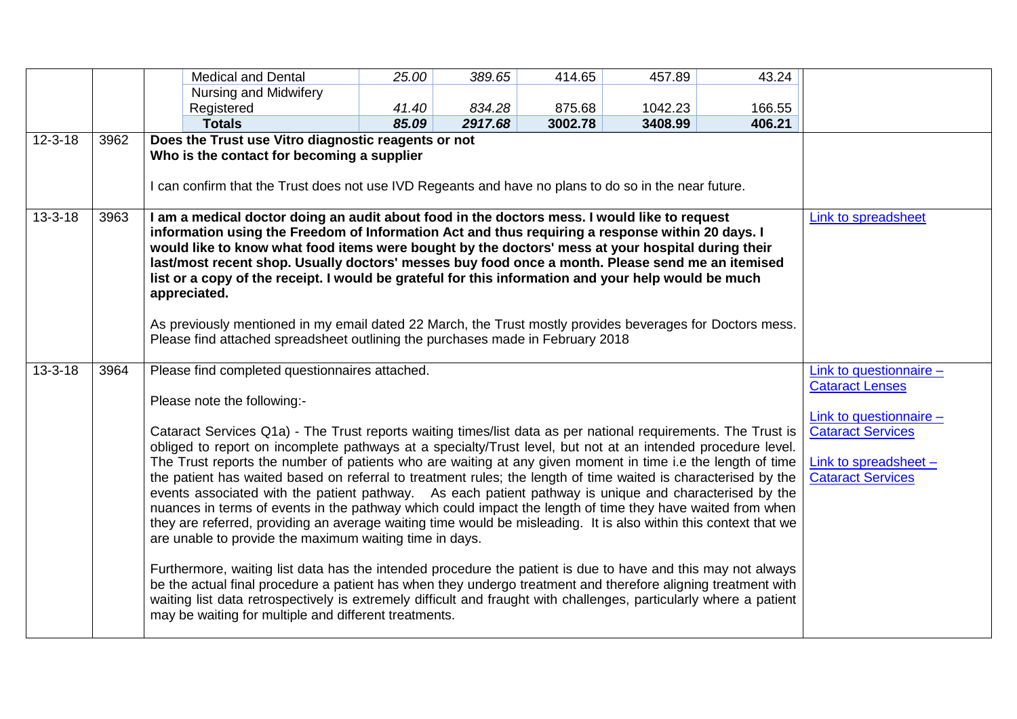|               |      | <b>Medical and Dental</b>                                                                                                                                                                                                                                                                                                                                                                                                                                                                                                                                                                                                                                                                                                                                                                                                                                                                                                                                                                                                                                                                                                                                                                                                                                                                                                                                              | 25.00 | 389.65  | 414.65  | 457.89  | 43.24  |                                                                                                                                                               |
|---------------|------|------------------------------------------------------------------------------------------------------------------------------------------------------------------------------------------------------------------------------------------------------------------------------------------------------------------------------------------------------------------------------------------------------------------------------------------------------------------------------------------------------------------------------------------------------------------------------------------------------------------------------------------------------------------------------------------------------------------------------------------------------------------------------------------------------------------------------------------------------------------------------------------------------------------------------------------------------------------------------------------------------------------------------------------------------------------------------------------------------------------------------------------------------------------------------------------------------------------------------------------------------------------------------------------------------------------------------------------------------------------------|-------|---------|---------|---------|--------|---------------------------------------------------------------------------------------------------------------------------------------------------------------|
|               |      | <b>Nursing and Midwifery</b>                                                                                                                                                                                                                                                                                                                                                                                                                                                                                                                                                                                                                                                                                                                                                                                                                                                                                                                                                                                                                                                                                                                                                                                                                                                                                                                                           |       |         |         |         |        |                                                                                                                                                               |
|               |      | Registered                                                                                                                                                                                                                                                                                                                                                                                                                                                                                                                                                                                                                                                                                                                                                                                                                                                                                                                                                                                                                                                                                                                                                                                                                                                                                                                                                             | 41.40 | 834.28  | 875.68  | 1042.23 | 166.55 |                                                                                                                                                               |
|               |      | <b>Totals</b>                                                                                                                                                                                                                                                                                                                                                                                                                                                                                                                                                                                                                                                                                                                                                                                                                                                                                                                                                                                                                                                                                                                                                                                                                                                                                                                                                          | 85.09 | 2917.68 | 3002.78 | 3408.99 | 406.21 |                                                                                                                                                               |
| $12 - 3 - 18$ | 3962 | Does the Trust use Vitro diagnostic reagents or not<br>Who is the contact for becoming a supplier<br>I can confirm that the Trust does not use IVD Regeants and have no plans to do so in the near future.                                                                                                                                                                                                                                                                                                                                                                                                                                                                                                                                                                                                                                                                                                                                                                                                                                                                                                                                                                                                                                                                                                                                                             |       |         |         |         |        |                                                                                                                                                               |
| $13 - 3 - 18$ | 3963 | I am a medical doctor doing an audit about food in the doctors mess. I would like to request<br>information using the Freedom of Information Act and thus requiring a response within 20 days. I<br>would like to know what food items were bought by the doctors' mess at your hospital during their<br>last/most recent shop. Usually doctors' messes buy food once a month. Please send me an itemised<br>list or a copy of the receipt. I would be grateful for this information and your help would be much<br>appreciated.<br>As previously mentioned in my email dated 22 March, the Trust mostly provides beverages for Doctors mess.<br>Please find attached spreadsheet outlining the purchases made in February 2018                                                                                                                                                                                                                                                                                                                                                                                                                                                                                                                                                                                                                                        |       |         |         |         |        | Link to spreadsheet                                                                                                                                           |
| $13 - 3 - 18$ | 3964 | Please find completed questionnaires attached.<br>Please note the following:-<br>Cataract Services Q1a) - The Trust reports waiting times/list data as per national requirements. The Trust is<br>obliged to report on incomplete pathways at a specialty/Trust level, but not at an intended procedure level.<br>The Trust reports the number of patients who are waiting at any given moment in time i.e the length of time<br>the patient has waited based on referral to treatment rules; the length of time waited is characterised by the<br>events associated with the patient pathway. As each patient pathway is unique and characterised by the<br>nuances in terms of events in the pathway which could impact the length of time they have waited from when<br>they are referred, providing an average waiting time would be misleading. It is also within this context that we<br>are unable to provide the maximum waiting time in days.<br>Furthermore, waiting list data has the intended procedure the patient is due to have and this may not always<br>be the actual final procedure a patient has when they undergo treatment and therefore aligning treatment with<br>waiting list data retrospectively is extremely difficult and fraught with challenges, particularly where a patient<br>may be waiting for multiple and different treatments. |       |         |         |         |        | Link to questionnaire -<br><b>Cataract Lenses</b><br>Link to questionnaire -<br><b>Cataract Services</b><br>Link to spreadsheet -<br><b>Cataract Services</b> |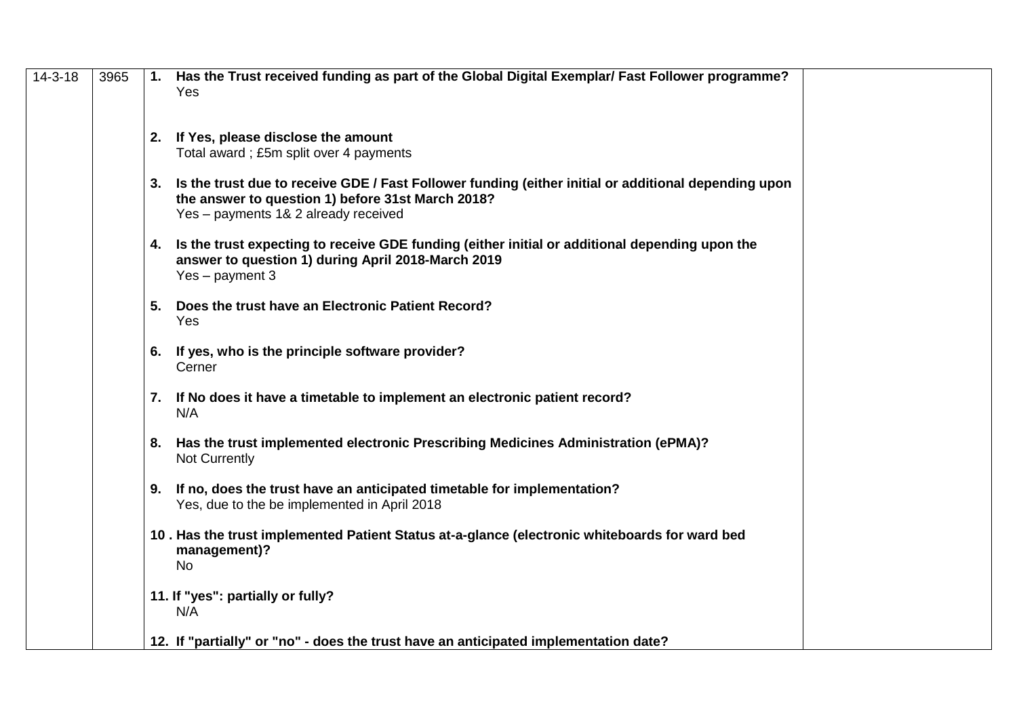| $14 - 3 - 18$ | 3965 |    | 1. Has the Trust received funding as part of the Global Digital Exemplar/ Fast Follower programme?<br>Yes |  |
|---------------|------|----|-----------------------------------------------------------------------------------------------------------|--|
|               |      |    |                                                                                                           |  |
|               |      |    | 2. If Yes, please disclose the amount                                                                     |  |
|               |      |    | Total award; £5m split over 4 payments                                                                    |  |
|               |      |    | 3. Is the trust due to receive GDE / Fast Follower funding (either initial or additional depending upon   |  |
|               |      |    | the answer to question 1) before 31st March 2018?                                                         |  |
|               |      |    | Yes - payments 1& 2 already received                                                                      |  |
|               |      |    | 4. Is the trust expecting to receive GDE funding (either initial or additional depending upon the         |  |
|               |      |    | answer to question 1) during April 2018-March 2019                                                        |  |
|               |      |    | Yes - payment 3                                                                                           |  |
|               |      |    | 5. Does the trust have an Electronic Patient Record?                                                      |  |
|               |      |    | Yes                                                                                                       |  |
|               |      | 6. | If yes, who is the principle software provider?                                                           |  |
|               |      |    | Cerner                                                                                                    |  |
|               |      |    | 7. If No does it have a timetable to implement an electronic patient record?                              |  |
|               |      |    | N/A                                                                                                       |  |
|               |      |    |                                                                                                           |  |
|               |      |    | 8. Has the trust implemented electronic Prescribing Medicines Administration (ePMA)?<br>Not Currently     |  |
|               |      |    |                                                                                                           |  |
|               |      |    | 9. If no, does the trust have an anticipated timetable for implementation?                                |  |
|               |      |    | Yes, due to the be implemented in April 2018                                                              |  |
|               |      |    | 10. Has the trust implemented Patient Status at-a-glance (electronic whiteboards for ward bed             |  |
|               |      |    | management)?                                                                                              |  |
|               |      |    | <b>No</b>                                                                                                 |  |
|               |      |    | 11. If "yes": partially or fully?                                                                         |  |
|               |      |    | N/A                                                                                                       |  |
|               |      |    | 12. If "partially" or "no" - does the trust have an anticipated implementation date?                      |  |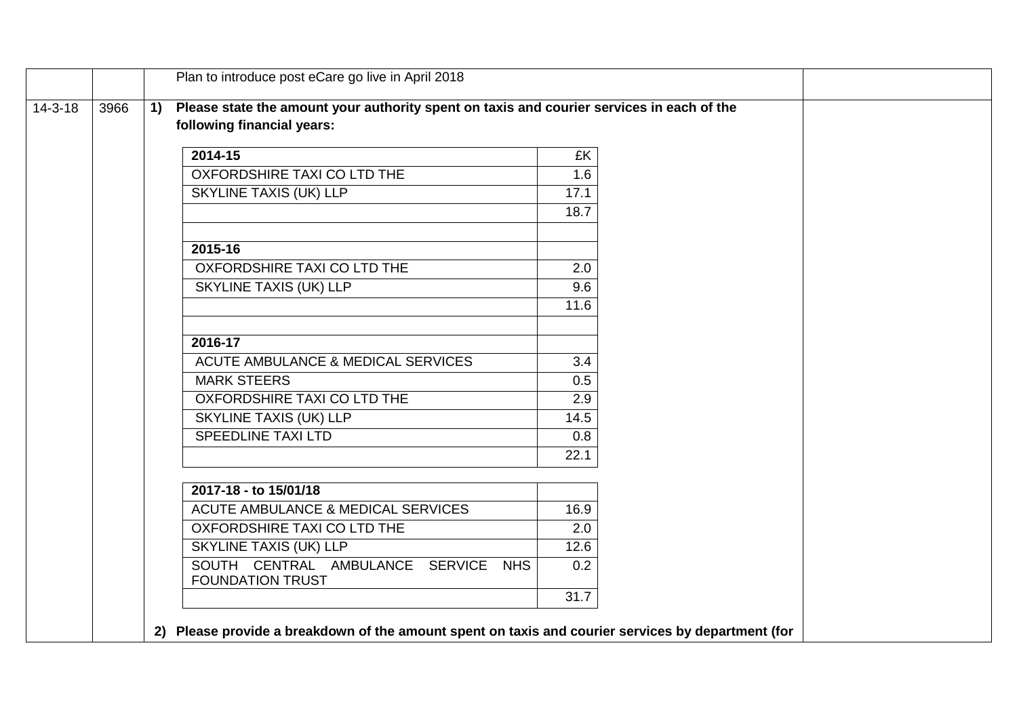|               |      |  | Plan to introduce post eCare go live in April 2018                                                 |      |  |
|---------------|------|--|----------------------------------------------------------------------------------------------------|------|--|
| $14 - 3 - 18$ | 3966 |  | Please state the amount your authority spent on taxis and courier services in each of the          |      |  |
|               |      |  | following financial years:                                                                         |      |  |
|               |      |  | 2014-15                                                                                            | £K   |  |
|               |      |  | OXFORDSHIRE TAXI CO LTD THE                                                                        | 1.6  |  |
|               |      |  | <b>SKYLINE TAXIS (UK) LLP</b>                                                                      | 17.1 |  |
|               |      |  |                                                                                                    | 18.7 |  |
|               |      |  |                                                                                                    |      |  |
|               |      |  | 2015-16                                                                                            |      |  |
|               |      |  | OXFORDSHIRE TAXI CO LTD THE                                                                        | 2.0  |  |
|               |      |  | <b>SKYLINE TAXIS (UK) LLP</b>                                                                      | 9.6  |  |
|               |      |  |                                                                                                    | 11.6 |  |
|               |      |  | 2016-17                                                                                            |      |  |
|               |      |  | ACUTE AMBULANCE & MEDICAL SERVICES                                                                 | 3.4  |  |
|               |      |  | <b>MARK STEERS</b>                                                                                 | 0.5  |  |
|               |      |  | OXFORDSHIRE TAXI CO LTD THE                                                                        | 2.9  |  |
|               |      |  | SKYLINE TAXIS (UK) LLP                                                                             | 14.5 |  |
|               |      |  | <b>SPEEDLINE TAXI LTD</b>                                                                          | 0.8  |  |
|               |      |  |                                                                                                    | 22.1 |  |
|               |      |  | 2017-18 - to 15/01/18                                                                              |      |  |
|               |      |  | ACUTE AMBULANCE & MEDICAL SERVICES                                                                 | 16.9 |  |
|               |      |  | OXFORDSHIRE TAXI CO LTD THE                                                                        | 2.0  |  |
|               |      |  | SKYLINE TAXIS (UK) LLP                                                                             | 12.6 |  |
|               |      |  | SOUTH CENTRAL AMBULANCE SERVICE NHS                                                                | 0.2  |  |
|               |      |  | <b>FOUNDATION TRUST</b>                                                                            |      |  |
|               |      |  |                                                                                                    | 31.7 |  |
|               |      |  | 2) Please provide a breakdown of the amount spent on taxis and courier services by department (for |      |  |
|               |      |  |                                                                                                    |      |  |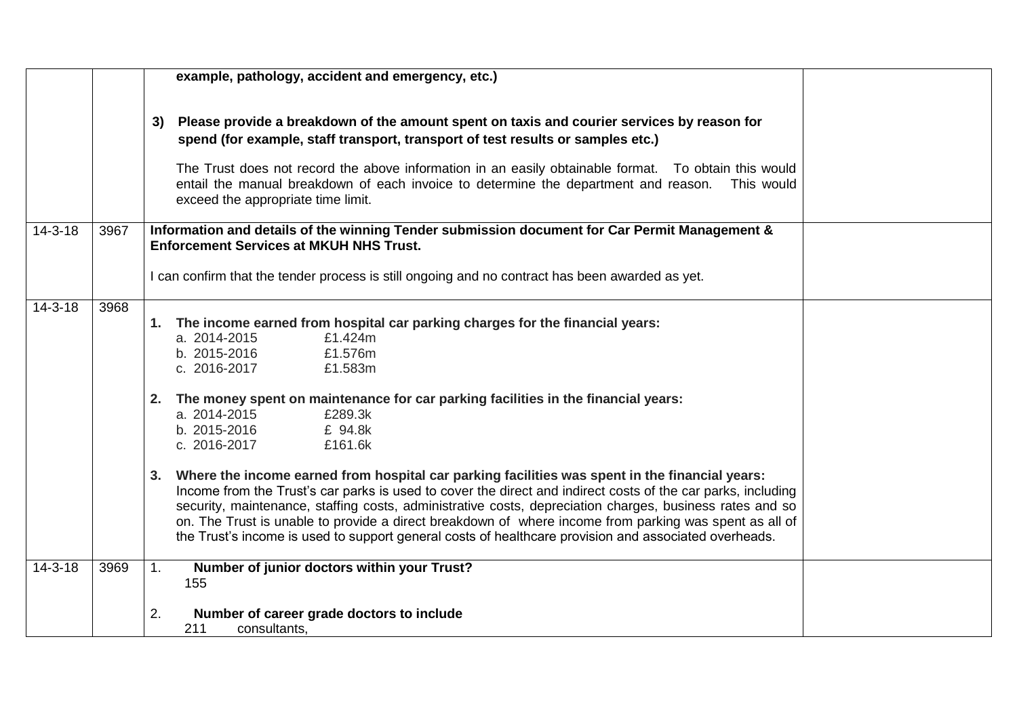|               |      | example, pathology, accident and emergency, etc.)                                                                                                                                                                                                                                                                                                                                                                                                                                                                                                                                                                                                                                                                                                                                                                                                                                                   |
|---------------|------|-----------------------------------------------------------------------------------------------------------------------------------------------------------------------------------------------------------------------------------------------------------------------------------------------------------------------------------------------------------------------------------------------------------------------------------------------------------------------------------------------------------------------------------------------------------------------------------------------------------------------------------------------------------------------------------------------------------------------------------------------------------------------------------------------------------------------------------------------------------------------------------------------------|
|               |      | Please provide a breakdown of the amount spent on taxis and courier services by reason for<br>3)<br>spend (for example, staff transport, transport of test results or samples etc.)<br>The Trust does not record the above information in an easily obtainable format. To obtain this would<br>entail the manual breakdown of each invoice to determine the department and reason.  This would<br>exceed the appropriate time limit.                                                                                                                                                                                                                                                                                                                                                                                                                                                                |
| $14 - 3 - 18$ | 3967 | Information and details of the winning Tender submission document for Car Permit Management &<br><b>Enforcement Services at MKUH NHS Trust.</b>                                                                                                                                                                                                                                                                                                                                                                                                                                                                                                                                                                                                                                                                                                                                                     |
|               |      | I can confirm that the tender process is still ongoing and no contract has been awarded as yet.                                                                                                                                                                                                                                                                                                                                                                                                                                                                                                                                                                                                                                                                                                                                                                                                     |
| $14 - 3 - 18$ | 3968 | The income earned from hospital car parking charges for the financial years:<br>1.<br>a. 2014-2015<br>£1.424m<br>b. 2015-2016<br>£1.576m<br>c. 2016-2017<br>£1.583m<br>2. The money spent on maintenance for car parking facilities in the financial years:<br>a. 2014-2015<br>£289.3k<br>b. 2015-2016<br>£ 94.8k<br>c. 2016-2017<br>£161.6k<br>Where the income earned from hospital car parking facilities was spent in the financial years:<br>3.<br>Income from the Trust's car parks is used to cover the direct and indirect costs of the car parks, including<br>security, maintenance, staffing costs, administrative costs, depreciation charges, business rates and so<br>on. The Trust is unable to provide a direct breakdown of where income from parking was spent as all of<br>the Trust's income is used to support general costs of healthcare provision and associated overheads. |
| $14 - 3 - 18$ | 3969 | Number of junior doctors within your Trust?<br>1.<br>155                                                                                                                                                                                                                                                                                                                                                                                                                                                                                                                                                                                                                                                                                                                                                                                                                                            |
|               |      | Number of career grade doctors to include<br>2.<br>211<br>consultants,                                                                                                                                                                                                                                                                                                                                                                                                                                                                                                                                                                                                                                                                                                                                                                                                                              |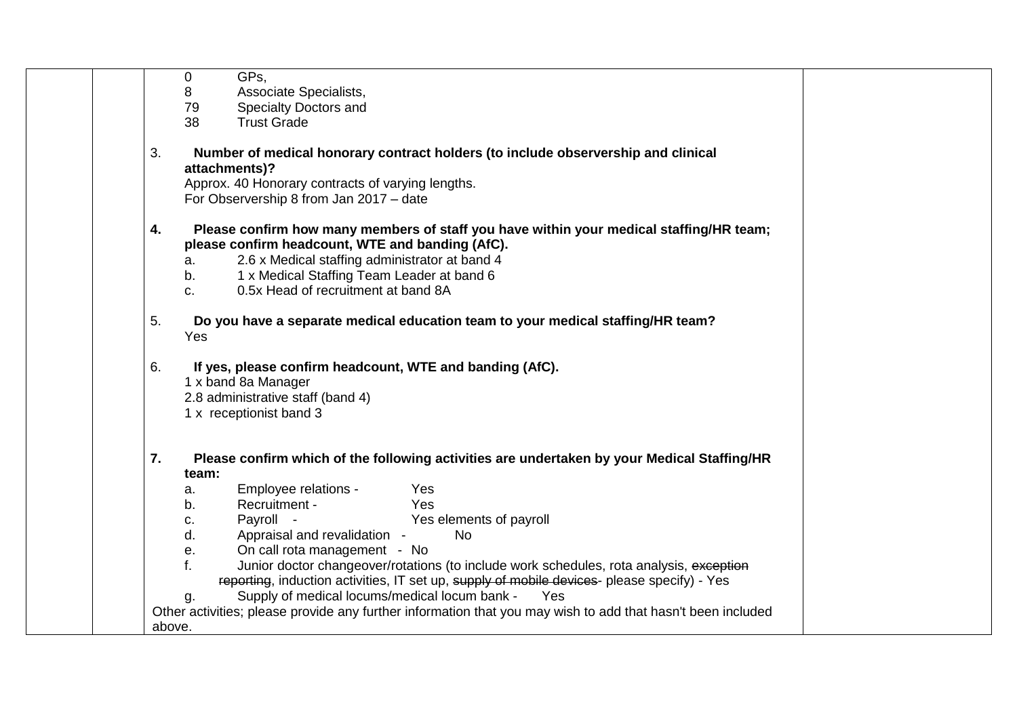|        | 0             | GPs.                                                                                                                                            |  |
|--------|---------------|-------------------------------------------------------------------------------------------------------------------------------------------------|--|
|        | 8             | Associate Specialists,                                                                                                                          |  |
|        | 79            | Specialty Doctors and                                                                                                                           |  |
|        | 38            | <b>Trust Grade</b>                                                                                                                              |  |
| 3.     |               | Number of medical honorary contract holders (to include observership and clinical<br>attachments)?                                              |  |
|        |               | Approx. 40 Honorary contracts of varying lengths.                                                                                               |  |
|        |               | For Observership 8 from Jan 2017 - date                                                                                                         |  |
| 4.     |               | Please confirm how many members of staff you have within your medical staffing/HR team;<br>please confirm headcount, WTE and banding (AfC).     |  |
|        | a.            | 2.6 x Medical staffing administrator at band 4                                                                                                  |  |
|        | b.<br>$C_{-}$ | 1 x Medical Staffing Team Leader at band 6<br>0.5x Head of recruitment at band 8A                                                               |  |
|        |               |                                                                                                                                                 |  |
| 5.     |               | Do you have a separate medical education team to your medical staffing/HR team?                                                                 |  |
|        | Yes           |                                                                                                                                                 |  |
| 6.     |               | If yes, please confirm headcount, WTE and banding (AfC).<br>1 x band 8a Manager<br>2.8 administrative staff (band 4)<br>1 x receptionist band 3 |  |
| 7.     | team:         | Please confirm which of the following activities are undertaken by your Medical Staffing/HR                                                     |  |
|        | a.            | Employee relations -<br>Yes                                                                                                                     |  |
|        | b.            | Yes<br>Recruitment -                                                                                                                            |  |
|        | c.            | Yes elements of payroll<br>Payroll -                                                                                                            |  |
|        | d.            | Appraisal and revalidation -<br><b>No</b>                                                                                                       |  |
|        | е.            | On call rota management - No                                                                                                                    |  |
|        | f.            | Junior doctor changeover/rotations (to include work schedules, rota analysis, exception                                                         |  |
|        |               | reporting, induction activities, IT set up, supply of mobile devices- please specify) - Yes                                                     |  |
|        | g.            | Supply of medical locums/medical locum bank -<br>Yes                                                                                            |  |
|        |               | Other activities; please provide any further information that you may wish to add that hasn't been included                                     |  |
| above. |               |                                                                                                                                                 |  |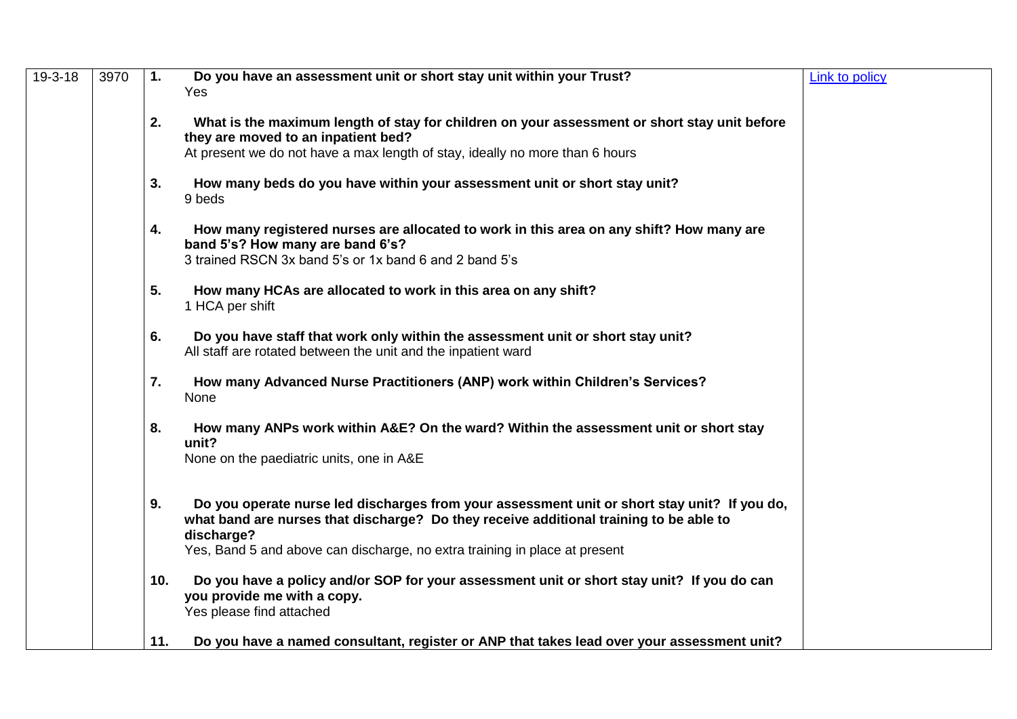| $19-3-18$ | 3970 | $\mathbf{1}$ . | Do you have an assessment unit or short stay unit within your Trust?                                                                             | Link to policy |
|-----------|------|----------------|--------------------------------------------------------------------------------------------------------------------------------------------------|----------------|
|           |      |                | Yes                                                                                                                                              |                |
|           |      | 2.             | What is the maximum length of stay for children on your assessment or short stay unit before<br>they are moved to an inpatient bed?              |                |
|           |      |                | At present we do not have a max length of stay, ideally no more than 6 hours                                                                     |                |
|           |      | 3.             | How many beds do you have within your assessment unit or short stay unit?<br>9 beds                                                              |                |
|           |      | 4.             | How many registered nurses are allocated to work in this area on any shift? How many are<br>band 5's? How many are band 6's?                     |                |
|           |      |                | 3 trained RSCN 3x band 5's or 1x band 6 and 2 band 5's                                                                                           |                |
|           |      | 5.             | How many HCAs are allocated to work in this area on any shift?<br>1 HCA per shift                                                                |                |
|           |      | 6.             | Do you have staff that work only within the assessment unit or short stay unit?<br>All staff are rotated between the unit and the inpatient ward |                |
|           |      | 7.             | How many Advanced Nurse Practitioners (ANP) work within Children's Services?<br>None                                                             |                |
|           |      | 8.             | How many ANPs work within A&E? On the ward? Within the assessment unit or short stay<br>unit?                                                    |                |
|           |      |                | None on the paediatric units, one in A&E                                                                                                         |                |
|           |      | 9.             | Do you operate nurse led discharges from your assessment unit or short stay unit? If you do,                                                     |                |
|           |      |                | what band are nurses that discharge? Do they receive additional training to be able to<br>discharge?                                             |                |
|           |      |                | Yes, Band 5 and above can discharge, no extra training in place at present                                                                       |                |
|           |      | 10.            | Do you have a policy and/or SOP for your assessment unit or short stay unit? If you do can<br>you provide me with a copy.                        |                |
|           |      |                | Yes please find attached                                                                                                                         |                |
|           |      | 11.            | Do you have a named consultant, register or ANP that takes lead over your assessment unit?                                                       |                |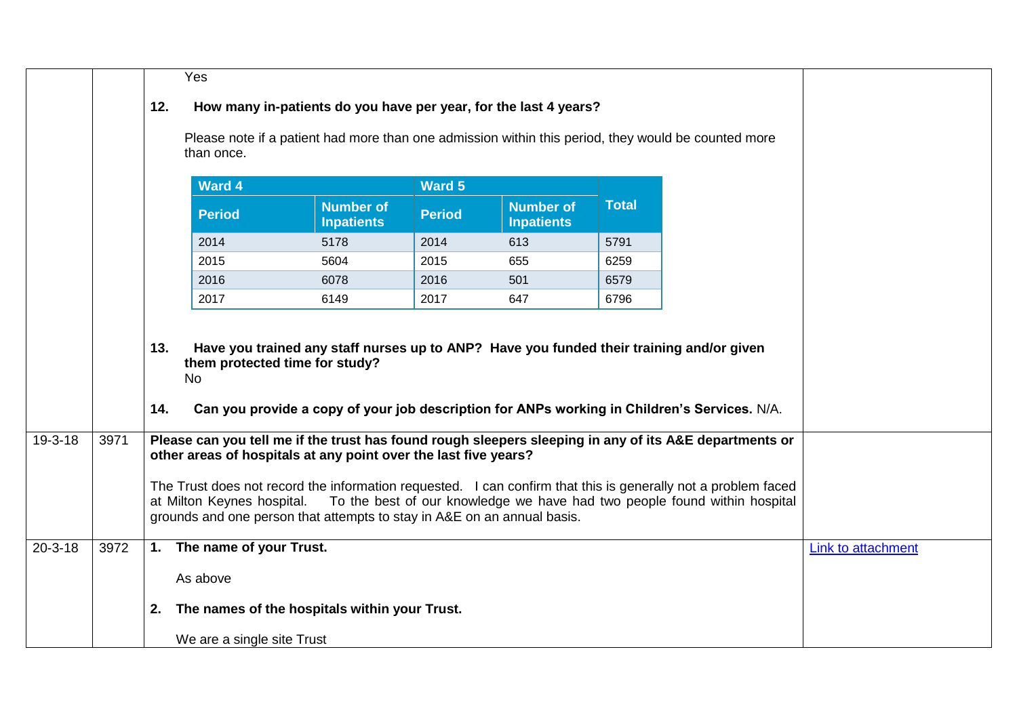|               |      |            | Yes                        |                                                                                                                            |               |                                       |              |                                                                                                                                                                                                        |                    |
|---------------|------|------------|----------------------------|----------------------------------------------------------------------------------------------------------------------------|---------------|---------------------------------------|--------------|--------------------------------------------------------------------------------------------------------------------------------------------------------------------------------------------------------|--------------------|
|               |      | 12.        |                            | How many in-patients do you have per year, for the last 4 years?                                                           |               |                                       |              |                                                                                                                                                                                                        |                    |
|               |      |            | than once.                 |                                                                                                                            |               |                                       |              | Please note if a patient had more than one admission within this period, they would be counted more                                                                                                    |                    |
|               |      |            | <b>Ward 4</b>              |                                                                                                                            | <b>Ward 5</b> |                                       |              |                                                                                                                                                                                                        |                    |
|               |      |            | <b>Period</b>              | <b>Number of</b><br><b>Inpatients</b>                                                                                      | <b>Period</b> | <b>Number of</b><br><b>Inpatients</b> | <b>Total</b> |                                                                                                                                                                                                        |                    |
|               |      |            | 2014                       | 5178                                                                                                                       | 2014          | 613                                   | 5791         |                                                                                                                                                                                                        |                    |
|               |      |            | 2015                       | 5604                                                                                                                       | 2015          | 655                                   | 6259         |                                                                                                                                                                                                        |                    |
|               |      |            | 2016                       | 6078                                                                                                                       | 2016          | 501                                   | 6579         |                                                                                                                                                                                                        |                    |
|               |      |            | 2017                       | 6149                                                                                                                       | 2017          | 647                                   | 6796         |                                                                                                                                                                                                        |                    |
| 19-3-18       | 3971 | 13.<br>14. | <b>No</b>                  | Have you trained any staff nurses up to ANP? Have you funded their training and/or given<br>them protected time for study? |               |                                       |              | Can you provide a copy of your job description for ANPs working in Children's Services. N/A.<br>Please can you tell me if the trust has found rough sleepers sleeping in any of its A&E departments or |                    |
|               |      |            |                            | other areas of hospitals at any point over the last five years?                                                            |               |                                       |              |                                                                                                                                                                                                        |                    |
|               |      |            | at Milton Keynes hospital. | grounds and one person that attempts to stay in A&E on an annual basis.                                                    |               |                                       |              | The Trust does not record the information requested. I can confirm that this is generally not a problem faced<br>To the best of our knowledge we have had two people found within hospital             |                    |
| $20 - 3 - 18$ | 3972 |            | 1. The name of your Trust. |                                                                                                                            |               |                                       |              |                                                                                                                                                                                                        | Link to attachment |
|               |      |            | As above                   |                                                                                                                            |               |                                       |              |                                                                                                                                                                                                        |                    |
|               |      | 2.         |                            | The names of the hospitals within your Trust.                                                                              |               |                                       |              |                                                                                                                                                                                                        |                    |
|               |      |            | We are a single site Trust |                                                                                                                            |               |                                       |              |                                                                                                                                                                                                        |                    |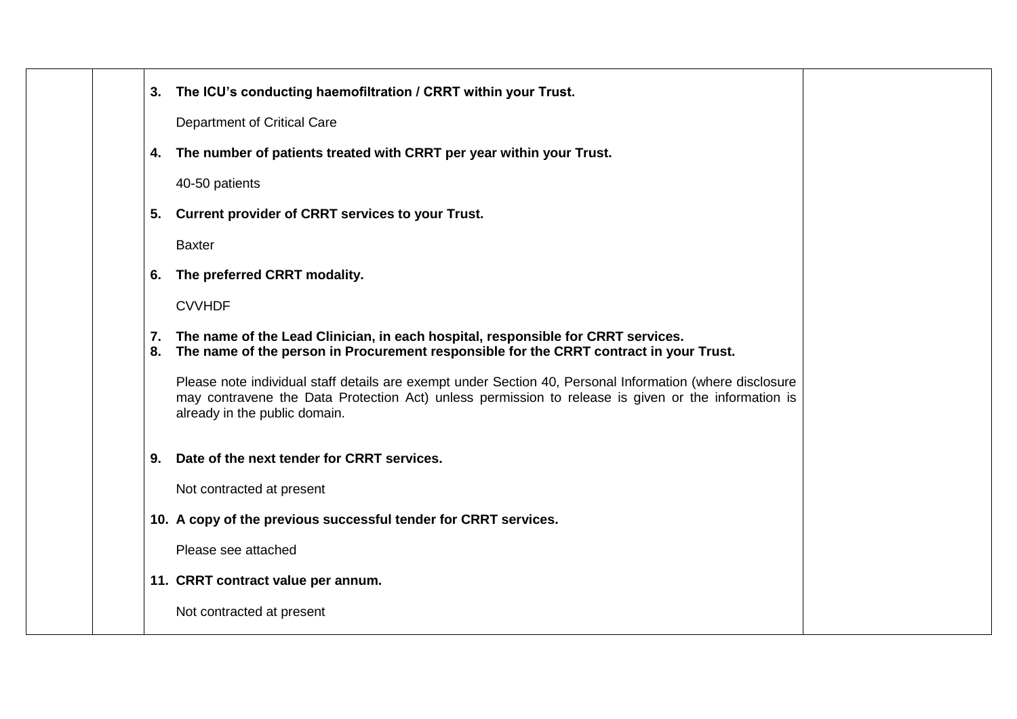|  | 3. The ICU's conducting haemofiltration / CRRT within your Trust.                                                                                                                                                                                |  |
|--|--------------------------------------------------------------------------------------------------------------------------------------------------------------------------------------------------------------------------------------------------|--|
|  | Department of Critical Care                                                                                                                                                                                                                      |  |
|  | 4. The number of patients treated with CRRT per year within your Trust.                                                                                                                                                                          |  |
|  | 40-50 patients                                                                                                                                                                                                                                   |  |
|  | 5. Current provider of CRRT services to your Trust.                                                                                                                                                                                              |  |
|  | <b>Baxter</b>                                                                                                                                                                                                                                    |  |
|  | 6. The preferred CRRT modality.                                                                                                                                                                                                                  |  |
|  | <b>CVVHDF</b>                                                                                                                                                                                                                                    |  |
|  | 7. The name of the Lead Clinician, in each hospital, responsible for CRRT services.<br>8. The name of the person in Procurement responsible for the CRRT contract in your Trust.                                                                 |  |
|  | Please note individual staff details are exempt under Section 40, Personal Information (where disclosure<br>may contravene the Data Protection Act) unless permission to release is given or the information is<br>already in the public domain. |  |
|  | 9. Date of the next tender for CRRT services.                                                                                                                                                                                                    |  |
|  | Not contracted at present                                                                                                                                                                                                                        |  |
|  | 10. A copy of the previous successful tender for CRRT services.                                                                                                                                                                                  |  |
|  | Please see attached                                                                                                                                                                                                                              |  |
|  | 11. CRRT contract value per annum.                                                                                                                                                                                                               |  |
|  | Not contracted at present                                                                                                                                                                                                                        |  |
|  |                                                                                                                                                                                                                                                  |  |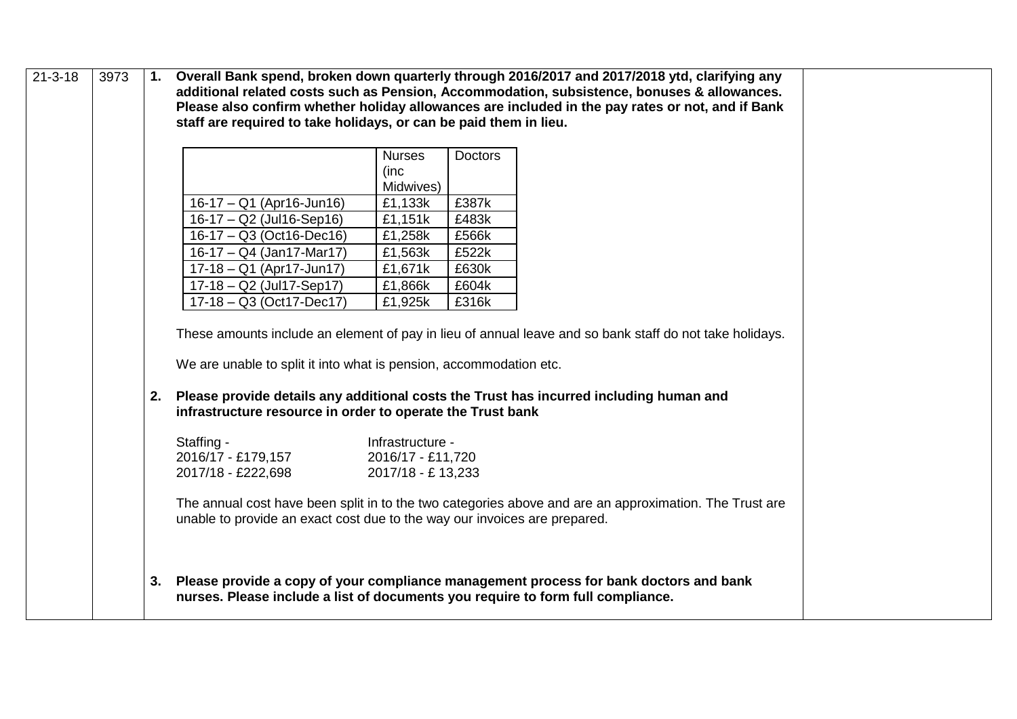| $21 - 3 - 18$ | 3973 |    | staff are required to take holidays, or can be paid them in lieu.                                                                                                                                 |                                                                     |                                           | 1. Overall Bank spend, broken down quarterly through 2016/2017 and 2017/2018 ytd, clarifying any<br>additional related costs such as Pension, Accommodation, subsistence, bonuses & allowances.<br>Please also confirm whether holiday allowances are included in the pay rates or not, and if Bank |  |
|---------------|------|----|---------------------------------------------------------------------------------------------------------------------------------------------------------------------------------------------------|---------------------------------------------------------------------|-------------------------------------------|-----------------------------------------------------------------------------------------------------------------------------------------------------------------------------------------------------------------------------------------------------------------------------------------------------|--|
|               |      |    | 16-17 - Q1 (Apr16-Jun16)<br>16-17 - Q2 (Jul16-Sep16)<br>16-17 - Q3 (Oct16-Dec16)                                                                                                                  | <b>Nurses</b><br>(inc<br>Midwives)<br>£1,133k<br>£1,151k<br>£1,258k | <b>Doctors</b><br>£387k<br>£483k<br>£566k |                                                                                                                                                                                                                                                                                                     |  |
|               |      |    | 16-17 - Q4 (Jan17-Mar17)<br>17-18 - Q1 (Apr17-Jun17)<br>$17-18 - Q2$ (Jul17-Sep17)<br>$\overline{17-18} - Q3$ (Oct17-Dec17)<br>We are unable to split it into what is pension, accommodation etc. | £1,563k<br>£1,671k<br>£1,866k<br>£1,925k                            | £522k<br>£630k<br>£604k<br>£316k          | These amounts include an element of pay in lieu of annual leave and so bank staff do not take holidays.                                                                                                                                                                                             |  |
|               |      | 2. | infrastructure resource in order to operate the Trust bank<br>Staffing -<br>2016/17 - £179,157<br>2017/18 - £222,698<br>unable to provide an exact cost due to the way our invoices are prepared. | Infrastructure -<br>2016/17 - £11,720<br>2017/18 - £13,233          |                                           | Please provide details any additional costs the Trust has incurred including human and<br>The annual cost have been split in to the two categories above and are an approximation. The Trust are                                                                                                    |  |
|               |      | 3. | nurses. Please include a list of documents you require to form full compliance.                                                                                                                   |                                                                     |                                           | Please provide a copy of your compliance management process for bank doctors and bank                                                                                                                                                                                                               |  |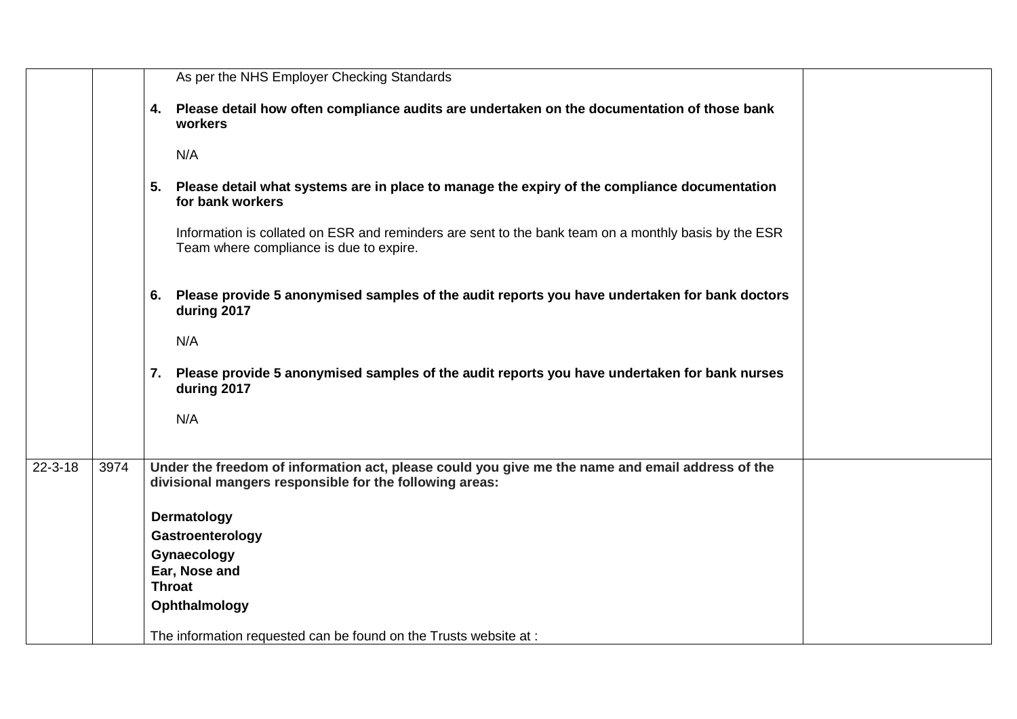|               |      | As per the NHS Employer Checking Standards                                                                                                                  |
|---------------|------|-------------------------------------------------------------------------------------------------------------------------------------------------------------|
|               |      | 4. Please detail how often compliance audits are undertaken on the documentation of those bank<br>workers<br>N/A                                            |
|               |      | 5. Please detail what systems are in place to manage the expiry of the compliance documentation<br>for bank workers                                         |
|               |      | Information is collated on ESR and reminders are sent to the bank team on a monthly basis by the ESR<br>Team where compliance is due to expire.             |
|               |      | 6. Please provide 5 anonymised samples of the audit reports you have undertaken for bank doctors<br>during 2017                                             |
|               |      | N/A                                                                                                                                                         |
|               |      | 7. Please provide 5 anonymised samples of the audit reports you have undertaken for bank nurses<br>during 2017                                              |
|               |      | N/A                                                                                                                                                         |
| $22 - 3 - 18$ | 3974 | Under the freedom of information act, please could you give me the name and email address of the<br>divisional mangers responsible for the following areas: |
|               |      | Dermatology                                                                                                                                                 |
|               |      | Gastroenterology                                                                                                                                            |
|               |      | Gynaecology                                                                                                                                                 |
|               |      | Ear, Nose and<br><b>Throat</b>                                                                                                                              |
|               |      | Ophthalmology                                                                                                                                               |
|               |      | The information requested can be found on the Trusts website at :                                                                                           |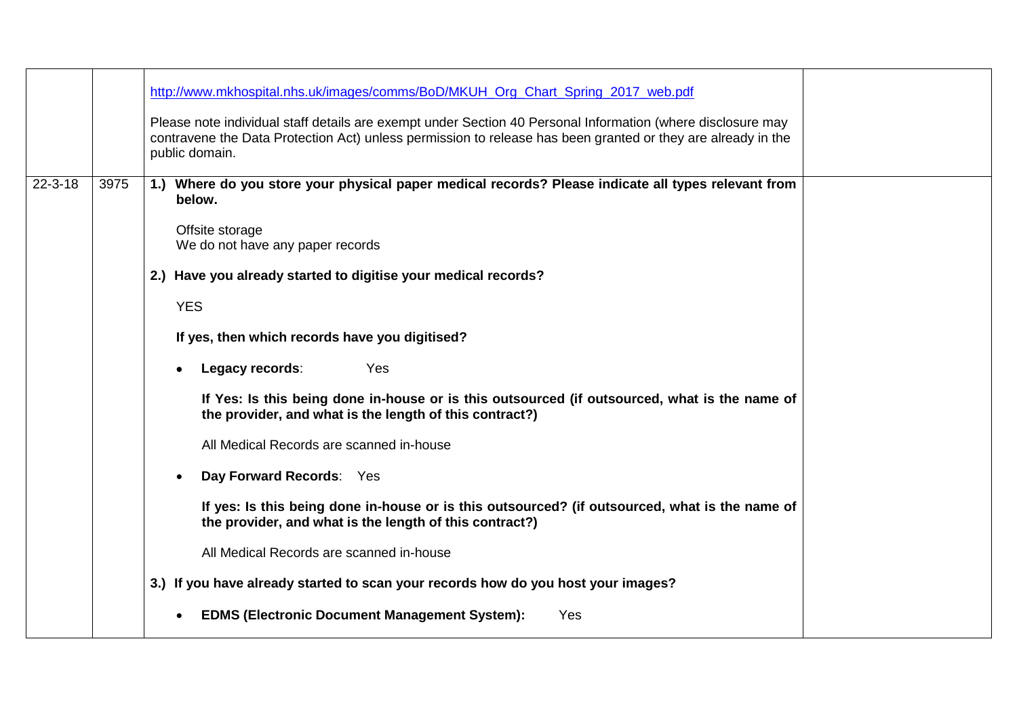|               |      | http://www.mkhospital.nhs.uk/images/comms/BoD/MKUH Org Chart Spring 2017 web.pdf<br>Please note individual staff details are exempt under Section 40 Personal Information (where disclosure may<br>contravene the Data Protection Act) unless permission to release has been granted or they are already in the |
|---------------|------|-----------------------------------------------------------------------------------------------------------------------------------------------------------------------------------------------------------------------------------------------------------------------------------------------------------------|
|               |      | public domain.                                                                                                                                                                                                                                                                                                  |
| $22 - 3 - 18$ | 3975 | 1.) Where do you store your physical paper medical records? Please indicate all types relevant from<br>below.                                                                                                                                                                                                   |
|               |      | Offsite storage<br>We do not have any paper records                                                                                                                                                                                                                                                             |
|               |      | 2.) Have you already started to digitise your medical records?                                                                                                                                                                                                                                                  |
|               |      | <b>YES</b>                                                                                                                                                                                                                                                                                                      |
|               |      |                                                                                                                                                                                                                                                                                                                 |
|               |      | If yes, then which records have you digitised?                                                                                                                                                                                                                                                                  |
|               |      | Legacy records:<br>Yes                                                                                                                                                                                                                                                                                          |
|               |      | If Yes: Is this being done in-house or is this outsourced (if outsourced, what is the name of<br>the provider, and what is the length of this contract?)                                                                                                                                                        |
|               |      | All Medical Records are scanned in-house                                                                                                                                                                                                                                                                        |
|               |      | Day Forward Records: Yes                                                                                                                                                                                                                                                                                        |
|               |      | If yes: Is this being done in-house or is this outsourced? (if outsourced, what is the name of<br>the provider, and what is the length of this contract?)                                                                                                                                                       |
|               |      | All Medical Records are scanned in-house                                                                                                                                                                                                                                                                        |
|               |      | 3.) If you have already started to scan your records how do you host your images?                                                                                                                                                                                                                               |
|               |      | <b>EDMS (Electronic Document Management System):</b><br>Yes                                                                                                                                                                                                                                                     |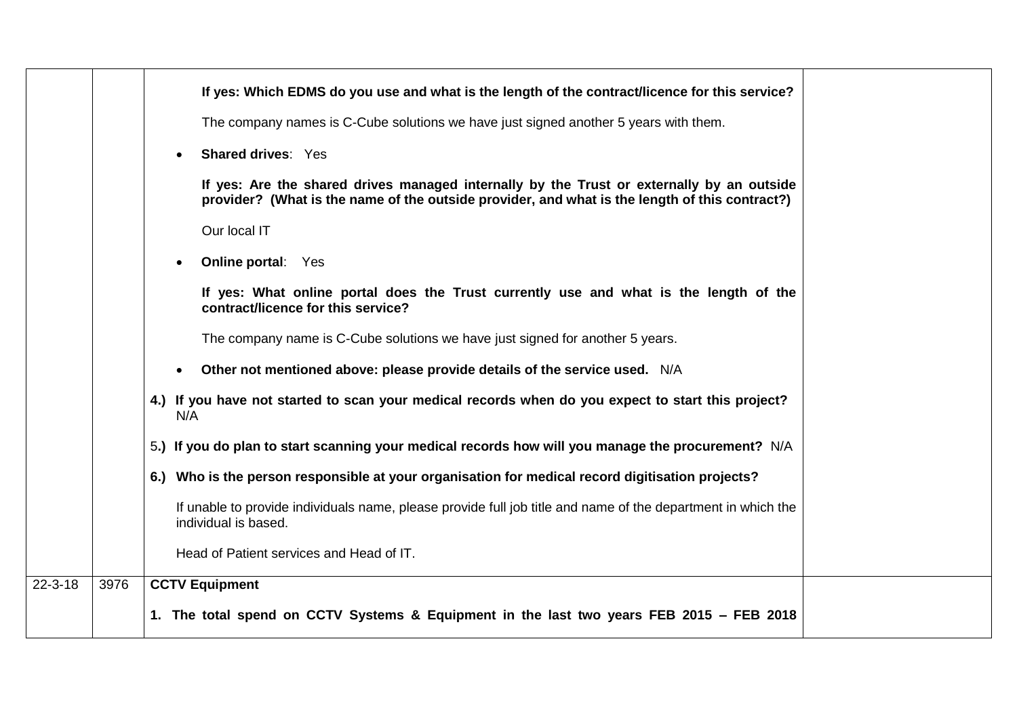|               |      | If yes: Which EDMS do you use and what is the length of the contract/licence for this service?                                                                                              |
|---------------|------|---------------------------------------------------------------------------------------------------------------------------------------------------------------------------------------------|
|               |      | The company names is C-Cube solutions we have just signed another 5 years with them.                                                                                                        |
|               |      | <b>Shared drives: Yes</b>                                                                                                                                                                   |
|               |      | If yes: Are the shared drives managed internally by the Trust or externally by an outside<br>provider? (What is the name of the outside provider, and what is the length of this contract?) |
|               |      | Our local IT                                                                                                                                                                                |
|               |      | <b>Online portal: Yes</b>                                                                                                                                                                   |
|               |      | If yes: What online portal does the Trust currently use and what is the length of the<br>contract/licence for this service?                                                                 |
|               |      | The company name is C-Cube solutions we have just signed for another 5 years.                                                                                                               |
|               |      | Other not mentioned above: please provide details of the service used. N/A                                                                                                                  |
|               |      | 4.) If you have not started to scan your medical records when do you expect to start this project?<br>N/A                                                                                   |
|               |      | 5.) If you do plan to start scanning your medical records how will you manage the procurement? N/A                                                                                          |
|               |      | 6.) Who is the person responsible at your organisation for medical record digitisation projects?                                                                                            |
|               |      | If unable to provide individuals name, please provide full job title and name of the department in which the<br>individual is based.                                                        |
|               |      | Head of Patient services and Head of IT.                                                                                                                                                    |
| $22 - 3 - 18$ | 3976 | <b>CCTV Equipment</b>                                                                                                                                                                       |
|               |      | 1. The total spend on CCTV Systems & Equipment in the last two years FEB 2015 – FEB 2018                                                                                                    |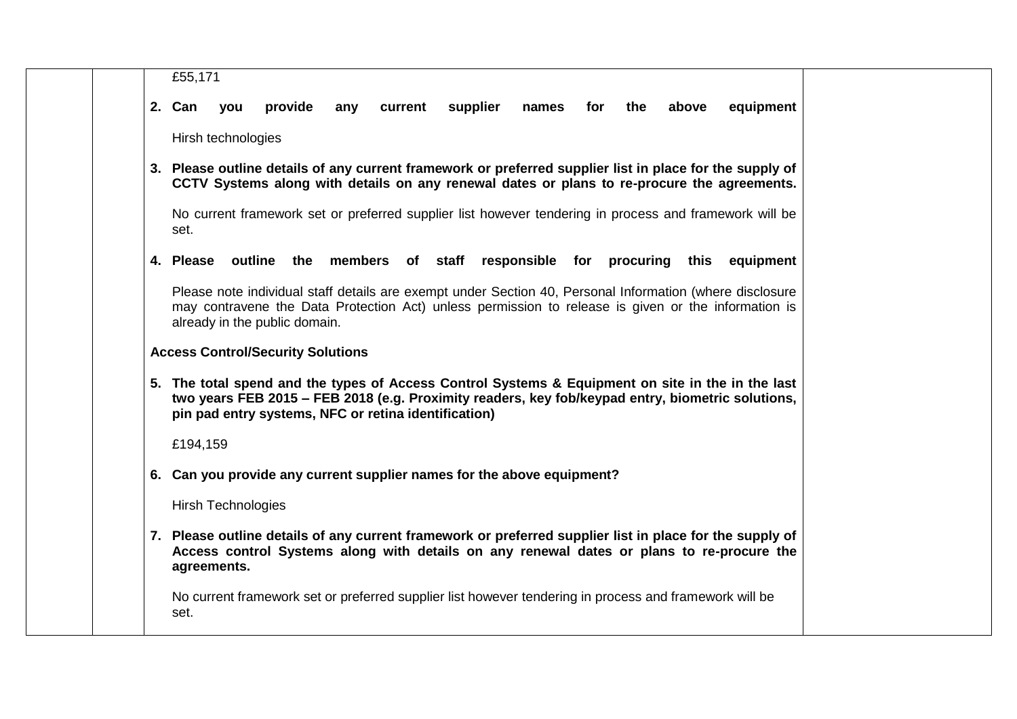| £55,171   |                                                                                                        |                                          |     |                                                                                                                                                                                                                                                                |          |                 |     |           |       |  |           |
|-----------|--------------------------------------------------------------------------------------------------------|------------------------------------------|-----|----------------------------------------------------------------------------------------------------------------------------------------------------------------------------------------------------------------------------------------------------------------|----------|-----------------|-----|-----------|-------|--|-----------|
| 2. Can    | you                                                                                                    | provide                                  | any | current                                                                                                                                                                                                                                                        | supplier | names           | for | the       | above |  | equipment |
|           | Hirsh technologies                                                                                     |                                          |     |                                                                                                                                                                                                                                                                |          |                 |     |           |       |  |           |
|           |                                                                                                        |                                          |     | 3. Please outline details of any current framework or preferred supplier list in place for the supply of<br>CCTV Systems along with details on any renewal dates or plans to re-procure the agreements.                                                        |          |                 |     |           |       |  |           |
| set.      |                                                                                                        |                                          |     | No current framework set or preferred supplier list however tendering in process and framework will be                                                                                                                                                         |          |                 |     |           |       |  |           |
| 4. Please |                                                                                                        |                                          |     | outline the members of staff                                                                                                                                                                                                                                   |          | responsible for |     | procuring | this  |  | equipment |
|           |                                                                                                        | already in the public domain.            |     | Please note individual staff details are exempt under Section 40, Personal Information (where disclosure<br>may contravene the Data Protection Act) unless permission to release is given or the information is                                                |          |                 |     |           |       |  |           |
|           |                                                                                                        | <b>Access Control/Security Solutions</b> |     |                                                                                                                                                                                                                                                                |          |                 |     |           |       |  |           |
|           |                                                                                                        |                                          |     | 5. The total spend and the types of Access Control Systems & Equipment on site in the in the last<br>two years FEB 2015 - FEB 2018 (e.g. Proximity readers, key fob/keypad entry, biometric solutions,<br>pin pad entry systems, NFC or retina identification) |          |                 |     |           |       |  |           |
| £194,159  |                                                                                                        |                                          |     |                                                                                                                                                                                                                                                                |          |                 |     |           |       |  |           |
|           |                                                                                                        |                                          |     | 6. Can you provide any current supplier names for the above equipment?                                                                                                                                                                                         |          |                 |     |           |       |  |           |
|           | Hirsh Technologies                                                                                     |                                          |     |                                                                                                                                                                                                                                                                |          |                 |     |           |       |  |           |
|           | agreements.                                                                                            |                                          |     | 7. Please outline details of any current framework or preferred supplier list in place for the supply of<br>Access control Systems along with details on any renewal dates or plans to re-procure the                                                          |          |                 |     |           |       |  |           |
|           | No current framework set or preferred supplier list however tendering in process and framework will be |                                          |     |                                                                                                                                                                                                                                                                |          |                 |     |           |       |  |           |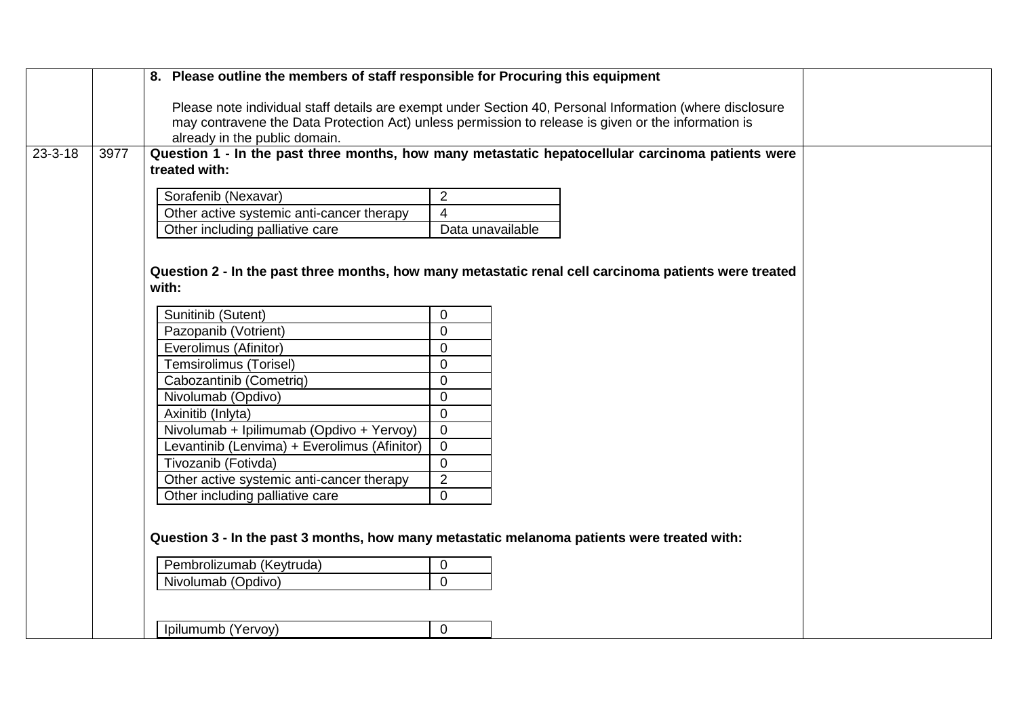|               |      | 8. Please outline the members of staff responsible for Procuring this equipment                          |                  |  |  |  |  |
|---------------|------|----------------------------------------------------------------------------------------------------------|------------------|--|--|--|--|
|               |      | Please note individual staff details are exempt under Section 40, Personal Information (where disclosure |                  |  |  |  |  |
|               |      | may contravene the Data Protection Act) unless permission to release is given or the information is      |                  |  |  |  |  |
|               |      | already in the public domain.                                                                            |                  |  |  |  |  |
| $23 - 3 - 18$ | 3977 | Question 1 - In the past three months, how many metastatic hepatocellular carcinoma patients were        |                  |  |  |  |  |
|               |      | treated with:                                                                                            |                  |  |  |  |  |
|               |      | Sorafenib (Nexavar)                                                                                      | $\overline{2}$   |  |  |  |  |
|               |      | Other active systemic anti-cancer therapy                                                                | $\overline{4}$   |  |  |  |  |
|               |      | Other including palliative care                                                                          | Data unavailable |  |  |  |  |
|               |      |                                                                                                          |                  |  |  |  |  |
|               |      |                                                                                                          |                  |  |  |  |  |
|               |      | Question 2 - In the past three months, how many metastatic renal cell carcinoma patients were treated    |                  |  |  |  |  |
|               |      | with:                                                                                                    |                  |  |  |  |  |
|               |      | Sunitinib (Sutent)                                                                                       | $\overline{0}$   |  |  |  |  |
|               |      | Pazopanib (Votrient)                                                                                     | $\mathbf 0$      |  |  |  |  |
|               |      | Everolimus (Afinitor)                                                                                    | $\mathbf 0$      |  |  |  |  |
|               |      | <b>Temsirolimus (Torisel)</b>                                                                            | $\mathbf 0$      |  |  |  |  |
|               |      | Cabozantinib (Cometriq)                                                                                  | $\overline{0}$   |  |  |  |  |
|               |      | Nivolumab (Opdivo)                                                                                       | $\overline{0}$   |  |  |  |  |
|               |      | Axinitib (Inlyta)                                                                                        | $\overline{0}$   |  |  |  |  |
|               |      | Nivolumab + Ipilimumab (Opdivo + Yervoy)                                                                 | $\mathbf 0$      |  |  |  |  |
|               |      | Levantinib (Lenvima) + Everolimus (Afinitor)                                                             | $\overline{0}$   |  |  |  |  |
|               |      | Tivozanib (Fotivda)                                                                                      | $\overline{0}$   |  |  |  |  |
|               |      | Other active systemic anti-cancer therapy                                                                | $\sqrt{2}$       |  |  |  |  |
|               |      | Other including palliative care                                                                          | $\mathbf 0$      |  |  |  |  |
|               |      |                                                                                                          |                  |  |  |  |  |
|               |      | Question 3 - In the past 3 months, how many metastatic melanoma patients were treated with:              |                  |  |  |  |  |
|               |      |                                                                                                          |                  |  |  |  |  |
|               |      | Pembrolizumab (Keytruda)                                                                                 | $\pmb{0}$        |  |  |  |  |
|               |      | Nivolumab (Opdivo)                                                                                       | $\overline{0}$   |  |  |  |  |
|               |      |                                                                                                          |                  |  |  |  |  |
|               |      |                                                                                                          |                  |  |  |  |  |
|               |      | Ipilumumb (Yervoy)                                                                                       | $\overline{0}$   |  |  |  |  |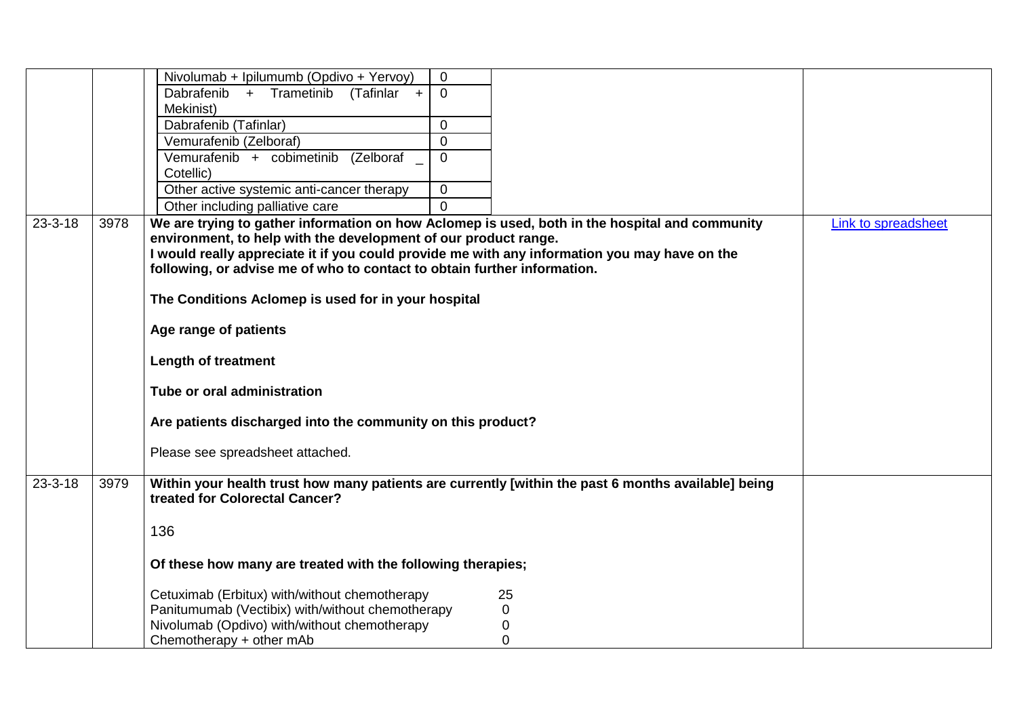|               |      | Nivolumab + Ipilumumb (Opdivo + Yervoy)<br>$\mathbf 0$                                                                                |                     |
|---------------|------|---------------------------------------------------------------------------------------------------------------------------------------|---------------------|
|               |      | Dabrafenib + Trametinib<br>$\mathbf{0}$<br>$(Tafinlar +$                                                                              |                     |
|               |      | Mekinist)                                                                                                                             |                     |
|               |      | Dabrafenib (Tafinlar)<br>$\mathbf{0}$                                                                                                 |                     |
|               |      | $\Omega$<br>Vemurafenib (Zelboraf)                                                                                                    |                     |
|               |      | Vemurafenib + cobimetinib (Zelboraf<br>$\mathbf{0}$                                                                                   |                     |
|               |      | Cotellic)                                                                                                                             |                     |
|               |      | $\mathbf{0}$<br>Other active systemic anti-cancer therapy                                                                             |                     |
|               |      | $\Omega$<br>Other including palliative care                                                                                           |                     |
| $23 - 3 - 18$ | 3978 | We are trying to gather information on how Aclomep is used, both in the hospital and community                                        | Link to spreadsheet |
|               |      | environment, to help with the development of our product range.                                                                       |                     |
|               |      | I would really appreciate it if you could provide me with any information you may have on the                                         |                     |
|               |      | following, or advise me of who to contact to obtain further information.                                                              |                     |
|               |      |                                                                                                                                       |                     |
|               |      | The Conditions Aclomep is used for in your hospital                                                                                   |                     |
|               |      | Age range of patients                                                                                                                 |                     |
|               |      |                                                                                                                                       |                     |
|               |      | <b>Length of treatment</b>                                                                                                            |                     |
|               |      | Tube or oral administration                                                                                                           |                     |
|               |      | Are patients discharged into the community on this product?                                                                           |                     |
|               |      |                                                                                                                                       |                     |
|               |      | Please see spreadsheet attached.                                                                                                      |                     |
| $23 - 3 - 18$ | 3979 | Within your health trust how many patients are currently [within the past 6 months available] being<br>treated for Colorectal Cancer? |                     |
|               |      |                                                                                                                                       |                     |
|               |      | 136                                                                                                                                   |                     |
|               |      | Of these how many are treated with the following therapies;                                                                           |                     |
|               |      | Cetuximab (Erbitux) with/without chemotherapy<br>25                                                                                   |                     |
|               |      | Panitumumab (Vectibix) with/without chemotherapy<br>0                                                                                 |                     |
|               |      | Nivolumab (Opdivo) with/without chemotherapy<br>0                                                                                     |                     |
|               |      | $\mathbf 0$<br>Chemotherapy + other mAb                                                                                               |                     |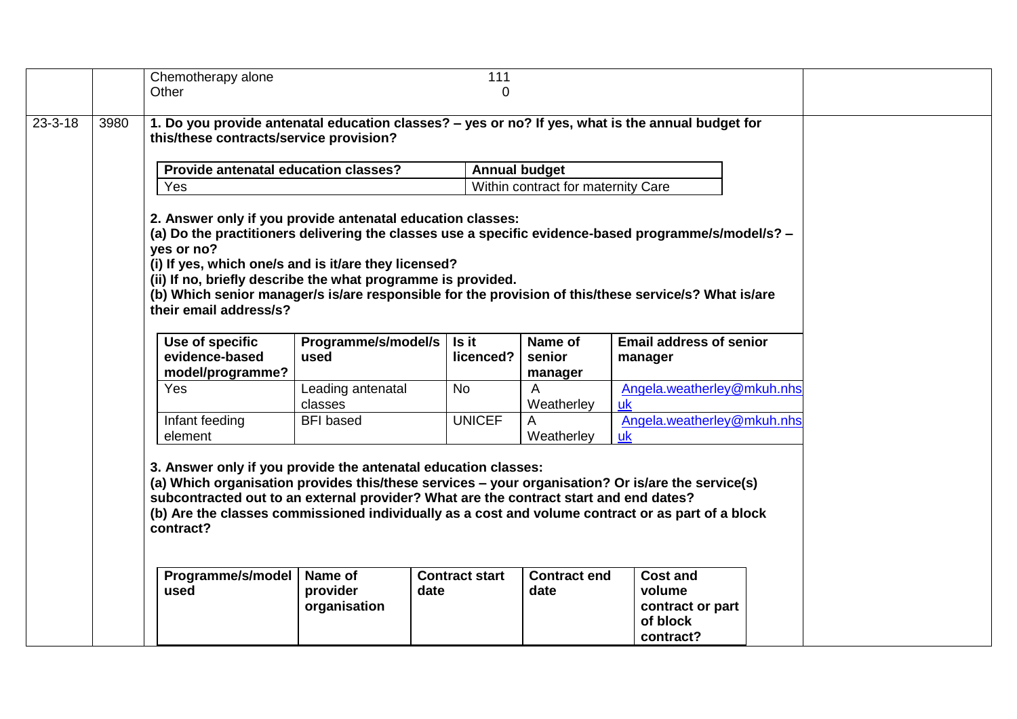| 1. Do you provide antenatal education classes? - yes or no? If yes, what is the annual budget for<br>$23 - 3 - 18$<br>3980<br>this/these contracts/service provision?<br>Provide antenatal education classes?<br><b>Annual budget</b><br>Yes<br>Within contract for maternity Care<br>2. Answer only if you provide antenatal education classes:<br>(a) Do the practitioners delivering the classes use a specific evidence-based programme/s/model/s? -<br>yes or no?<br>(i) If yes, which one/s and is it/are they licensed?<br>(ii) If no, briefly describe the what programme is provided.<br>(b) Which senior manager/s is/are responsible for the provision of this/these service/s? What is/are<br>their email address/s?<br>Programme/s/model/s<br>Use of specific<br>Is it<br>Name of<br>evidence-based<br>used<br>licenced?<br>senior<br>model/programme?<br>manager<br>Yes<br><b>No</b><br>Leading antenatal<br>A<br><b>uk</b><br>Weatherley<br>classes<br><b>UNICEF</b><br><b>BFI</b> based<br>Infant feeding<br>A<br>element<br>Weatherley<br><b>uk</b><br>3. Answer only if you provide the antenatal education classes:<br>(a) Which organisation provides this/these services - your organisation? Or is/are the service(s)<br>subcontracted out to an external provider? What are the contract start and end dates?<br>(b) Are the classes commissioned individually as a cost and volume contract or as part of a block<br>contract?<br>Programme/s/model<br>Name of<br><b>Contract start</b><br><b>Contract end</b> |  |  | Chemotherapy alone | 111 |                                                           |  |
|----------------------------------------------------------------------------------------------------------------------------------------------------------------------------------------------------------------------------------------------------------------------------------------------------------------------------------------------------------------------------------------------------------------------------------------------------------------------------------------------------------------------------------------------------------------------------------------------------------------------------------------------------------------------------------------------------------------------------------------------------------------------------------------------------------------------------------------------------------------------------------------------------------------------------------------------------------------------------------------------------------------------------------------------------------------------------------------------------------------------------------------------------------------------------------------------------------------------------------------------------------------------------------------------------------------------------------------------------------------------------------------------------------------------------------------------------------------------------------------------------------------------------------------|--|--|--------------------|-----|-----------------------------------------------------------|--|
|                                                                                                                                                                                                                                                                                                                                                                                                                                                                                                                                                                                                                                                                                                                                                                                                                                                                                                                                                                                                                                                                                                                                                                                                                                                                                                                                                                                                                                                                                                                                        |  |  | Other              | 0   |                                                           |  |
|                                                                                                                                                                                                                                                                                                                                                                                                                                                                                                                                                                                                                                                                                                                                                                                                                                                                                                                                                                                                                                                                                                                                                                                                                                                                                                                                                                                                                                                                                                                                        |  |  |                    |     |                                                           |  |
|                                                                                                                                                                                                                                                                                                                                                                                                                                                                                                                                                                                                                                                                                                                                                                                                                                                                                                                                                                                                                                                                                                                                                                                                                                                                                                                                                                                                                                                                                                                                        |  |  |                    |     |                                                           |  |
|                                                                                                                                                                                                                                                                                                                                                                                                                                                                                                                                                                                                                                                                                                                                                                                                                                                                                                                                                                                                                                                                                                                                                                                                                                                                                                                                                                                                                                                                                                                                        |  |  |                    |     |                                                           |  |
|                                                                                                                                                                                                                                                                                                                                                                                                                                                                                                                                                                                                                                                                                                                                                                                                                                                                                                                                                                                                                                                                                                                                                                                                                                                                                                                                                                                                                                                                                                                                        |  |  |                    |     |                                                           |  |
|                                                                                                                                                                                                                                                                                                                                                                                                                                                                                                                                                                                                                                                                                                                                                                                                                                                                                                                                                                                                                                                                                                                                                                                                                                                                                                                                                                                                                                                                                                                                        |  |  |                    |     | <b>Email address of senior</b><br>manager                 |  |
|                                                                                                                                                                                                                                                                                                                                                                                                                                                                                                                                                                                                                                                                                                                                                                                                                                                                                                                                                                                                                                                                                                                                                                                                                                                                                                                                                                                                                                                                                                                                        |  |  |                    |     | Angela.weatherley@mkuh.nhs                                |  |
|                                                                                                                                                                                                                                                                                                                                                                                                                                                                                                                                                                                                                                                                                                                                                                                                                                                                                                                                                                                                                                                                                                                                                                                                                                                                                                                                                                                                                                                                                                                                        |  |  |                    |     | Angela.weatherley@mkuh.nhs                                |  |
| used<br>provider<br>date<br>date<br>organisation                                                                                                                                                                                                                                                                                                                                                                                                                                                                                                                                                                                                                                                                                                                                                                                                                                                                                                                                                                                                                                                                                                                                                                                                                                                                                                                                                                                                                                                                                       |  |  |                    |     | <b>Cost and</b><br>volume<br>contract or part<br>of block |  |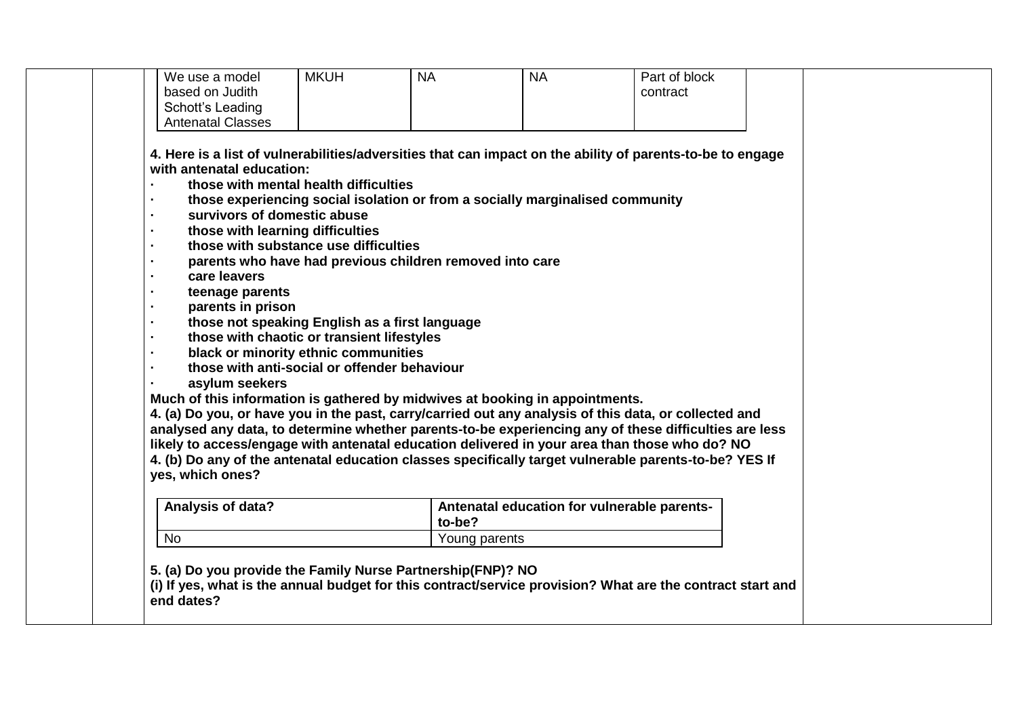| We use a model<br>based on Judith<br>Schott's Leading<br><b>Antenatal Classes</b>                                                                                                                                                                                                                                                                                                                                                                                                                                                                                                                                                                                                                                                                                                                                                                                                                                                                                                                                                                                                                                                                                                                                                                                                    | <b>MKUH</b><br><b>NA</b> |               | <b>NA</b>                                   | Part of block<br>contract |  |
|--------------------------------------------------------------------------------------------------------------------------------------------------------------------------------------------------------------------------------------------------------------------------------------------------------------------------------------------------------------------------------------------------------------------------------------------------------------------------------------------------------------------------------------------------------------------------------------------------------------------------------------------------------------------------------------------------------------------------------------------------------------------------------------------------------------------------------------------------------------------------------------------------------------------------------------------------------------------------------------------------------------------------------------------------------------------------------------------------------------------------------------------------------------------------------------------------------------------------------------------------------------------------------------|--------------------------|---------------|---------------------------------------------|---------------------------|--|
| 4. Here is a list of vulnerabilities/adversities that can impact on the ability of parents-to-be to engage<br>with antenatal education:<br>those with mental health difficulties<br>those experiencing social isolation or from a socially marginalised community<br>survivors of domestic abuse<br>$\blacksquare$<br>those with learning difficulties<br>those with substance use difficulties<br>parents who have had previous children removed into care<br>care leavers<br>teenage parents<br>parents in prison<br>٠<br>those not speaking English as a first language<br>$\blacksquare$<br>those with chaotic or transient lifestyles<br>black or minority ethnic communities<br>those with anti-social or offender behaviour<br>asylum seekers<br>Much of this information is gathered by midwives at booking in appointments.<br>4. (a) Do you, or have you in the past, carry/carried out any analysis of this data, or collected and<br>analysed any data, to determine whether parents-to-be experiencing any of these difficulties are less<br>likely to access/engage with antenatal education delivered in your area than those who do? NO<br>4. (b) Do any of the antenatal education classes specifically target vulnerable parents-to-be? YES If<br>yes, which ones? |                          |               |                                             |                           |  |
| Analysis of data?                                                                                                                                                                                                                                                                                                                                                                                                                                                                                                                                                                                                                                                                                                                                                                                                                                                                                                                                                                                                                                                                                                                                                                                                                                                                    |                          | to-be?        | Antenatal education for vulnerable parents- |                           |  |
| No                                                                                                                                                                                                                                                                                                                                                                                                                                                                                                                                                                                                                                                                                                                                                                                                                                                                                                                                                                                                                                                                                                                                                                                                                                                                                   |                          | Young parents |                                             |                           |  |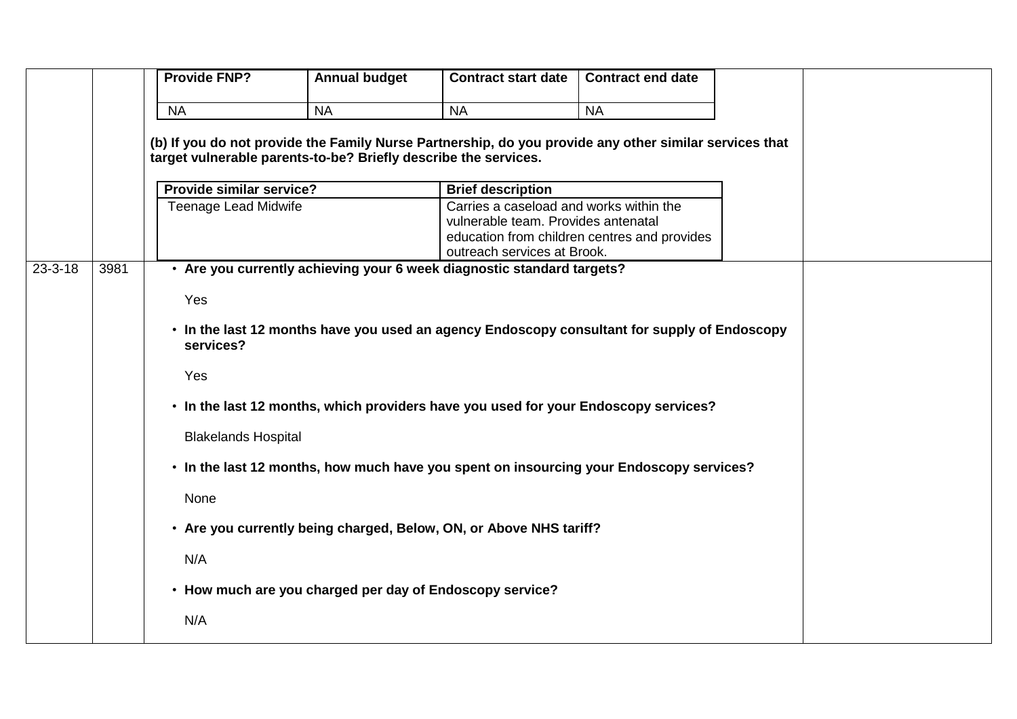|               |      | <b>Provide FNP?</b>                                     | <b>Annual budget</b>                                            | <b>Contract start date</b>                                                                             | <b>Contract end date</b>                     |  |
|---------------|------|---------------------------------------------------------|-----------------------------------------------------------------|--------------------------------------------------------------------------------------------------------|----------------------------------------------|--|
|               |      | <b>NA</b>                                               | <b>NA</b>                                                       | <b>NA</b>                                                                                              | <b>NA</b>                                    |  |
|               |      |                                                         |                                                                 | (b) If you do not provide the Family Nurse Partnership, do you provide any other similar services that |                                              |  |
|               |      |                                                         | target vulnerable parents-to-be? Briefly describe the services. |                                                                                                        |                                              |  |
|               |      |                                                         |                                                                 |                                                                                                        |                                              |  |
|               |      | Provide similar service?<br><b>Teenage Lead Midwife</b> |                                                                 | <b>Brief description</b><br>Carries a caseload and works within the                                    |                                              |  |
|               |      |                                                         |                                                                 | vulnerable team. Provides antenatal                                                                    |                                              |  |
|               |      |                                                         |                                                                 |                                                                                                        | education from children centres and provides |  |
| $23 - 3 - 18$ | 3981 |                                                         |                                                                 | outreach services at Brook.<br>• Are you currently achieving your 6 week diagnostic standard targets?  |                                              |  |
|               |      |                                                         |                                                                 |                                                                                                        |                                              |  |
|               |      | Yes                                                     |                                                                 |                                                                                                        |                                              |  |
|               |      | services?                                               |                                                                 | • In the last 12 months have you used an agency Endoscopy consultant for supply of Endoscopy           |                                              |  |
|               |      | Yes                                                     |                                                                 |                                                                                                        |                                              |  |
|               |      |                                                         |                                                                 | . In the last 12 months, which providers have you used for your Endoscopy services?                    |                                              |  |
|               |      | <b>Blakelands Hospital</b>                              |                                                                 |                                                                                                        |                                              |  |
|               |      |                                                         |                                                                 | • In the last 12 months, how much have you spent on insourcing your Endoscopy services?                |                                              |  |
|               |      | None                                                    |                                                                 |                                                                                                        |                                              |  |
|               |      |                                                         |                                                                 | • Are you currently being charged, Below, ON, or Above NHS tariff?                                     |                                              |  |
|               |      | N/A                                                     |                                                                 |                                                                                                        |                                              |  |
|               |      |                                                         | • How much are you charged per day of Endoscopy service?        |                                                                                                        |                                              |  |
|               |      | N/A                                                     |                                                                 |                                                                                                        |                                              |  |
|               |      |                                                         |                                                                 |                                                                                                        |                                              |  |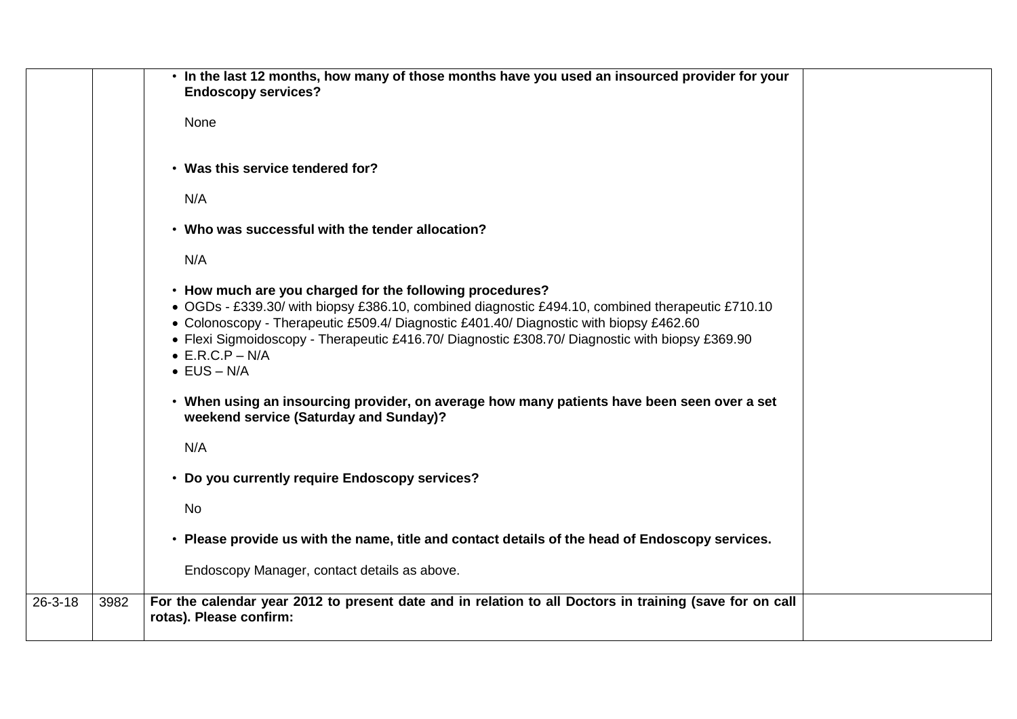|               |      | . In the last 12 months, how many of those months have you used an insourced provider for your<br><b>Endoscopy services?</b>                                                                                                                                                                                                                                                                                |  |
|---------------|------|-------------------------------------------------------------------------------------------------------------------------------------------------------------------------------------------------------------------------------------------------------------------------------------------------------------------------------------------------------------------------------------------------------------|--|
|               |      | None                                                                                                                                                                                                                                                                                                                                                                                                        |  |
|               |      | • Was this service tendered for?                                                                                                                                                                                                                                                                                                                                                                            |  |
|               |      | N/A                                                                                                                                                                                                                                                                                                                                                                                                         |  |
|               |      | • Who was successful with the tender allocation?                                                                                                                                                                                                                                                                                                                                                            |  |
|               |      | N/A                                                                                                                                                                                                                                                                                                                                                                                                         |  |
|               |      | • How much are you charged for the following procedures?<br>• OGDs - £339.30/ with biopsy £386.10, combined diagnostic £494.10, combined therapeutic £710.10<br>• Colonoscopy - Therapeutic £509.4/ Diagnostic £401.40/ Diagnostic with biopsy £462.60<br>• Flexi Sigmoidoscopy - Therapeutic £416.70/ Diagnostic £308.70/ Diagnostic with biopsy £369.90<br>$\bullet$ E.R.C.P – N/A<br>$\bullet$ EUS - N/A |  |
|               |      | • When using an insourcing provider, on average how many patients have been seen over a set<br>weekend service (Saturday and Sunday)?                                                                                                                                                                                                                                                                       |  |
|               |      | N/A                                                                                                                                                                                                                                                                                                                                                                                                         |  |
|               |      | • Do you currently require Endoscopy services?                                                                                                                                                                                                                                                                                                                                                              |  |
|               |      | No                                                                                                                                                                                                                                                                                                                                                                                                          |  |
|               |      | • Please provide us with the name, title and contact details of the head of Endoscopy services.                                                                                                                                                                                                                                                                                                             |  |
|               |      | Endoscopy Manager, contact details as above.                                                                                                                                                                                                                                                                                                                                                                |  |
| $26 - 3 - 18$ | 3982 | For the calendar year 2012 to present date and in relation to all Doctors in training (save for on call<br>rotas). Please confirm:                                                                                                                                                                                                                                                                          |  |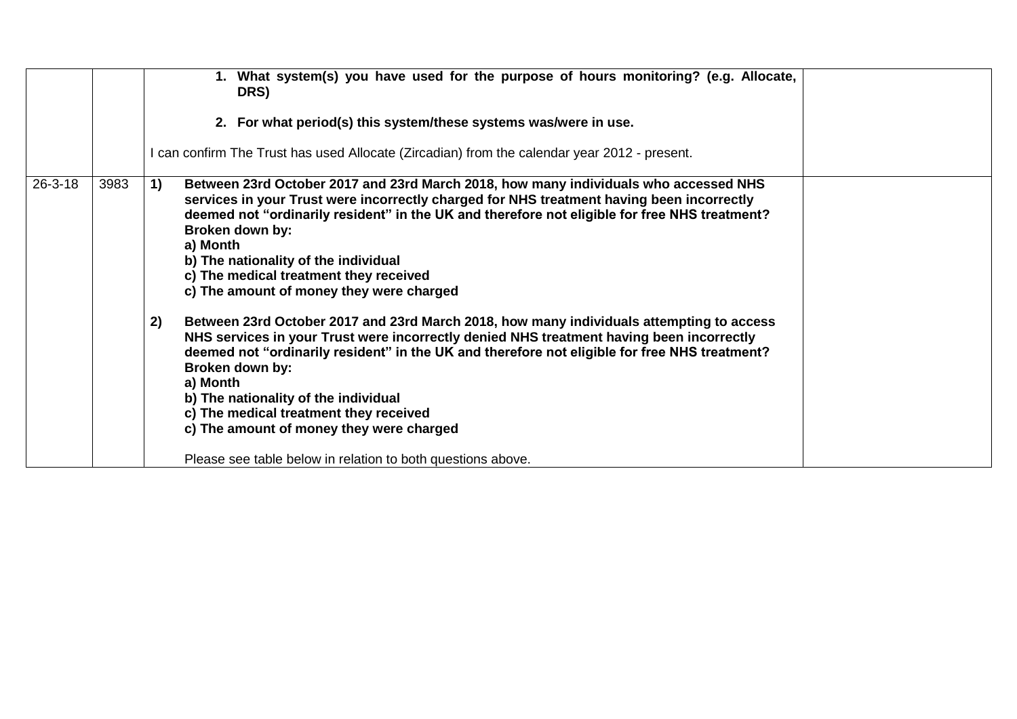|               |      | What system(s) you have used for the purpose of hours monitoring? (e.g. Allocate,<br>DRS)<br>2. For what period(s) this system/these systems was/were in use.                                                                                                                                                                                                                                                                                                                                                                                                                                                                                                                                                                                                                                                                                                                                                                                                                    |  |
|---------------|------|----------------------------------------------------------------------------------------------------------------------------------------------------------------------------------------------------------------------------------------------------------------------------------------------------------------------------------------------------------------------------------------------------------------------------------------------------------------------------------------------------------------------------------------------------------------------------------------------------------------------------------------------------------------------------------------------------------------------------------------------------------------------------------------------------------------------------------------------------------------------------------------------------------------------------------------------------------------------------------|--|
|               |      | I can confirm The Trust has used Allocate (Zircadian) from the calendar year 2012 - present.                                                                                                                                                                                                                                                                                                                                                                                                                                                                                                                                                                                                                                                                                                                                                                                                                                                                                     |  |
| $26 - 3 - 18$ | 3983 | Between 23rd October 2017 and 23rd March 2018, how many individuals who accessed NHS<br>1)<br>services in your Trust were incorrectly charged for NHS treatment having been incorrectly<br>deemed not "ordinarily resident" in the UK and therefore not eligible for free NHS treatment?<br>Broken down by:<br>a) Month<br>b) The nationality of the individual<br>c) The medical treatment they received<br>c) The amount of money they were charged<br>2)<br>Between 23rd October 2017 and 23rd March 2018, how many individuals attempting to access<br>NHS services in your Trust were incorrectly denied NHS treatment having been incorrectly<br>deemed not "ordinarily resident" in the UK and therefore not eligible for free NHS treatment?<br>Broken down by:<br>a) Month<br>b) The nationality of the individual<br>c) The medical treatment they received<br>c) The amount of money they were charged<br>Please see table below in relation to both questions above. |  |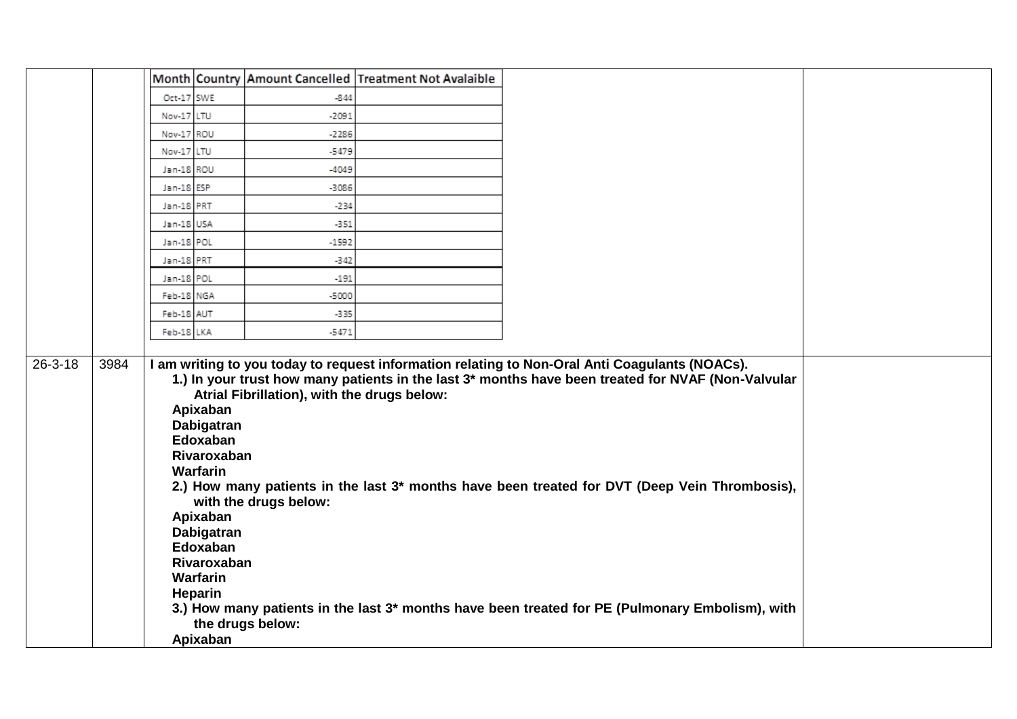|               |      |            |                                                                                                                                                                            |                                                                                          | Month Country Amount Cancelled Treatment Not Avalaible |                                                                                                                                                                                                                                                                                                                                                                                                                      |  |
|---------------|------|------------|----------------------------------------------------------------------------------------------------------------------------------------------------------------------------|------------------------------------------------------------------------------------------|--------------------------------------------------------|----------------------------------------------------------------------------------------------------------------------------------------------------------------------------------------------------------------------------------------------------------------------------------------------------------------------------------------------------------------------------------------------------------------------|--|
|               |      | Oct-17 SWE |                                                                                                                                                                            | $-844$                                                                                   |                                                        |                                                                                                                                                                                                                                                                                                                                                                                                                      |  |
|               |      | Nov-17 LTU |                                                                                                                                                                            | $-2091$                                                                                  |                                                        |                                                                                                                                                                                                                                                                                                                                                                                                                      |  |
|               |      | Nov-17 ROU |                                                                                                                                                                            | $-2286$                                                                                  |                                                        |                                                                                                                                                                                                                                                                                                                                                                                                                      |  |
|               |      | Nov-17 LTU |                                                                                                                                                                            | $-5479$                                                                                  |                                                        |                                                                                                                                                                                                                                                                                                                                                                                                                      |  |
|               |      | Jan-18 ROU |                                                                                                                                                                            | $-4049$                                                                                  |                                                        |                                                                                                                                                                                                                                                                                                                                                                                                                      |  |
|               |      | Jan-18 ESP |                                                                                                                                                                            | $-3086$                                                                                  |                                                        |                                                                                                                                                                                                                                                                                                                                                                                                                      |  |
|               |      | Jan-18 PRT |                                                                                                                                                                            | $-234$                                                                                   |                                                        |                                                                                                                                                                                                                                                                                                                                                                                                                      |  |
|               |      | Jan-18 USA |                                                                                                                                                                            | -351                                                                                     |                                                        |                                                                                                                                                                                                                                                                                                                                                                                                                      |  |
|               |      | Jan-18 POL |                                                                                                                                                                            | $-1592$                                                                                  |                                                        |                                                                                                                                                                                                                                                                                                                                                                                                                      |  |
|               |      | Jan-18 PRT |                                                                                                                                                                            | $-342$                                                                                   |                                                        |                                                                                                                                                                                                                                                                                                                                                                                                                      |  |
|               |      | Jan-18 POL |                                                                                                                                                                            | $-191$                                                                                   |                                                        |                                                                                                                                                                                                                                                                                                                                                                                                                      |  |
|               |      | Feb-18 NGA |                                                                                                                                                                            | $-5000$                                                                                  |                                                        |                                                                                                                                                                                                                                                                                                                                                                                                                      |  |
|               |      | Feb-18 AUT |                                                                                                                                                                            | -335                                                                                     |                                                        |                                                                                                                                                                                                                                                                                                                                                                                                                      |  |
|               |      | Feb-18 LKA |                                                                                                                                                                            | $-5471$                                                                                  |                                                        |                                                                                                                                                                                                                                                                                                                                                                                                                      |  |
|               |      |            |                                                                                                                                                                            |                                                                                          |                                                        |                                                                                                                                                                                                                                                                                                                                                                                                                      |  |
| $26 - 3 - 18$ | 3984 |            | Apixaban<br>Dabigatran<br>Edoxaban<br>Rivaroxaban<br><b>Warfarin</b><br>Apixaban<br>Dabigatran<br>Edoxaban<br>Rivaroxaban<br><b>Warfarin</b><br><b>Heparin</b><br>Apixaban | Atrial Fibrillation), with the drugs below:<br>with the drugs below:<br>the drugs below: |                                                        | I am writing to you today to request information relating to Non-Oral Anti Coagulants (NOACs).<br>1.) In your trust how many patients in the last 3* months have been treated for NVAF (Non-Valvular<br>2.) How many patients in the last 3* months have been treated for DVT (Deep Vein Thrombosis),<br>3.) How many patients in the last 3 <sup>*</sup> months have been treated for PE (Pulmonary Embolism), with |  |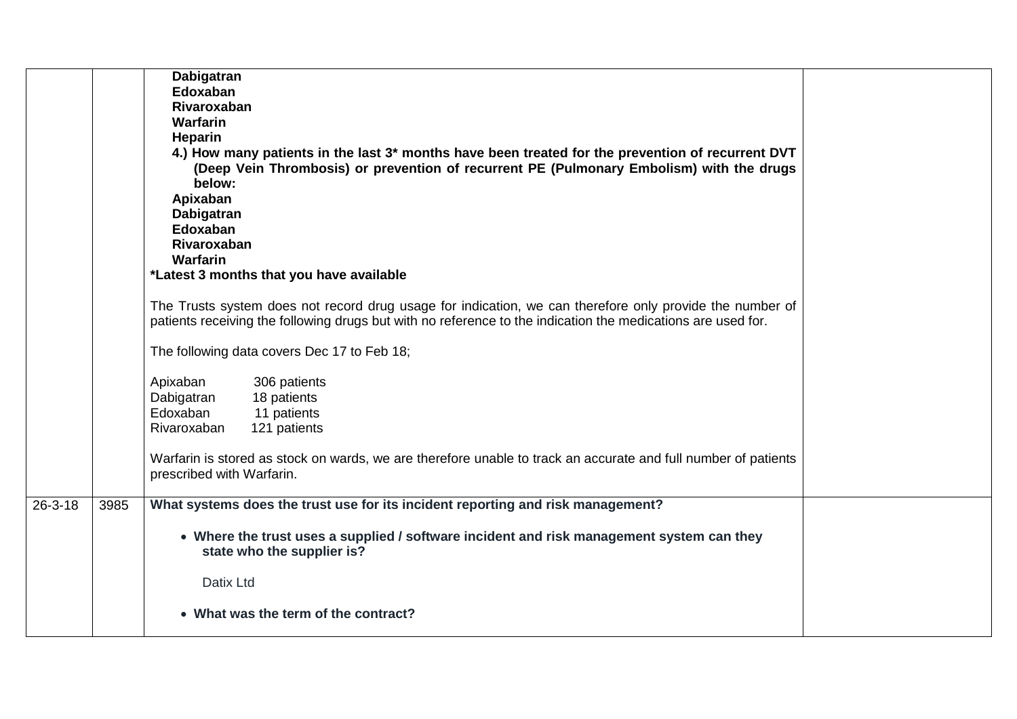|               |      | Dabigatran<br>Edoxaban<br>Rivaroxaban<br>Warfarin<br>Heparin<br>4.) How many patients in the last 3* months have been treated for the prevention of recurrent DVT<br>(Deep Vein Thrombosis) or prevention of recurrent PE (Pulmonary Embolism) with the drugs<br>below:<br>Apixaban<br><b>Dabigatran</b><br>Edoxaban<br>Rivaroxaban<br>Warfarin<br>*Latest 3 months that you have available |  |
|---------------|------|---------------------------------------------------------------------------------------------------------------------------------------------------------------------------------------------------------------------------------------------------------------------------------------------------------------------------------------------------------------------------------------------|--|
|               |      | The Trusts system does not record drug usage for indication, we can therefore only provide the number of<br>patients receiving the following drugs but with no reference to the indication the medications are used for.                                                                                                                                                                    |  |
|               |      | The following data covers Dec 17 to Feb 18;                                                                                                                                                                                                                                                                                                                                                 |  |
|               |      | Apixaban<br>306 patients<br>18 patients<br>Dabigatran<br>Edoxaban<br>11 patients<br>Rivaroxaban<br>121 patients                                                                                                                                                                                                                                                                             |  |
|               |      | Warfarin is stored as stock on wards, we are therefore unable to track an accurate and full number of patients<br>prescribed with Warfarin.                                                                                                                                                                                                                                                 |  |
| $26 - 3 - 18$ | 3985 | What systems does the trust use for its incident reporting and risk management?                                                                                                                                                                                                                                                                                                             |  |
|               |      | • Where the trust uses a supplied / software incident and risk management system can they<br>state who the supplier is?                                                                                                                                                                                                                                                                     |  |
|               |      | Datix Ltd                                                                                                                                                                                                                                                                                                                                                                                   |  |
|               |      | • What was the term of the contract?                                                                                                                                                                                                                                                                                                                                                        |  |
|               |      |                                                                                                                                                                                                                                                                                                                                                                                             |  |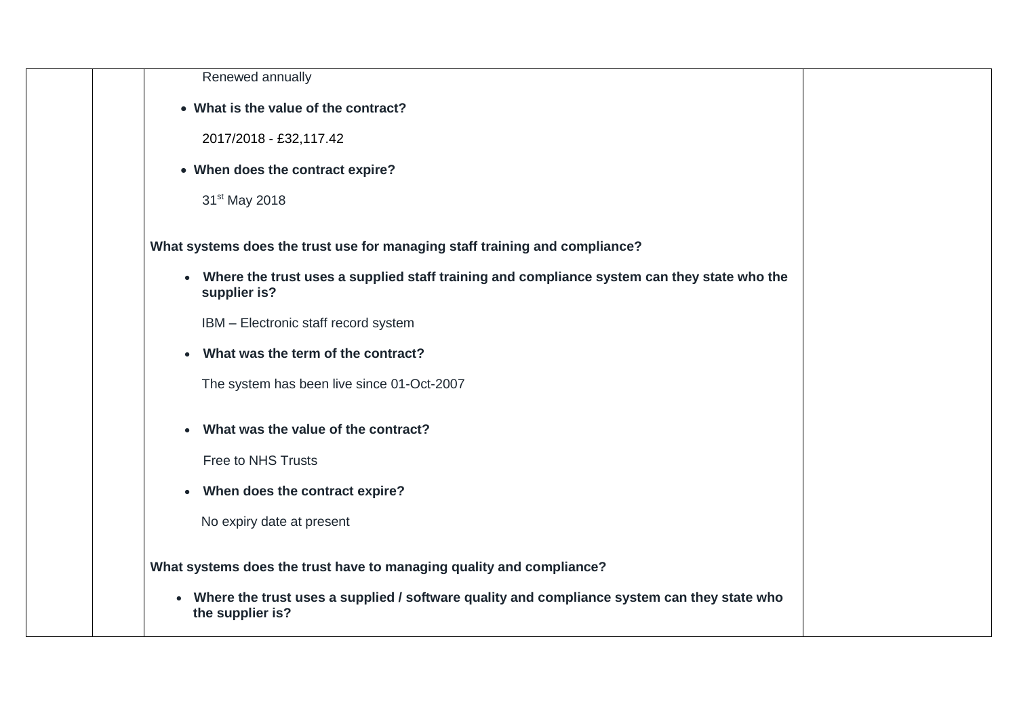| Renewed annually<br>• What is the value of the contract?<br>2017/2018 - £32,117.42<br>• When does the contract expire?<br>31 <sup>st</sup> May 2018<br>What systems does the trust use for managing staff training and compliance?<br>• Where the trust uses a supplied staff training and compliance system can they state who the<br>supplier is?<br>IBM - Electronic staff record system<br>What was the term of the contract?<br>The system has been live since 01-Oct-2007<br>What was the value of the contract?<br>Free to NHS Trusts<br>When does the contract expire?<br>$\bullet$<br>No expiry date at present<br>What systems does the trust have to managing quality and compliance?<br>Where the trust uses a supplied / software quality and compliance system can they state who<br>$\bullet$<br>the supplier is? |  |  |
|----------------------------------------------------------------------------------------------------------------------------------------------------------------------------------------------------------------------------------------------------------------------------------------------------------------------------------------------------------------------------------------------------------------------------------------------------------------------------------------------------------------------------------------------------------------------------------------------------------------------------------------------------------------------------------------------------------------------------------------------------------------------------------------------------------------------------------|--|--|
|                                                                                                                                                                                                                                                                                                                                                                                                                                                                                                                                                                                                                                                                                                                                                                                                                                  |  |  |
|                                                                                                                                                                                                                                                                                                                                                                                                                                                                                                                                                                                                                                                                                                                                                                                                                                  |  |  |
|                                                                                                                                                                                                                                                                                                                                                                                                                                                                                                                                                                                                                                                                                                                                                                                                                                  |  |  |
|                                                                                                                                                                                                                                                                                                                                                                                                                                                                                                                                                                                                                                                                                                                                                                                                                                  |  |  |
|                                                                                                                                                                                                                                                                                                                                                                                                                                                                                                                                                                                                                                                                                                                                                                                                                                  |  |  |
|                                                                                                                                                                                                                                                                                                                                                                                                                                                                                                                                                                                                                                                                                                                                                                                                                                  |  |  |
|                                                                                                                                                                                                                                                                                                                                                                                                                                                                                                                                                                                                                                                                                                                                                                                                                                  |  |  |
|                                                                                                                                                                                                                                                                                                                                                                                                                                                                                                                                                                                                                                                                                                                                                                                                                                  |  |  |
|                                                                                                                                                                                                                                                                                                                                                                                                                                                                                                                                                                                                                                                                                                                                                                                                                                  |  |  |
|                                                                                                                                                                                                                                                                                                                                                                                                                                                                                                                                                                                                                                                                                                                                                                                                                                  |  |  |
|                                                                                                                                                                                                                                                                                                                                                                                                                                                                                                                                                                                                                                                                                                                                                                                                                                  |  |  |
|                                                                                                                                                                                                                                                                                                                                                                                                                                                                                                                                                                                                                                                                                                                                                                                                                                  |  |  |
|                                                                                                                                                                                                                                                                                                                                                                                                                                                                                                                                                                                                                                                                                                                                                                                                                                  |  |  |
|                                                                                                                                                                                                                                                                                                                                                                                                                                                                                                                                                                                                                                                                                                                                                                                                                                  |  |  |
|                                                                                                                                                                                                                                                                                                                                                                                                                                                                                                                                                                                                                                                                                                                                                                                                                                  |  |  |
|                                                                                                                                                                                                                                                                                                                                                                                                                                                                                                                                                                                                                                                                                                                                                                                                                                  |  |  |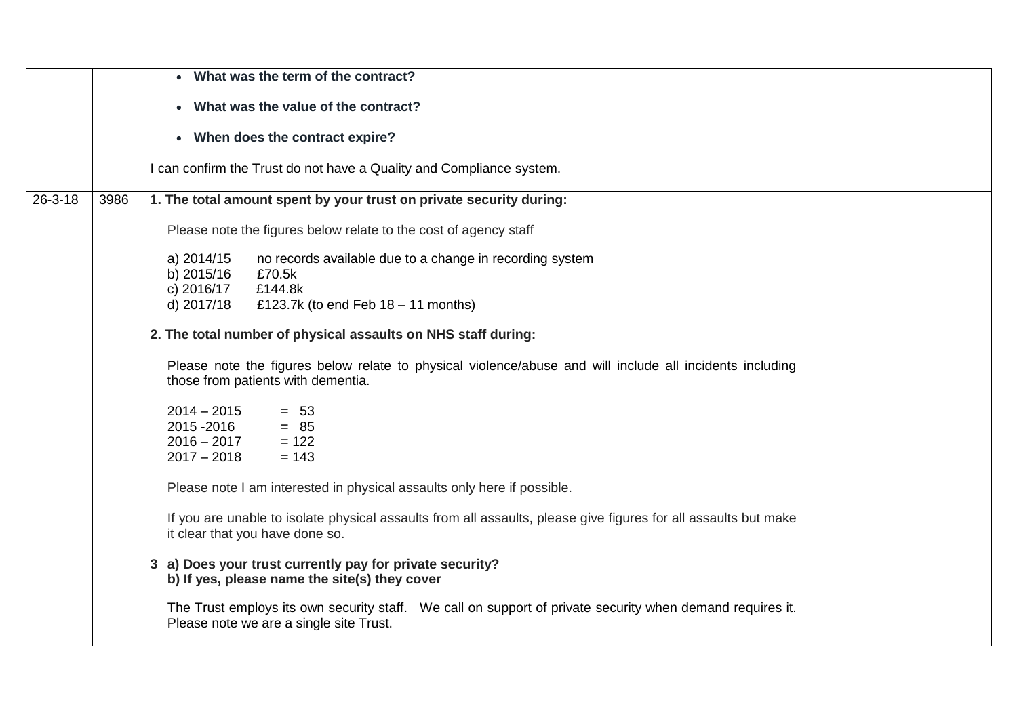|               |      | • What was the term of the contract?                                                                                                                                           |  |
|---------------|------|--------------------------------------------------------------------------------------------------------------------------------------------------------------------------------|--|
|               |      | What was the value of the contract?                                                                                                                                            |  |
|               |      | • When does the contract expire?                                                                                                                                               |  |
|               |      | I can confirm the Trust do not have a Quality and Compliance system.                                                                                                           |  |
| $26 - 3 - 18$ | 3986 | 1. The total amount spent by your trust on private security during:                                                                                                            |  |
|               |      | Please note the figures below relate to the cost of agency staff                                                                                                               |  |
|               |      | a) 2014/15<br>no records available due to a change in recording system<br>b) 2015/16<br>£70.5k<br>c) 2016/17<br>£144.8k<br>d) 2017/18<br>£123.7k (to end Feb $18 - 11$ months) |  |
|               |      | 2. The total number of physical assaults on NHS staff during:                                                                                                                  |  |
|               |      | Please note the figures below relate to physical violence/abuse and will include all incidents including<br>those from patients with dementia.                                 |  |
|               |      | $2014 - 2015$<br>$= 53$<br>2015 - 2016<br>$= 85$<br>$2016 - 2017$<br>$= 122$<br>$2017 - 2018$<br>$= 143$                                                                       |  |
|               |      | Please note I am interested in physical assaults only here if possible.                                                                                                        |  |
|               |      | If you are unable to isolate physical assaults from all assaults, please give figures for all assaults but make<br>it clear that you have done so.                             |  |
|               |      | 3 a) Does your trust currently pay for private security?<br>b) If yes, please name the site(s) they cover                                                                      |  |
|               |      | The Trust employs its own security staff. We call on support of private security when demand requires it.<br>Please note we are a single site Trust.                           |  |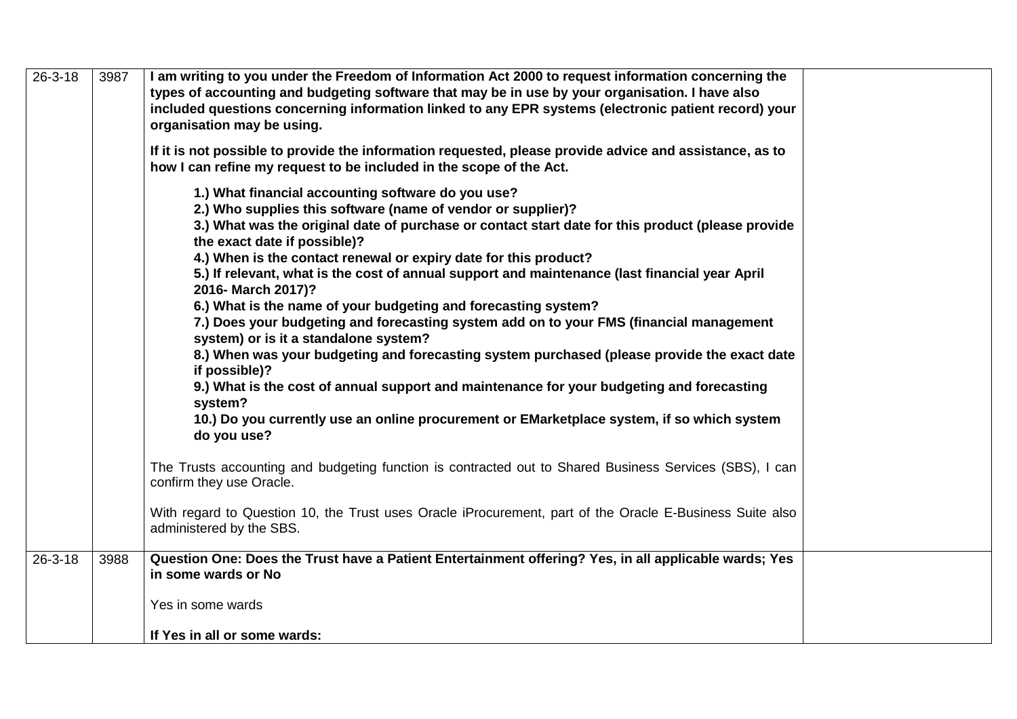| $26 - 3 - 18$ | 3987 | I am writing to you under the Freedom of Information Act 2000 to request information concerning the<br>types of accounting and budgeting software that may be in use by your organisation. I have also<br>included questions concerning information linked to any EPR systems (electronic patient record) your<br>organisation may be using.<br>If it is not possible to provide the information requested, please provide advice and assistance, as to |
|---------------|------|---------------------------------------------------------------------------------------------------------------------------------------------------------------------------------------------------------------------------------------------------------------------------------------------------------------------------------------------------------------------------------------------------------------------------------------------------------|
|               |      | how I can refine my request to be included in the scope of the Act.                                                                                                                                                                                                                                                                                                                                                                                     |
|               |      | 1.) What financial accounting software do you use?<br>2.) Who supplies this software (name of vendor or supplier)?<br>3.) What was the original date of purchase or contact start date for this product (please provide<br>the exact date if possible)?<br>4.) When is the contact renewal or expiry date for this product?                                                                                                                             |
|               |      | 5.) If relevant, what is the cost of annual support and maintenance (last financial year April<br>2016- March 2017)?                                                                                                                                                                                                                                                                                                                                    |
|               |      | 6.) What is the name of your budgeting and forecasting system?<br>7.) Does your budgeting and forecasting system add on to your FMS (financial management<br>system) or is it a standalone system?                                                                                                                                                                                                                                                      |
|               |      | 8.) When was your budgeting and forecasting system purchased (please provide the exact date<br>if possible)?<br>9.) What is the cost of annual support and maintenance for your budgeting and forecasting<br>system?                                                                                                                                                                                                                                    |
|               |      | 10.) Do you currently use an online procurement or EMarketplace system, if so which system<br>do you use?                                                                                                                                                                                                                                                                                                                                               |
|               |      | The Trusts accounting and budgeting function is contracted out to Shared Business Services (SBS), I can<br>confirm they use Oracle.                                                                                                                                                                                                                                                                                                                     |
|               |      | With regard to Question 10, the Trust uses Oracle iProcurement, part of the Oracle E-Business Suite also<br>administered by the SBS.                                                                                                                                                                                                                                                                                                                    |
| $26 - 3 - 18$ | 3988 | Question One: Does the Trust have a Patient Entertainment offering? Yes, in all applicable wards; Yes<br>in some wards or No                                                                                                                                                                                                                                                                                                                            |
|               |      | Yes in some wards                                                                                                                                                                                                                                                                                                                                                                                                                                       |
|               |      | If Yes in all or some wards:                                                                                                                                                                                                                                                                                                                                                                                                                            |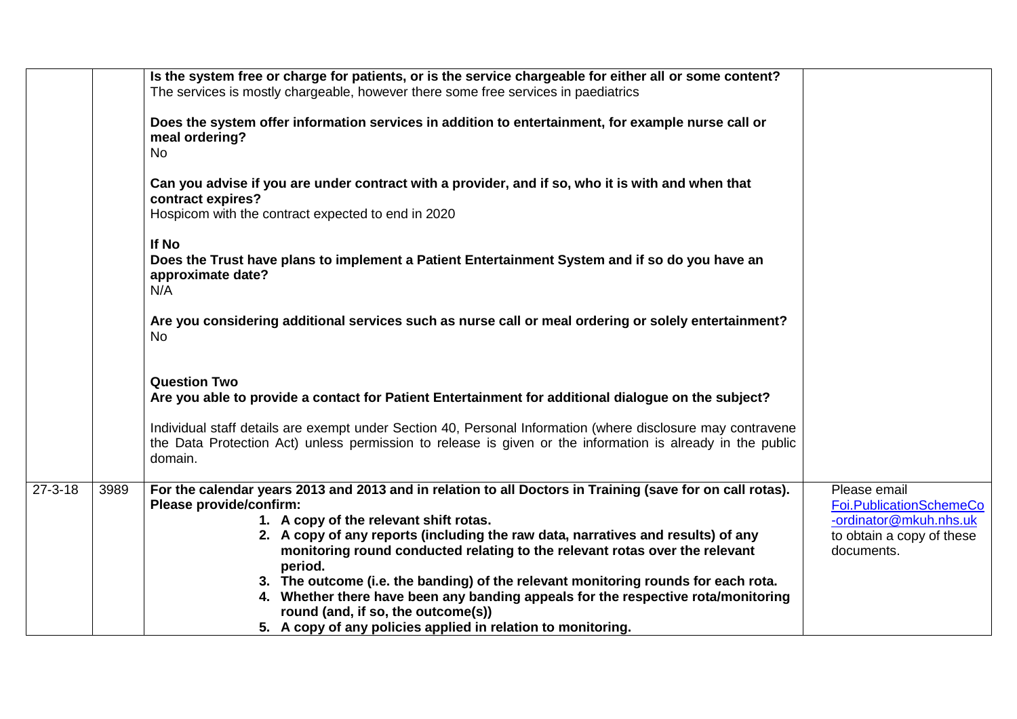|               |      | Is the system free or charge for patients, or is the service chargeable for either all or some content?<br>The services is mostly chargeable, however there some free services in paediatrics                                                                                                                                                                                                                                                                                                                                                                                 |                                                                                                              |
|---------------|------|-------------------------------------------------------------------------------------------------------------------------------------------------------------------------------------------------------------------------------------------------------------------------------------------------------------------------------------------------------------------------------------------------------------------------------------------------------------------------------------------------------------------------------------------------------------------------------|--------------------------------------------------------------------------------------------------------------|
|               |      | Does the system offer information services in addition to entertainment, for example nurse call or<br>meal ordering?<br><b>No</b>                                                                                                                                                                                                                                                                                                                                                                                                                                             |                                                                                                              |
|               |      | Can you advise if you are under contract with a provider, and if so, who it is with and when that<br>contract expires?<br>Hospicom with the contract expected to end in 2020                                                                                                                                                                                                                                                                                                                                                                                                  |                                                                                                              |
|               |      | If No<br>Does the Trust have plans to implement a Patient Entertainment System and if so do you have an<br>approximate date?<br>N/A                                                                                                                                                                                                                                                                                                                                                                                                                                           |                                                                                                              |
|               |      | Are you considering additional services such as nurse call or meal ordering or solely entertainment?<br><b>No</b>                                                                                                                                                                                                                                                                                                                                                                                                                                                             |                                                                                                              |
|               |      | <b>Question Two</b><br>Are you able to provide a contact for Patient Entertainment for additional dialogue on the subject?                                                                                                                                                                                                                                                                                                                                                                                                                                                    |                                                                                                              |
|               |      | Individual staff details are exempt under Section 40, Personal Information (where disclosure may contravene<br>the Data Protection Act) unless permission to release is given or the information is already in the public<br>domain.                                                                                                                                                                                                                                                                                                                                          |                                                                                                              |
| $27 - 3 - 18$ | 3989 | For the calendar years 2013 and 2013 and in relation to all Doctors in Training (save for on call rotas).<br>Please provide/confirm:<br>1. A copy of the relevant shift rotas.<br>2. A copy of any reports (including the raw data, narratives and results) of any<br>monitoring round conducted relating to the relevant rotas over the relevant<br>period.<br>3. The outcome (i.e. the banding) of the relevant monitoring rounds for each rota.<br>4. Whether there have been any banding appeals for the respective rota/monitoring<br>round (and, if so, the outcome(s)) | Please email<br>Foi.PublicationSchemeCo<br>-ordinator@mkuh.nhs.uk<br>to obtain a copy of these<br>documents. |
|               |      | 5. A copy of any policies applied in relation to monitoring.                                                                                                                                                                                                                                                                                                                                                                                                                                                                                                                  |                                                                                                              |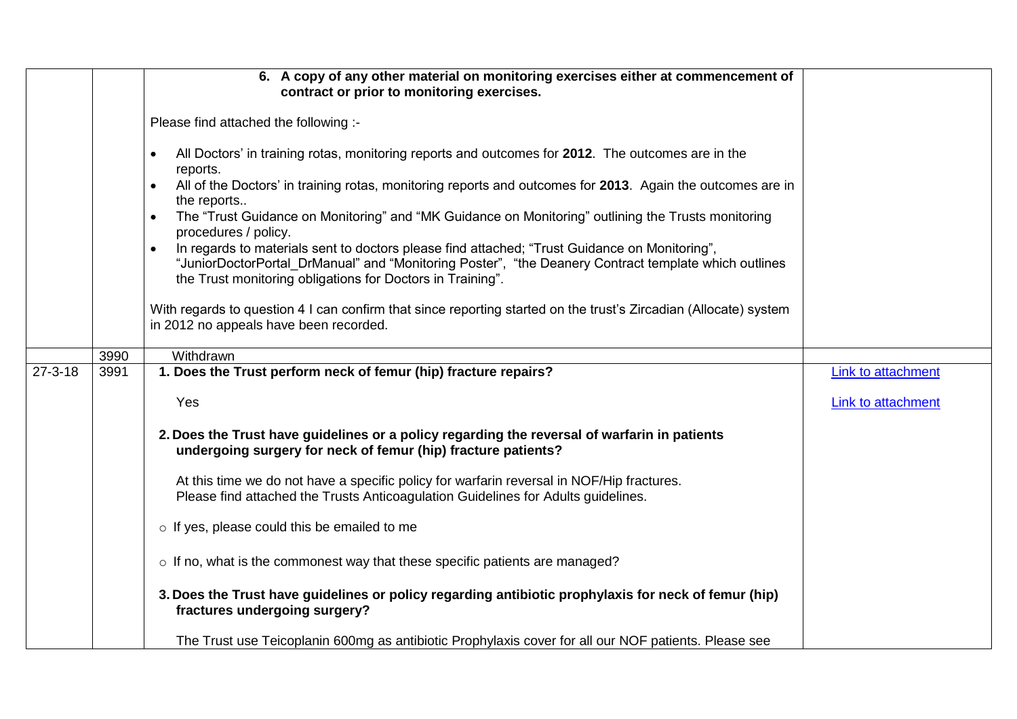|               |      | 6. A copy of any other material on monitoring exercises either at commencement of<br>contract or prior to monitoring exercises.                                                                                                                                                  |                           |
|---------------|------|----------------------------------------------------------------------------------------------------------------------------------------------------------------------------------------------------------------------------------------------------------------------------------|---------------------------|
|               |      | Please find attached the following :-                                                                                                                                                                                                                                            |                           |
|               |      | All Doctors' in training rotas, monitoring reports and outcomes for 2012. The outcomes are in the<br>$\bullet$<br>reports.                                                                                                                                                       |                           |
|               |      | All of the Doctors' in training rotas, monitoring reports and outcomes for 2013. Again the outcomes are in<br>the reports                                                                                                                                                        |                           |
|               |      | The "Trust Guidance on Monitoring" and "MK Guidance on Monitoring" outlining the Trusts monitoring<br>$\bullet$<br>procedures / policy.                                                                                                                                          |                           |
|               |      | In regards to materials sent to doctors please find attached; "Trust Guidance on Monitoring",<br>$\bullet$<br>"JuniorDoctorPortal_DrManual" and "Monitoring Poster", "the Deanery Contract template which outlines<br>the Trust monitoring obligations for Doctors in Training". |                           |
|               |      | With regards to question 4 I can confirm that since reporting started on the trust's Zircadian (Allocate) system<br>in 2012 no appeals have been recorded.                                                                                                                       |                           |
|               | 3990 | Withdrawn                                                                                                                                                                                                                                                                        |                           |
| $27 - 3 - 18$ | 3991 | 1. Does the Trust perform neck of femur (hip) fracture repairs?                                                                                                                                                                                                                  | <b>Link to attachment</b> |
|               |      | Yes                                                                                                                                                                                                                                                                              | Link to attachment        |
|               |      | 2. Does the Trust have guidelines or a policy regarding the reversal of warfarin in patients<br>undergoing surgery for neck of femur (hip) fracture patients?                                                                                                                    |                           |
|               |      | At this time we do not have a specific policy for warfarin reversal in NOF/Hip fractures.<br>Please find attached the Trusts Anticoagulation Guidelines for Adults guidelines.                                                                                                   |                           |
|               |      | o If yes, please could this be emailed to me                                                                                                                                                                                                                                     |                           |
|               |      | o If no, what is the commonest way that these specific patients are managed?                                                                                                                                                                                                     |                           |
|               |      | 3. Does the Trust have guidelines or policy regarding antibiotic prophylaxis for neck of femur (hip)<br>fractures undergoing surgery?                                                                                                                                            |                           |
|               |      | The Trust use Teicoplanin 600mg as antibiotic Prophylaxis cover for all our NOF patients. Please see                                                                                                                                                                             |                           |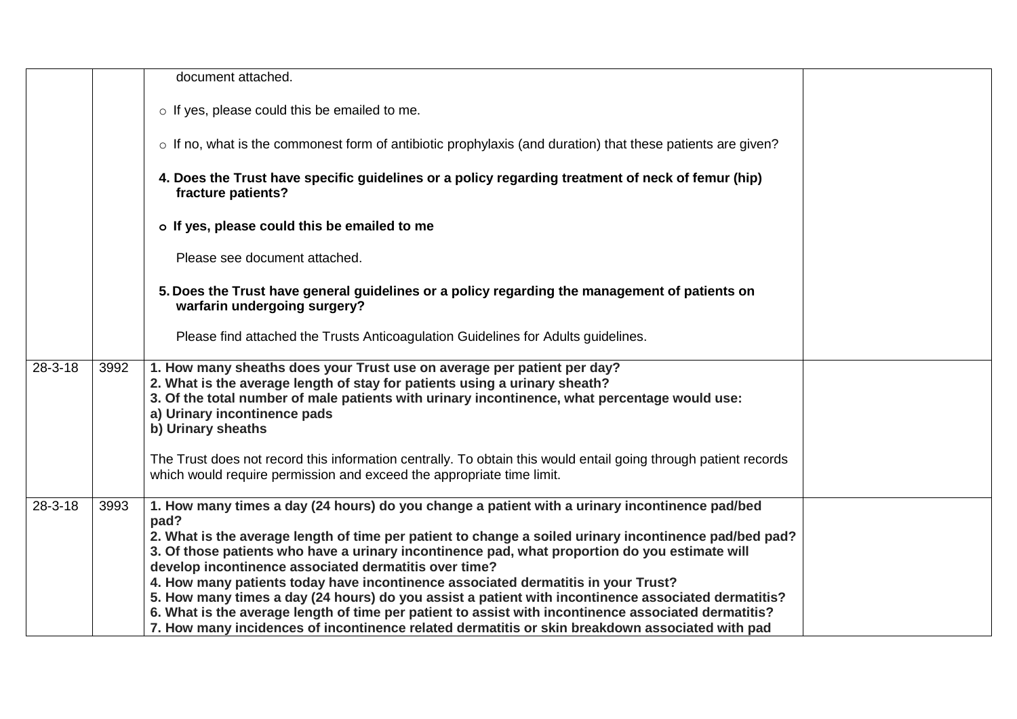|               |      | document attached.                                                                                                                                                                                                                                                                                                                                                                                                                                                                                                                                                                                                                                                              |  |
|---------------|------|---------------------------------------------------------------------------------------------------------------------------------------------------------------------------------------------------------------------------------------------------------------------------------------------------------------------------------------------------------------------------------------------------------------------------------------------------------------------------------------------------------------------------------------------------------------------------------------------------------------------------------------------------------------------------------|--|
|               |      | o If yes, please could this be emailed to me.                                                                                                                                                                                                                                                                                                                                                                                                                                                                                                                                                                                                                                   |  |
|               |      | o If no, what is the commonest form of antibiotic prophylaxis (and duration) that these patients are given?                                                                                                                                                                                                                                                                                                                                                                                                                                                                                                                                                                     |  |
|               |      | 4. Does the Trust have specific guidelines or a policy regarding treatment of neck of femur (hip)<br>fracture patients?                                                                                                                                                                                                                                                                                                                                                                                                                                                                                                                                                         |  |
|               |      | o If yes, please could this be emailed to me                                                                                                                                                                                                                                                                                                                                                                                                                                                                                                                                                                                                                                    |  |
|               |      | Please see document attached.                                                                                                                                                                                                                                                                                                                                                                                                                                                                                                                                                                                                                                                   |  |
|               |      | 5. Does the Trust have general guidelines or a policy regarding the management of patients on<br>warfarin undergoing surgery?                                                                                                                                                                                                                                                                                                                                                                                                                                                                                                                                                   |  |
|               |      | Please find attached the Trusts Anticoagulation Guidelines for Adults guidelines.                                                                                                                                                                                                                                                                                                                                                                                                                                                                                                                                                                                               |  |
| $28 - 3 - 18$ | 3992 | 1. How many sheaths does your Trust use on average per patient per day?<br>2. What is the average length of stay for patients using a urinary sheath?<br>3. Of the total number of male patients with urinary incontinence, what percentage would use:<br>a) Urinary incontinence pads<br>b) Urinary sheaths                                                                                                                                                                                                                                                                                                                                                                    |  |
|               |      | The Trust does not record this information centrally. To obtain this would entail going through patient records<br>which would require permission and exceed the appropriate time limit.                                                                                                                                                                                                                                                                                                                                                                                                                                                                                        |  |
| $28-3-18$     | 3993 | 1. How many times a day (24 hours) do you change a patient with a urinary incontinence pad/bed<br>pad?<br>2. What is the average length of time per patient to change a soiled urinary incontinence pad/bed pad?<br>3. Of those patients who have a urinary incontinence pad, what proportion do you estimate will<br>develop incontinence associated dermatitis over time?<br>4. How many patients today have incontinence associated dermatitis in your Trust?<br>5. How many times a day (24 hours) do you assist a patient with incontinence associated dermatitis?<br>6. What is the average length of time per patient to assist with incontinence associated dermatitis? |  |
|               |      | 7. How many incidences of incontinence related dermatitis or skin breakdown associated with pad                                                                                                                                                                                                                                                                                                                                                                                                                                                                                                                                                                                 |  |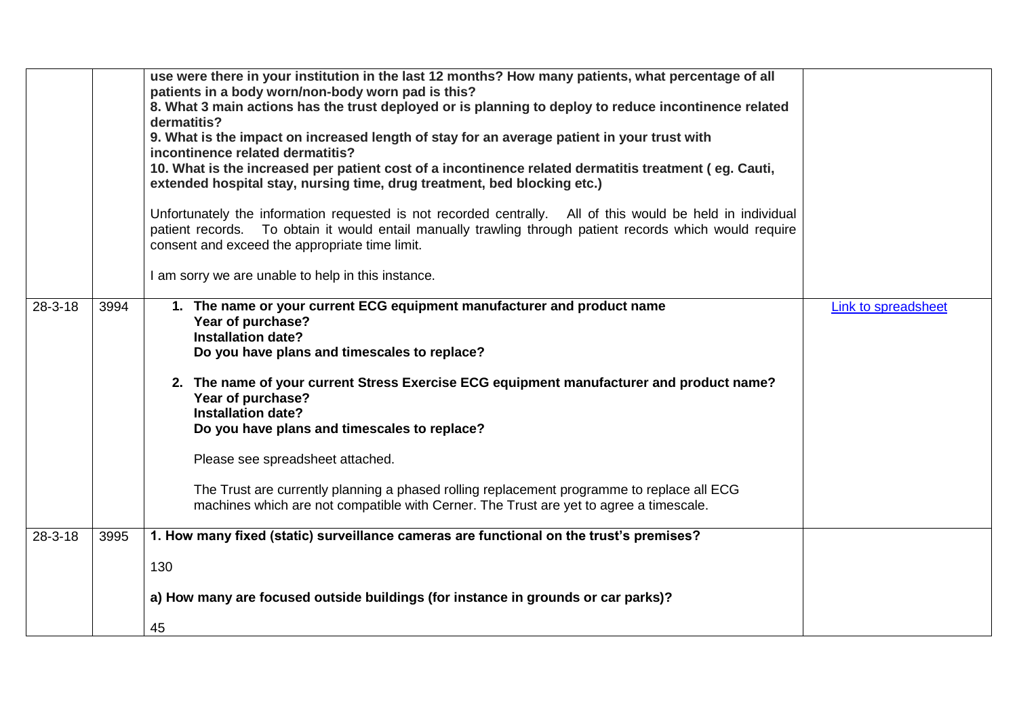|               |      | use were there in your institution in the last 12 months? How many patients, what percentage of all<br>patients in a body worn/non-body worn pad is this?<br>8. What 3 main actions has the trust deployed or is planning to deploy to reduce incontinence related<br>dermatitis?<br>9. What is the impact on increased length of stay for an average patient in your trust with<br>incontinence related dermatitis?<br>10. What is the increased per patient cost of a incontinence related dermatitis treatment (eg. Cauti,<br>extended hospital stay, nursing time, drug treatment, bed blocking etc.)<br>Unfortunately the information requested is not recorded centrally. All of this would be held in individual<br>patient records. To obtain it would entail manually trawling through patient records which would require<br>consent and exceed the appropriate time limit.<br>I am sorry we are unable to help in this instance. |                            |
|---------------|------|---------------------------------------------------------------------------------------------------------------------------------------------------------------------------------------------------------------------------------------------------------------------------------------------------------------------------------------------------------------------------------------------------------------------------------------------------------------------------------------------------------------------------------------------------------------------------------------------------------------------------------------------------------------------------------------------------------------------------------------------------------------------------------------------------------------------------------------------------------------------------------------------------------------------------------------------|----------------------------|
| $28 - 3 - 18$ | 3994 | 1. The name or your current ECG equipment manufacturer and product name<br>Year of purchase?<br><b>Installation date?</b><br>Do you have plans and timescales to replace?<br>2. The name of your current Stress Exercise ECG equipment manufacturer and product name?<br>Year of purchase?<br><b>Installation date?</b><br>Do you have plans and timescales to replace?<br>Please see spreadsheet attached.<br>The Trust are currently planning a phased rolling replacement programme to replace all ECG<br>machines which are not compatible with Cerner. The Trust are yet to agree a timescale.                                                                                                                                                                                                                                                                                                                                         | <b>Link to spreadsheet</b> |
| $28 - 3 - 18$ | 3995 | 1. How many fixed (static) surveillance cameras are functional on the trust's premises?                                                                                                                                                                                                                                                                                                                                                                                                                                                                                                                                                                                                                                                                                                                                                                                                                                                     |                            |
|               |      | 130<br>a) How many are focused outside buildings (for instance in grounds or car parks)?                                                                                                                                                                                                                                                                                                                                                                                                                                                                                                                                                                                                                                                                                                                                                                                                                                                    |                            |
|               |      | 45                                                                                                                                                                                                                                                                                                                                                                                                                                                                                                                                                                                                                                                                                                                                                                                                                                                                                                                                          |                            |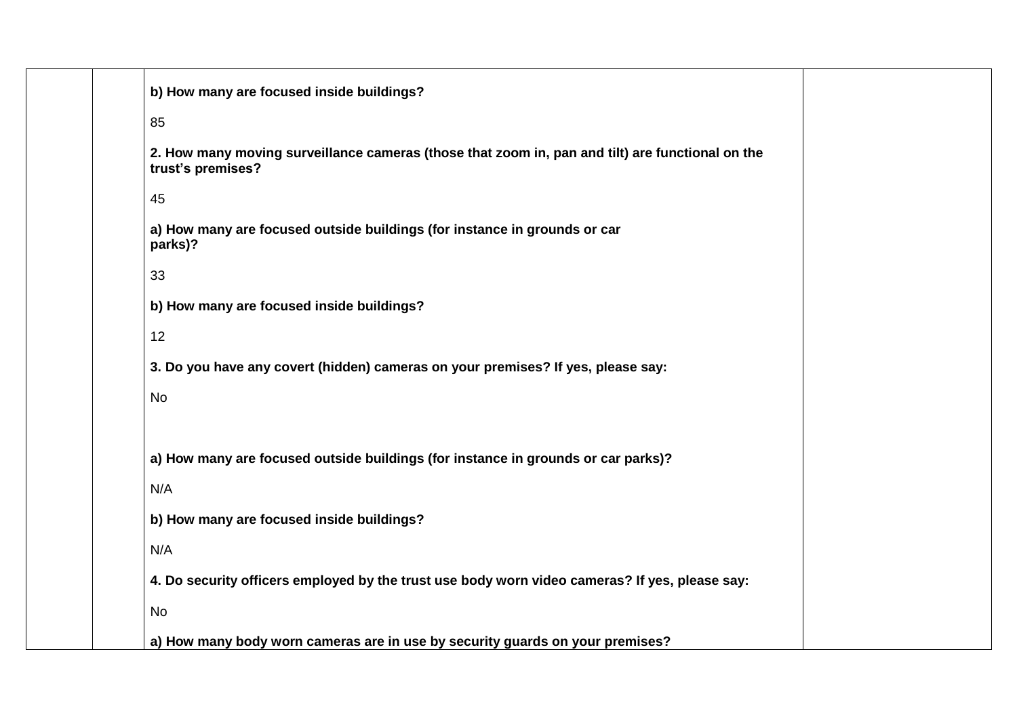| b) How many are focused inside buildings?                                                                             |
|-----------------------------------------------------------------------------------------------------------------------|
| 85                                                                                                                    |
| 2. How many moving surveillance cameras (those that zoom in, pan and tilt) are functional on the<br>trust's premises? |
| 45                                                                                                                    |
| a) How many are focused outside buildings (for instance in grounds or car<br>parks)?                                  |
| 33                                                                                                                    |
| b) How many are focused inside buildings?                                                                             |
| 12                                                                                                                    |
| 3. Do you have any covert (hidden) cameras on your premises? If yes, please say:                                      |
| <b>No</b>                                                                                                             |
|                                                                                                                       |
| a) How many are focused outside buildings (for instance in grounds or car parks)?                                     |
| N/A                                                                                                                   |
| b) How many are focused inside buildings?                                                                             |
| N/A                                                                                                                   |
| 4. Do security officers employed by the trust use body worn video cameras? If yes, please say:                        |
| No                                                                                                                    |
| a) How many body worn cameras are in use by security guards on your premises?                                         |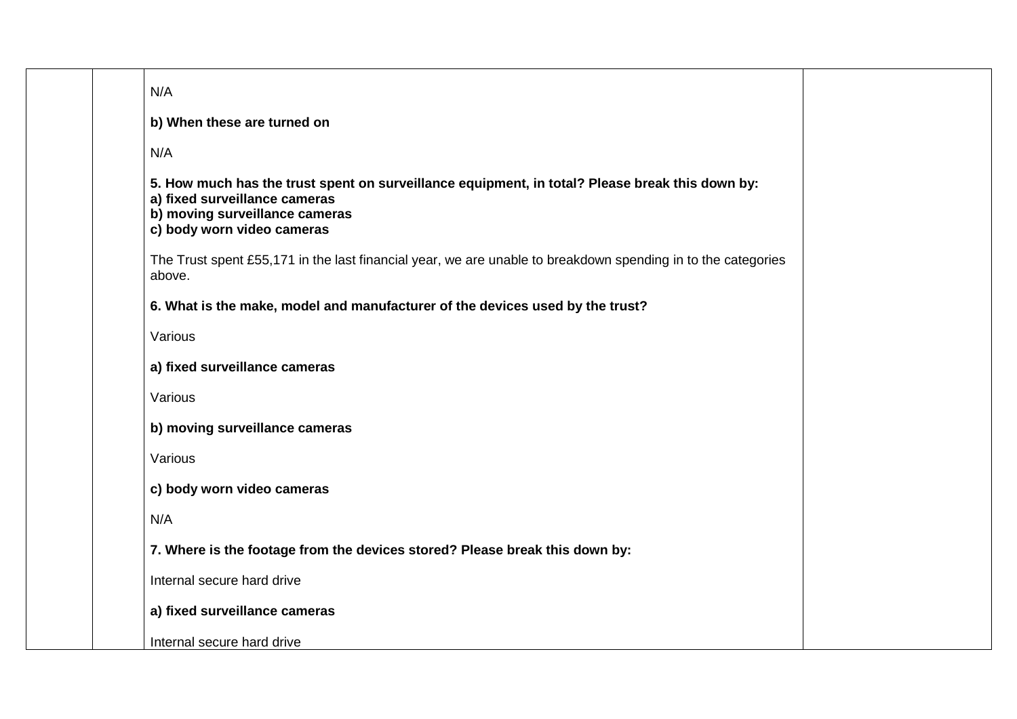| N/A                                                                                                                                                                                              |  |
|--------------------------------------------------------------------------------------------------------------------------------------------------------------------------------------------------|--|
| b) When these are turned on                                                                                                                                                                      |  |
| N/A                                                                                                                                                                                              |  |
| 5. How much has the trust spent on surveillance equipment, in total? Please break this down by:<br>a) fixed surveillance cameras<br>b) moving surveillance cameras<br>c) body worn video cameras |  |
| The Trust spent £55,171 in the last financial year, we are unable to breakdown spending in to the categories<br>above.                                                                           |  |
| 6. What is the make, model and manufacturer of the devices used by the trust?                                                                                                                    |  |
| Various                                                                                                                                                                                          |  |
| a) fixed surveillance cameras                                                                                                                                                                    |  |
| Various                                                                                                                                                                                          |  |
| b) moving surveillance cameras                                                                                                                                                                   |  |
| Various                                                                                                                                                                                          |  |
| c) body worn video cameras                                                                                                                                                                       |  |
| N/A                                                                                                                                                                                              |  |
| 7. Where is the footage from the devices stored? Please break this down by:                                                                                                                      |  |
| Internal secure hard drive                                                                                                                                                                       |  |
| a) fixed surveillance cameras                                                                                                                                                                    |  |
| Internal secure hard drive                                                                                                                                                                       |  |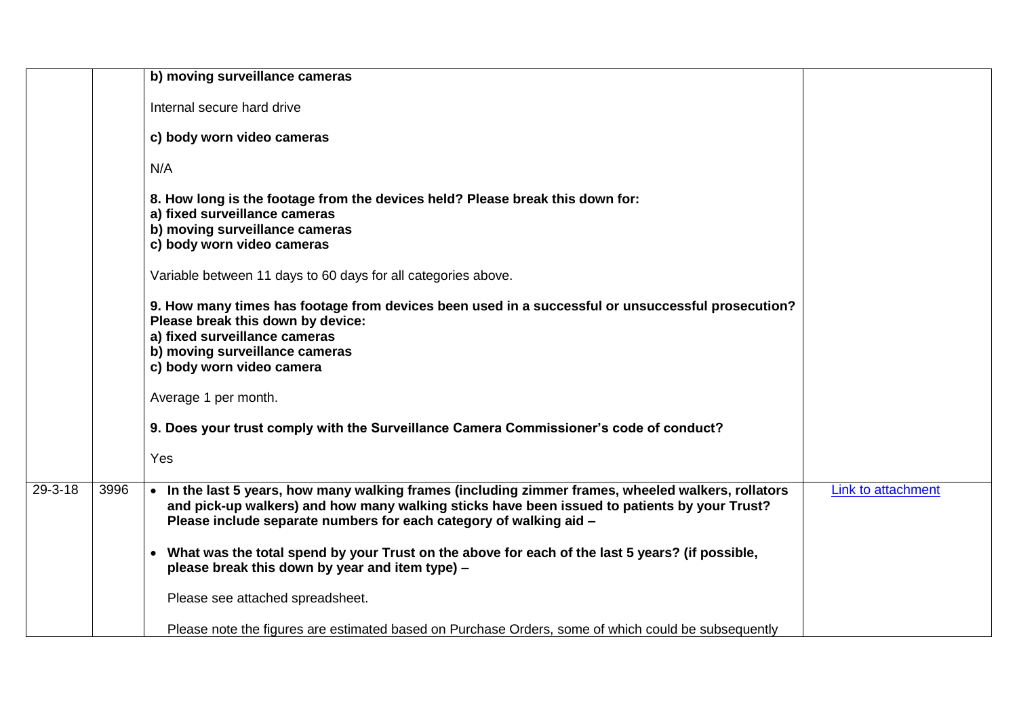|               |      | b) moving surveillance cameras                                                                                                                                                                                                                                            |                    |
|---------------|------|---------------------------------------------------------------------------------------------------------------------------------------------------------------------------------------------------------------------------------------------------------------------------|--------------------|
|               |      | Internal secure hard drive                                                                                                                                                                                                                                                |                    |
|               |      | c) body worn video cameras                                                                                                                                                                                                                                                |                    |
|               |      | N/A                                                                                                                                                                                                                                                                       |                    |
|               |      | 8. How long is the footage from the devices held? Please break this down for:<br>a) fixed surveillance cameras<br>b) moving surveillance cameras<br>c) body worn video cameras                                                                                            |                    |
|               |      | Variable between 11 days to 60 days for all categories above.                                                                                                                                                                                                             |                    |
|               |      | 9. How many times has footage from devices been used in a successful or unsuccessful prosecution?<br>Please break this down by device:<br>a) fixed surveillance cameras<br>b) moving surveillance cameras<br>c) body worn video camera                                    |                    |
|               |      | Average 1 per month.                                                                                                                                                                                                                                                      |                    |
|               |      | 9. Does your trust comply with the Surveillance Camera Commissioner's code of conduct?                                                                                                                                                                                    |                    |
|               |      | Yes                                                                                                                                                                                                                                                                       |                    |
| $29 - 3 - 18$ | 3996 | . In the last 5 years, how many walking frames (including zimmer frames, wheeled walkers, rollators<br>and pick-up walkers) and how many walking sticks have been issued to patients by your Trust?<br>Please include separate numbers for each category of walking aid - | Link to attachment |
|               |      | • What was the total spend by your Trust on the above for each of the last 5 years? (if possible,<br>please break this down by year and item type) -                                                                                                                      |                    |
|               |      | Please see attached spreadsheet.                                                                                                                                                                                                                                          |                    |
|               |      | Please note the figures are estimated based on Purchase Orders, some of which could be subsequently                                                                                                                                                                       |                    |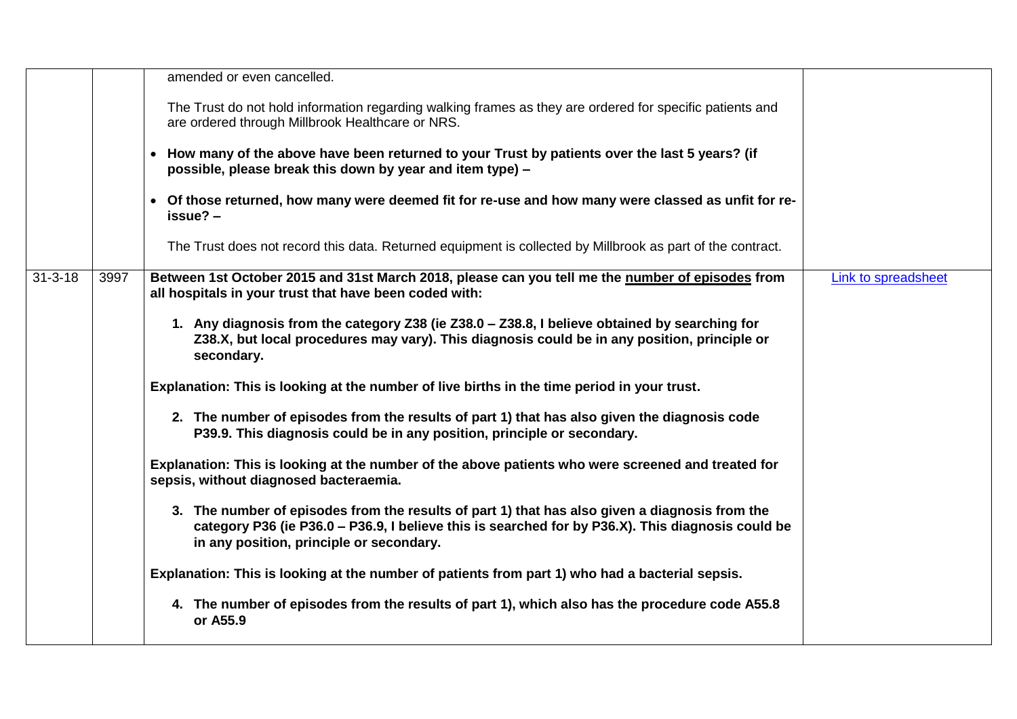|               |      | amended or even cancelled.                                                                                                                                                                                                                      |                     |
|---------------|------|-------------------------------------------------------------------------------------------------------------------------------------------------------------------------------------------------------------------------------------------------|---------------------|
|               |      | The Trust do not hold information regarding walking frames as they are ordered for specific patients and<br>are ordered through Millbrook Healthcare or NRS.                                                                                    |                     |
|               |      | • How many of the above have been returned to your Trust by patients over the last 5 years? (if<br>possible, please break this down by year and item type) -                                                                                    |                     |
|               |      | • Of those returned, how many were deemed fit for re-use and how many were classed as unfit for re-<br>$issue? -$                                                                                                                               |                     |
|               |      | The Trust does not record this data. Returned equipment is collected by Millbrook as part of the contract.                                                                                                                                      |                     |
| $31 - 3 - 18$ | 3997 | Between 1st October 2015 and 31st March 2018, please can you tell me the number of episodes from<br>all hospitals in your trust that have been coded with:                                                                                      | Link to spreadsheet |
|               |      | 1. Any diagnosis from the category Z38 (ie Z38.0 - Z38.8, I believe obtained by searching for<br>Z38.X, but local procedures may vary). This diagnosis could be in any position, principle or<br>secondary.                                     |                     |
|               |      | Explanation: This is looking at the number of live births in the time period in your trust.                                                                                                                                                     |                     |
|               |      | 2. The number of episodes from the results of part 1) that has also given the diagnosis code<br>P39.9. This diagnosis could be in any position, principle or secondary.                                                                         |                     |
|               |      | Explanation: This is looking at the number of the above patients who were screened and treated for<br>sepsis, without diagnosed bacteraemia.                                                                                                    |                     |
|               |      | 3. The number of episodes from the results of part 1) that has also given a diagnosis from the<br>category P36 (ie P36.0 – P36.9, I believe this is searched for by P36.X). This diagnosis could be<br>in any position, principle or secondary. |                     |
|               |      | Explanation: This is looking at the number of patients from part 1) who had a bacterial sepsis.                                                                                                                                                 |                     |
|               |      | 4. The number of episodes from the results of part 1), which also has the procedure code A55.8<br>or A55.9                                                                                                                                      |                     |
|               |      |                                                                                                                                                                                                                                                 |                     |